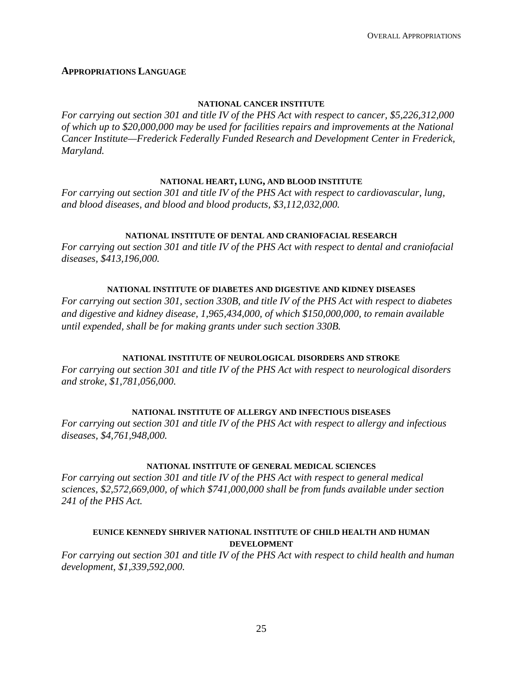### **APPROPRIATIONS LANGUAGE**

#### **NATIONAL CANCER INSTITUTE**

*For carrying out section 301 and title IV of the PHS Act with respect to cancer, \$5,226,312,000 of which up to \$20,000,000 may be used for facilities repairs and improvements at the National Cancer Institute—Frederick Federally Funded Research and Development Center in Frederick, Maryland.*

#### **NATIONAL HEART, LUNG, AND BLOOD INSTITUTE**

*For carrying out section 301 and title IV of the PHS Act with respect to cardiovascular, lung, and blood diseases, and blood and blood products, \$3,112,032,000.*

#### **NATIONAL INSTITUTE OF DENTAL AND CRANIOFACIAL RESEARCH**

*For carrying out section 301 and title IV of the PHS Act with respect to dental and craniofacial diseases, \$413,196,000.*

#### **NATIONAL INSTITUTE OF DIABETES AND DIGESTIVE AND KIDNEY DISEASES**

*For carrying out section 301, section 330B, and title IV of the PHS Act with respect to diabetes and digestive and kidney disease, 1,965,434,000, of which \$150,000,000, to remain available until expended, shall be for making grants under such section 330B.*

#### **NATIONAL INSTITUTE OF NEUROLOGICAL DISORDERS AND STROKE**

*For carrying out section 301 and title IV of the PHS Act with respect to neurological disorders and stroke, \$1,781,056,000.*

#### **NATIONAL INSTITUTE OF ALLERGY AND INFECTIOUS DISEASES**

*For carrying out section 301 and title IV of the PHS Act with respect to allergy and infectious diseases, \$4,761,948,000.*

#### **NATIONAL INSTITUTE OF GENERAL MEDICAL SCIENCES**

*For carrying out section 301 and title IV of the PHS Act with respect to general medical sciences, \$2,572,669,000, of which \$741,000,000 shall be from funds available under section 241 of the PHS Act.*

### **EUNICE KENNEDY SHRIVER NATIONAL INSTITUTE OF CHILD HEALTH AND HUMAN DEVELOPMENT**

*For carrying out section 301 and title IV of the PHS Act with respect to child health and human development, \$1,339,592,000.*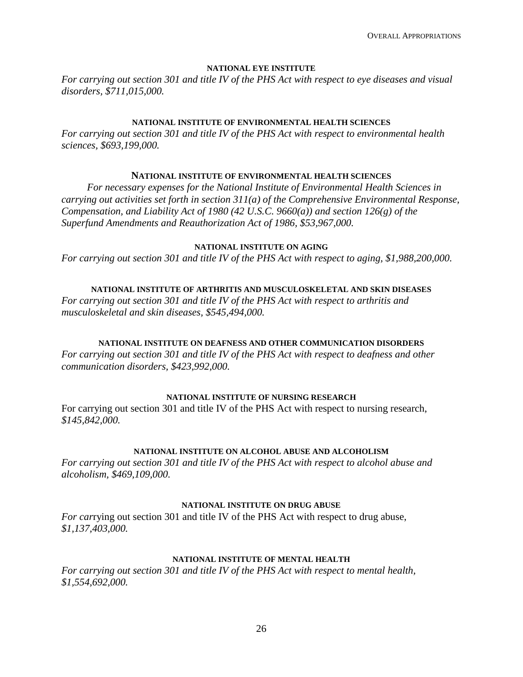#### **NATIONAL EYE INSTITUTE**

*For carrying out section 301 and title IV of the PHS Act with respect to eye diseases and visual disorders, \$711,015,000.*

#### **NATIONAL INSTITUTE OF ENVIRONMENTAL HEALTH SCIENCES**

*For carrying out section 301 and title IV of the PHS Act with respect to environmental health sciences, \$693,199,000.*

#### **NATIONAL INSTITUTE OF ENVIRONMENTAL HEALTH SCIENCES**

*For necessary expenses for the National Institute of Environmental Health Sciences in carrying out activities set forth in section 311(a) of the Comprehensive Environmental Response, Compensation, and Liability Act of 1980 (42 U.S.C. 9660(a)) and section 126(g) of the Superfund Amendments and Reauthorization Act of 1986, \$53,967,000.*

#### **NATIONAL INSTITUTE ON AGING**

*For carrying out section 301 and title IV of the PHS Act with respect to aging, \$1,988,200,000.*

#### **NATIONAL INSTITUTE OF ARTHRITIS AND MUSCULOSKELETAL AND SKIN DISEASES**

*For carrying out section 301 and title IV of the PHS Act with respect to arthritis and musculoskeletal and skin diseases, \$545,494,000.*

#### **NATIONAL INSTITUTE ON DEAFNESS AND OTHER COMMUNICATION DISORDERS**

*For carrying out section 301 and title IV of the PHS Act with respect to deafness and other communication disorders, \$423,992,000.*

#### **NATIONAL INSTITUTE OF NURSING RESEARCH**

For carrying out section 301 and title IV of the PHS Act with respect to nursing research, *\$145,842,000.*

#### **NATIONAL INSTITUTE ON ALCOHOL ABUSE AND ALCOHOLISM**

*For carrying out section 301 and title IV of the PHS Act with respect to alcohol abuse and alcoholism, \$469,109,000.*

#### **NATIONAL INSTITUTE ON DRUG ABUSE**

*For car*rying out section 301 and title IV of the PHS Act with respect to drug abuse, *\$1,137,403,000.*

### **NATIONAL INSTITUTE OF MENTAL HEALTH**

*For carrying out section 301 and title IV of the PHS Act with respect to mental health, \$1,554,692,000.*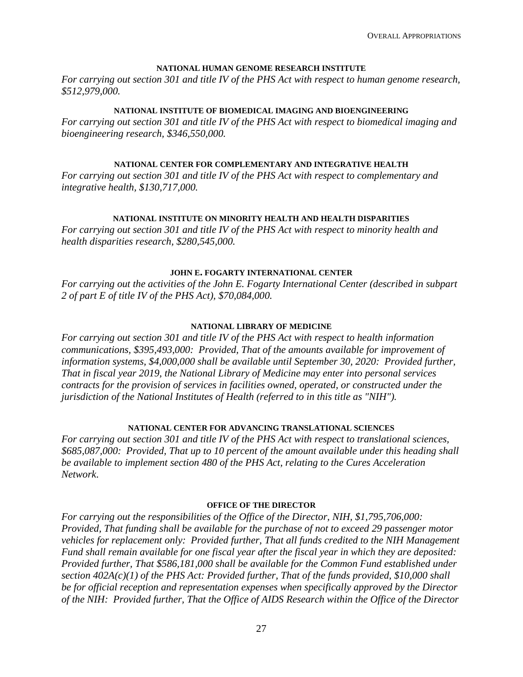#### **NATIONAL HUMAN GENOME RESEARCH INSTITUTE**

*For carrying out section 301 and title IV of the PHS Act with respect to human genome research, \$512,979,000.*

#### **NATIONAL INSTITUTE OF BIOMEDICAL IMAGING AND BIOENGINEERING**

*For carrying out section 301 and title IV of the PHS Act with respect to biomedical imaging and bioengineering research, \$346,550,000.*

### **NATIONAL CENTER FOR COMPLEMENTARY AND INTEGRATIVE HEALTH**

*For carrying out section 301 and title IV of the PHS Act with respect to complementary and integrative health, \$130,717,000.*

### **NATIONAL INSTITUTE ON MINORITY HEALTH AND HEALTH DISPARITIES**

*For carrying out section 301 and title IV of the PHS Act with respect to minority health and health disparities research, \$280,545,000.*

#### **JOHN E. FOGARTY INTERNATIONAL CENTER**

*For carrying out the activities of the John E. Fogarty International Center (described in subpart 2 of part E of title IV of the PHS Act), \$70,084,000.*

#### **NATIONAL LIBRARY OF MEDICINE**

*For carrying out section 301 and title IV of the PHS Act with respect to health information communications, \$395,493,000: Provided, That of the amounts available for improvement of information systems, \$4,000,000 shall be available until September 30, 2020: Provided further, That in fiscal year 2019, the National Library of Medicine may enter into personal services contracts for the provision of services in facilities owned, operated, or constructed under the jurisdiction of the National Institutes of Health (referred to in this title as "NIH").*

#### **NATIONAL CENTER FOR ADVANCING TRANSLATIONAL SCIENCES**

*For carrying out section 301 and title IV of the PHS Act with respect to translational sciences, \$685,087,000: Provided, That up to 10 percent of the amount available under this heading shall be available to implement section 480 of the PHS Act, relating to the Cures Acceleration Network*.

#### **OFFICE OF THE DIRECTOR**

*For carrying out the responsibilities of the Office of the Director, NIH, \$1,795,706,000: Provided, That funding shall be available for the purchase of not to exceed 29 passenger motor vehicles for replacement only: Provided further, That all funds credited to the NIH Management Fund shall remain available for one fiscal year after the fiscal year in which they are deposited: Provided further, That \$586,181,000 shall be available for the Common Fund established under section 402A(c)(1) of the PHS Act: Provided further, That of the funds provided, \$10,000 shall be for official reception and representation expenses when specifically approved by the Director of the NIH: Provided further, That the Office of AIDS Research within the Office of the Director*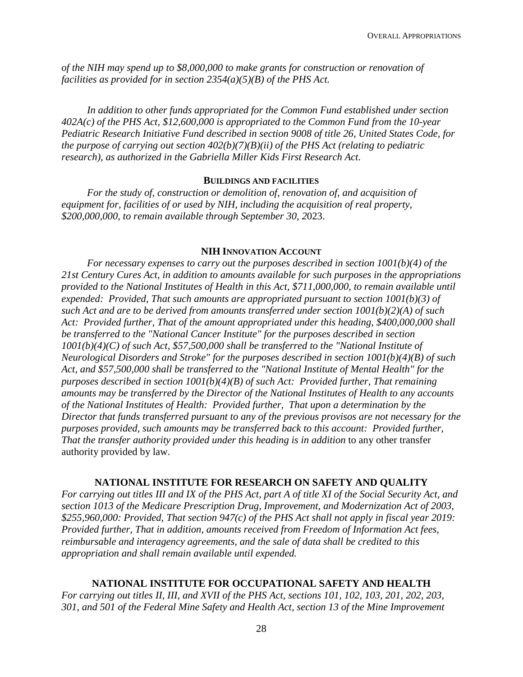*of the NIH may spend up to \$8,000,000 to make grants for construction or renovation of facilities as provided for in section 2354(a)(5)(B) of the PHS Act.*

*In addition to other funds appropriated for the Common Fund established under section 402A(c) of the PHS Act, \$12,600,000 is appropriated to the Common Fund from the 10-year Pediatric Research Initiative Fund described in section 9008 of title 26, United States Code, for the purpose of carrying out section 402(b)(7)(B)(ii) of the PHS Act (relating to pediatric research), as authorized in the Gabriella Miller Kids First Research Act.*

#### **BUILDINGS AND FACILITIES**

*For the study of, construction or demolition of, renovation of, and acquisition of equipment for, facilities of or used by NIH, including the acquisition of real property, \$200,000,000, to remain available through September 30, 2*023.

#### **NIH INNOVATION ACCOUNT**

*For necessary expenses to carry out the purposes described in section 1001(b)(4) of the 21st Century Cures Act, in addition to amounts available for such purposes in the appropriations provided to the National Institutes of Health in this Act, \$711,000,000, to remain available until expended: Provided, That such amounts are appropriated pursuant to section 1001(b)(3) of such Act and are to be derived from amounts transferred under section 1001(b)(2)(A) of such Act: Provided further, That of the amount appropriated under this heading, \$400,000,000 shall be transferred to the "National Cancer Institute" for the purposes described in section 1001(b)(4)(C) of such Act, \$57,500,000 shall be transferred to the "National Institute of Neurological Disorders and Stroke" for the purposes described in section 1001(b)(4)(B) of such Act, and \$57,500,000 shall be transferred to the "National Institute of Mental Health" for the purposes described in section 1001(b)(4)(B) of such Act: Provided further, That remaining amounts may be transferred by the Director of the National Institutes of Health to any accounts of the National Institutes of Health: Provided further, That upon a determination by the Director that funds transferred pursuant to any of the previous provisos are not necessary for the purposes provided, such amounts may be transferred back to this account: Provided further, That the transfer authority provided under this heading is in addition* to any other transfer authority provided by law.

#### **NATIONAL INSTITUTE FOR RESEARCH ON SAFETY AND QUALITY**

*For carrying out titles III and IX of the PHS Act, part A of title XI of the Social Security Act, and section 1013 of the Medicare Prescription Drug, Improvement, and Modernization Act of 2003, \$255,960,000: Provided, That section 947(c) of the PHS Act shall not apply in fiscal year 2019: Provided further, That in addition, amounts received from Freedom of Information Act fees, reimbursable and interagency agreements, and the sale of data shall be credited to this appropriation and shall remain available until expended.*

### **NATIONAL INSTITUTE FOR OCCUPATIONAL SAFETY AND HEALTH**

*For carrying out titles II, III, and XVII of the PHS Act, sections 101, 102, 103, 201, 202, 203, 301, and 501 of the Federal Mine Safety and Health Act, section 13 of the Mine Improvement*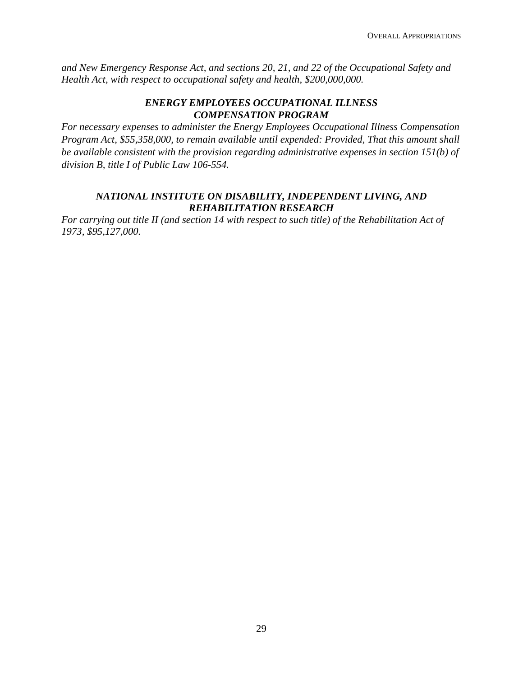*and New Emergency Response Act, and sections 20, 21, and 22 of the Occupational Safety and Health Act, with respect to occupational safety and health, \$200,000,000.*

### *ENERGY EMPLOYEES OCCUPATIONAL ILLNESS COMPENSATION PROGRAM*

*For necessary expenses to administer the Energy Employees Occupational Illness Compensation Program Act, \$55,358,000, to remain available until expended: Provided, That this amount shall be available consistent with the provision regarding administrative expenses in section 151(b) of division B, title I of Public Law 106-554.*

## *NATIONAL INSTITUTE ON DISABILITY, INDEPENDENT LIVING, AND REHABILITATION RESEARCH*

*For carrying out title II (and section 14 with respect to such title) of the Rehabilitation Act of 1973, \$95,127,000.*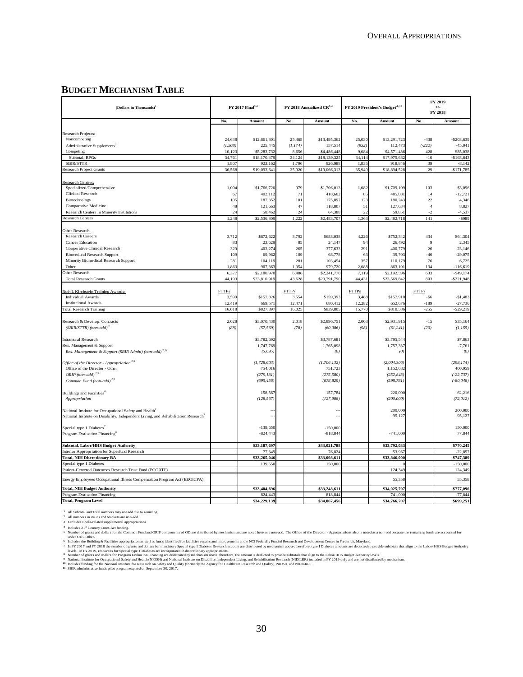#### **BUDGET MECHANISM TABLE**

| (Dollars in Thousands) <sup>1</sup>                                                            |                    | FY 2017 Final <sup>3,4</sup> |                    | FY 2018 Annualized CR <sup>3,4</sup> |                 | FY 2019 President's Budget <sup>4, 10</sup> |                    | FY 2019<br>$+/-$<br>FY 2018 |
|------------------------------------------------------------------------------------------------|--------------------|------------------------------|--------------------|--------------------------------------|-----------------|---------------------------------------------|--------------------|-----------------------------|
|                                                                                                | No.                | Amount                       | No.                | Amount                               | No.             | Amount                                      | No.                | Amount                      |
|                                                                                                |                    |                              |                    |                                      |                 |                                             |                    |                             |
| Research Projects:                                                                             |                    |                              |                    | \$13,495,362                         |                 |                                             |                    |                             |
| Noncompeting                                                                                   | 24,638<br>(1, 508) | \$12,661,301<br>225,445      | 25,468<br>(1, 174) | 157,514                              | 25,030<br>(952) | \$13,291,723<br>112,473                     | $-438$<br>$(-222)$ | $-$ \$203,639<br>$-45,04$   |
| Administrative Supplements <sup>2</sup><br>Competing                                           | 10,123             | \$5,283,732                  | 8,656              | \$4,486,448                          | 9,084           | \$4,571,486                                 | 428                | \$85,038                    |
| Subtotal, RPGs                                                                                 | 34,761             | \$18,170,479                 | 34,124             | \$18,139,325                         | 34,114          | \$17,975,682                                | $-10$              | $-$163,643$                 |
| SBIR/STTR                                                                                      | 1,807              | 923,162                      | 1,796              | 926,988                              | 1,835           | 918,846                                     | 39                 | $-8,142$                    |
| <b>Research Project Grants</b>                                                                 | 36,568             | \$19,093,641                 | 35,920             | \$19,066,313                         | 35,949          | \$18,894,528                                | 29                 | $-$171,785$                 |
|                                                                                                |                    |                              |                    |                                      |                 |                                             |                    |                             |
| Research Centers:                                                                              |                    |                              |                    |                                      |                 |                                             |                    |                             |
| Specialized/Comprehensive                                                                      | 1,004              | \$1,766,720                  | 979                | \$1,706,013                          | 1,082           | \$1,709,109                                 | 103                | \$3,096                     |
| Clinical Research                                                                              | 67                 | 402,112                      | 71                 | 418,602                              | 85              | 405,88                                      | 14                 | $-12,721$                   |
| Biotechnology                                                                                  | 105                | 187,352                      | 101                | 175,897                              | 123             | 180,243                                     | 22                 | 4,346                       |
| Comparative Medicine                                                                           | 48                 | 121,663                      | 47                 | 118,807                              | 51              | 127,634                                     |                    | 8,827                       |
| Research Centers in Minority Institutions                                                      | 24                 | 58,462                       | 24                 | 64,388                               | 22              | 59,85                                       |                    | $-4,537$                    |
| <b>Research Centers</b>                                                                        | 1.248              | \$2,536,309                  | 1,222              | \$2,483,707                          | 1.363           | \$2,482,718                                 | 141                | $-$ \$989                   |
|                                                                                                |                    |                              |                    |                                      |                 |                                             |                    |                             |
| Other Research:                                                                                |                    |                              |                    |                                      |                 |                                             |                    |                             |
| <b>Research Careers</b><br><b>Cancer Education</b>                                             | 3,712<br>83        | \$672,622                    | 3,792<br>85        | \$688,038                            | 4,226<br>94     | \$752,342                                   | 434                | \$64,304                    |
| Cooperative Clinical Research                                                                  | 329                | 23,629<br>403,274            | 265                | 24,147<br>377,633                    | 291             | 26,492<br>400,779                           | 26                 | 2,345<br>23,146             |
| <b>Biomedical Research Support</b>                                                             | 109                | 69,962                       | 109                | 68,778                               | 63              | 39,703                                      | $-46$              | $-29,075$                   |
| Minority Biomedical Research Support                                                           | 281                | 104,119                      | 281                | 103,454                              | 357             | 110,179                                     | 76                 | 6,725                       |
| Other                                                                                          | 1,863              | 907,363                      | 1,954              | 979,720                              | 2,088           | 863,101                                     | 134                | $-116,619$                  |
| Other Research                                                                                 | 6,377              | \$2,180,970                  | 6,486              | \$2,241,770                          | 7,119           | \$2,192,596                                 | 633                | $-$ \$49,174                |
| <b>Total Research Grants</b>                                                                   | 44,193             | \$23,810,919                 | 43,628             | \$23,791,790                         | 44,431          | \$23,569,842                                | 803                | $-$ \$221,948               |
|                                                                                                |                    |                              |                    |                                      |                 |                                             |                    |                             |
| Ruth L Kirchstein Training Awards:                                                             | <b>FTTPs</b>       |                              | <b>FTTPs</b>       |                                      | <b>FTTPs</b>    |                                             | <b>FTTPs</b>       |                             |
| <b>Individual Awards</b>                                                                       | 3,599              | \$157,826                    | 3,554              | \$159,393                            | 3,488           | \$157,910                                   | $-66$              | $-$1,483$                   |
| <b>Institutional Awards</b>                                                                    | 12,419             | 669,571                      | 12,471             | 680,412                              | 12,282          | 652,676                                     | $-189$             | $-27,736$                   |
| <b>Total Research Training</b>                                                                 | 16,018             | \$827,397                    | 16,025             | \$839,805                            | 15,770          | \$810,58                                    | $-255$             | \$29,219                    |
|                                                                                                |                    |                              |                    |                                      |                 |                                             |                    |                             |
| Research & Develop. Contracts                                                                  | 2,028              | \$3,070,430                  | 2,018              | \$2,896,751                          | 2,003           | \$2,931,915                                 | $-15$              | \$35,164                    |
| $(SBIR/STTR)$ (non-add) <sup>2</sup>                                                           | (88)               | (57, 569)                    | (78)               | (60,086)                             | (98)            | (61, 241)                                   | (20)               | (1, 155)                    |
|                                                                                                |                    |                              |                    |                                      |                 |                                             |                    |                             |
| <b>Intramural Research</b>                                                                     |                    | \$3,782,692                  |                    | \$3,787,681                          |                 | \$3,795,544                                 |                    | \$7,863                     |
| Res. Management & Support                                                                      |                    | 1,747,769                    |                    | 1,765,098                            |                 | 1,757,33                                    |                    | $-7,761$                    |
| Res. Management & Support (SBIR Admin) (non-add) <sup>2,11</sup>                               |                    | (5,695)                      |                    | (0)                                  |                 | (0)                                         |                    | (0)                         |
| Office of the Director - Appropriation <sup>2,5</sup>                                          |                    | (1, 728, 603)                |                    | (1,706,132)                          |                 | (2,004,306)                                 |                    | (298, 174)                  |
| Office of the Director - Other                                                                 |                    | 754,016                      |                    | 751,723                              |                 | 1,152,682                                   |                    | 400,959                     |
| ORIP (non-add) $^{2,5}$                                                                        |                    | (279, 131)                   |                    | (275, 580)                           |                 | (252, 843)                                  |                    | $(-22, 737)$                |
| Common Fund (non-add) <sup>2,5</sup>                                                           |                    | (695, 456)                   |                    | (678, 829)                           |                 | (598, 781)                                  |                    | $(-80,048)$                 |
|                                                                                                |                    |                              |                    |                                      |                 |                                             |                    |                             |
| Buildings and Facilities <sup>6</sup>                                                          |                    | 158,567                      |                    | 157,784                              |                 | 220,000                                     |                    | 62,216                      |
| Appropriation                                                                                  |                    | (128, 567)                   |                    | (127, 988)                           |                 | (200,000)                                   |                    | (72, 012)                   |
|                                                                                                |                    |                              |                    |                                      |                 |                                             |                    |                             |
| National Institute for Occupational Safety and Health <sup>7</sup>                             |                    |                              |                    |                                      |                 | 200,000                                     |                    | 200,000                     |
| National Institute on Disability, Independent Living, and Rehabilitation Research <sup>9</sup> |                    | $\sim$                       |                    | $-1$                                 |                 | 95,127                                      |                    | 95,127                      |
| Special type 1 Diabetes'                                                                       |                    | $-139,650$                   |                    | $-150,000$                           |                 |                                             |                    | 150,000                     |
|                                                                                                |                    | $-824,443$                   |                    | $-818,844$                           |                 | $-741,000$                                  |                    | 77,844                      |
| Program Evaluation Financing <sup>8</sup>                                                      |                    |                              |                    |                                      |                 |                                             |                    |                             |
| <b>Subtotal, Labor/HHS Budget Authority</b>                                                    |                    | \$33,187,697                 |                    | \$33,021,788                         |                 | \$33,792,033                                |                    | \$770,245                   |
| Interior Appropriation for Superfund Research                                                  |                    | 77,349                       |                    | 76,824                               |                 | 53,967                                      |                    | $-22,857$                   |
| <b>Total, NIH Discretionary BA</b>                                                             |                    | \$33,265,046                 |                    | \$33,098,611                         |                 | \$33,846,000                                |                    | \$747,389                   |
| Special type 1 Diabetes                                                                        |                    | 139,650                      |                    | 150,000                              |                 |                                             |                    | $-150,000$                  |
| Patient-Centered Outcomes Research Trust Fund (PCORTF)                                         |                    |                              |                    |                                      |                 | 124,349                                     |                    | 124,349                     |
| Energy Employees Occupational Illness Compensation Program Act (EEOICPA)                       |                    |                              |                    |                                      |                 | 55,358                                      |                    | 55,358                      |
|                                                                                                |                    |                              |                    |                                      |                 |                                             |                    |                             |
| <b>Total, NIH Budget Authority</b>                                                             |                    | \$33,404,696                 |                    | \$33,248,611                         |                 | \$34,025,707                                |                    | \$777,096                   |
| Program Evaluation Financing                                                                   |                    | 824,443                      |                    | 818,844                              |                 | 741,000                                     |                    | $-77,844$                   |
| <b>Total, Program Level</b>                                                                    |                    | \$34,229,139                 |                    | \$34,067,456                         |                 | \$34,766,707                                |                    | \$699,251                   |

All Subtotal and Total numbers may not add due to rounding.<br>All numbers in italics and brackets are non-add.

**1 2 3 4 5**

Excludes Ebola-related supplemental appropriations.<br>Includes 21<sup>st</sup> Contry Cures for the ding.<br>Wumber of grants and dollars for the Common Fund and ORIP components of OD are distributed by mechanism and are noted here as a

**6 7**

**8 9 10 11** National Institute for Occupational Safety and Health (NIOSH) and National Institute on Disability, Independent Living, and Rehabilitation Research (NIDILRR) included in FY 2019 only and are not distributed by mechanism.

Includes funding for the National Institute for Research on Safety and Quality (formerly the Agency for Healthcare Research and Quality), NIOSH, and NIDILRR.<br>SBIR administrative funds pilot program expired on September 30,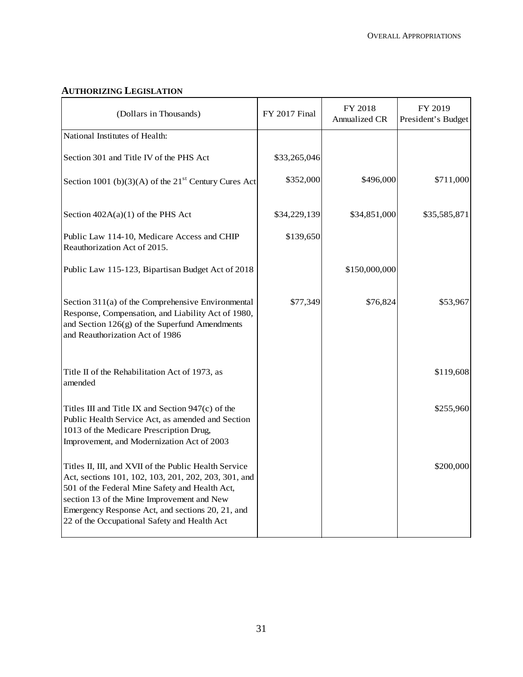## **AUTHORIZING LEGISLATION**

| (Dollars in Thousands)                                                                                                                                                                                                                                                                                            | FY 2017 Final | FY 2018<br>Annualized CR | FY 2019<br>President's Budget |
|-------------------------------------------------------------------------------------------------------------------------------------------------------------------------------------------------------------------------------------------------------------------------------------------------------------------|---------------|--------------------------|-------------------------------|
| National Institutes of Health:                                                                                                                                                                                                                                                                                    |               |                          |                               |
| Section 301 and Title IV of the PHS Act                                                                                                                                                                                                                                                                           | \$33,265,046  |                          |                               |
| Section 1001 (b)(3)(A) of the $21st$ Century Cures Act                                                                                                                                                                                                                                                            | \$352,000     | \$496,000                | \$711,000                     |
| Section $402A(a)(1)$ of the PHS Act                                                                                                                                                                                                                                                                               | \$34,229,139  | \$34,851,000             | \$35,585,871                  |
| Public Law 114-10, Medicare Access and CHIP<br>Reauthorization Act of 2015.                                                                                                                                                                                                                                       | \$139,650     |                          |                               |
| Public Law 115-123, Bipartisan Budget Act of 2018                                                                                                                                                                                                                                                                 |               | \$150,000,000            |                               |
| Section $311(a)$ of the Comprehensive Environmental<br>Response, Compensation, and Liability Act of 1980,<br>and Section 126(g) of the Superfund Amendments<br>and Reauthorization Act of 1986                                                                                                                    | \$77,349      | \$76,824                 | \$53,967                      |
| Title II of the Rehabilitation Act of 1973, as<br>amended                                                                                                                                                                                                                                                         |               |                          | \$119,608                     |
| Titles III and Title IX and Section $947(c)$ of the<br>Public Health Service Act, as amended and Section<br>1013 of the Medicare Prescription Drug,<br>Improvement, and Modernization Act of 2003                                                                                                                 |               |                          | \$255,960                     |
| Titles II, III, and XVII of the Public Health Service<br>Act, sections 101, 102, 103, 201, 202, 203, 301, and<br>501 of the Federal Mine Safety and Health Act,<br>section 13 of the Mine Improvement and New<br>Emergency Response Act, and sections 20, 21, and<br>22 of the Occupational Safety and Health Act |               |                          | \$200,000                     |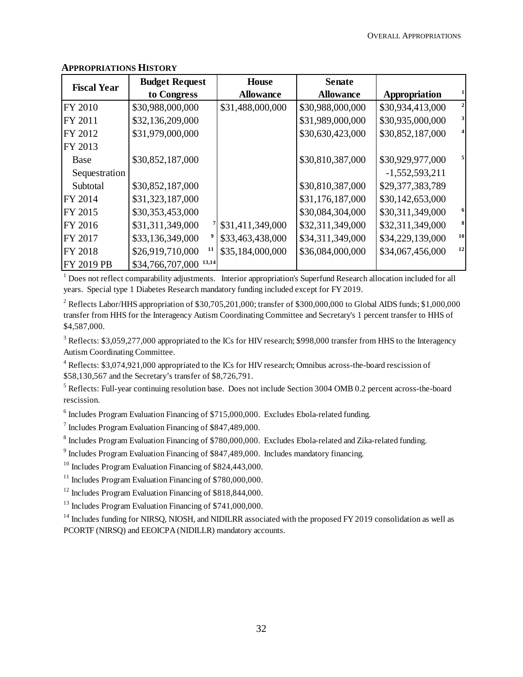| <b>Fiscal Year</b> | <b>Budget Request</b>  | <b>House</b>     | <b>Senate</b>    |                  |    |
|--------------------|------------------------|------------------|------------------|------------------|----|
|                    | to Congress            | <b>Allowance</b> | <b>Allowance</b> | Appropriation    |    |
| FY 2010            | \$30,988,000,000       | \$31,488,000,000 | \$30,988,000,000 | \$30,934,413,000 |    |
| FY 2011            | \$32,136,209,000       |                  | \$31,989,000,000 | \$30,935,000,000 | 3  |
| FY 2012            | \$31,979,000,000       |                  | \$30,630,423,000 | \$30,852,187,000 |    |
| FY 2013            |                        |                  |                  |                  |    |
| <b>Base</b>        | \$30,852,187,000       |                  | \$30,810,387,000 | \$30,929,977,000 |    |
| Sequestration      |                        |                  |                  | $-1,552,593,211$ |    |
| Subtotal           | \$30,852,187,000       |                  | \$30,810,387,000 | \$29,377,383,789 |    |
| FY 2014            | \$31,323,187,000       |                  | \$31,176,187,000 | \$30,142,653,000 |    |
| FY 2015            | \$30,353,453,000       |                  | \$30,084,304,000 | \$30,311,349,000 | 6  |
| FY 2016            | \$31,311,349,000       | \$31,411,349,000 | \$32,311,349,000 | \$32,311,349,000 | 8  |
| FY 2017            | \$33,136,349,000       | \$33,463,438,000 | \$34,311,349,000 | \$34,229,139,000 | 10 |
| FY 2018            | 11<br>\$26,919,710,000 | \$35,184,000,000 | \$36,084,000,000 | \$34,067,456,000 | 12 |
| FY 2019 PB         | \$34,766,707,000 13,14 |                  |                  |                  |    |

### **APPROPRIATIONS HISTORY**

 $1$  Does not reflect comparability adjustments. Interior appropriation's Superfund Research allocation included for all years. Special type 1 Diabetes Research mandatory funding included except for FY 2019.

<sup>2</sup> Reflects Labor/HHS appropriation of \$30,705,201,000; transfer of \$300,000,000 to Global AIDS funds; \$1,000,000 transfer from HHS for the Interagency Autism Coordinating Committee and Secretary's 1 percent transfer to HHS of \$4,587,000.

 $3$  Reflects: \$3,059,277,000 appropriated to the ICs for HIV research; \$998,000 transfer from HHS to the Interagency Autism Coordinating Committee.

<sup>4</sup> Reflects: \$3,074,921,000 appropriated to the ICs for HIV research; Omnibus across-the-board rescission of \$58,130,567 and the Secretary's transfer of \$8,726,791.

<sup>5</sup> Reflects: Full-year continuing resolution base. Does not include Section 3004 OMB 0.2 percent across-the-board rescission.

<sup>6</sup> Includes Program Evaluation Financing of \$715,000,000. Excludes Ebola-related funding.

<sup>7</sup> Includes Program Evaluation Financing of \$847,489,000.

 $^8$  Includes Program Evaluation Financing of \$780,000,000. Excludes Ebola-related and Zika-related funding.

<sup>9</sup> Includes Program Evaluation Financing of \$847,489,000. Includes mandatory financing.

<sup>10</sup> Includes Program Evaluation Financing of \$824,443,000.

 $11$  Includes Program Evaluation Financing of \$780,000,000.

<sup>12</sup> Includes Program Evaluation Financing of \$818,844,000.

<sup>13</sup> Includes Program Evaluation Financing of \$741,000,000.

 $14$  Includes funding for NIRSO, NIOSH, and NIDILRR associated with the proposed FY 2019 consolidation as well as PCORTF (NIRSQ) and EEOICPA (NIDILLR) mandatory accounts.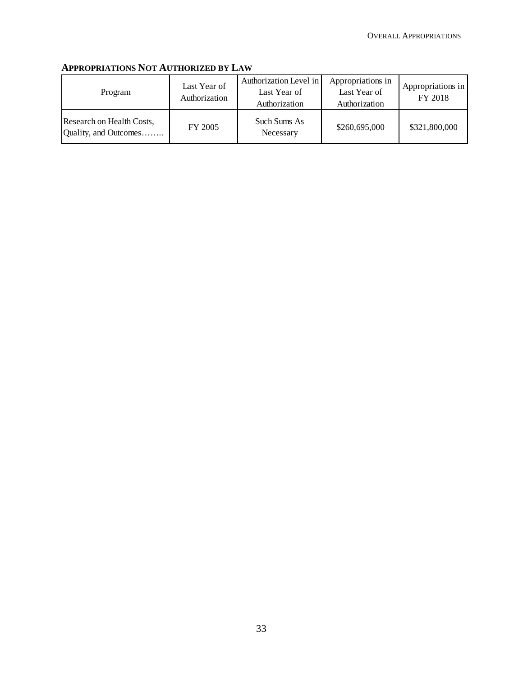# **APPROPRIATIONS NOT AUTHORIZED BY LAW**

| Program                                            | Last Year of<br>Authorization | Authorization Level in<br>Last Year of<br>Authorization | Appropriations in<br>Last Year of<br>Authorization | Appropriations in<br>FY 2018 |
|----------------------------------------------------|-------------------------------|---------------------------------------------------------|----------------------------------------------------|------------------------------|
| Research on Health Costs,<br>Quality, and Outcomes | FY 2005                       | Such Sums As<br>Necessary                               | \$260,695,000                                      | \$321,800,000                |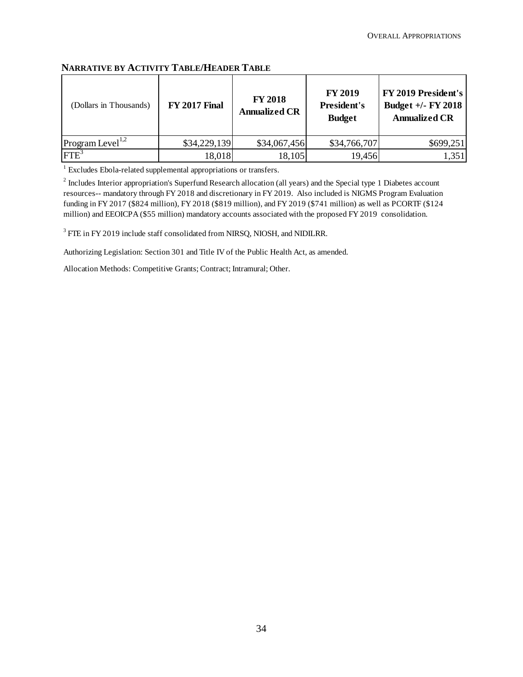| (Dollars in Thousands)       | <b>FY 2017 Final</b> | <b>FY 2018</b><br><b>Annualized CR</b> | <b>FY 2019</b><br><b>President's</b><br><b>Budget</b> | FY 2019 President's<br>Budget $+/-$ FY 2018<br><b>Annualized CR</b> |
|------------------------------|----------------------|----------------------------------------|-------------------------------------------------------|---------------------------------------------------------------------|
| Program Level <sup>1,2</sup> | \$34,229,139         | \$34,067,456                           | \$34,766,707                                          | \$699,251                                                           |
| IFTE <sup>3</sup>            | 18,018               | 18,105                                 | 19,456                                                | 1,351                                                               |

### **NARRATIVE BY ACTIVITY TABLE/HEADER TABLE**

<sup>1</sup> Excludes Ebola-related supplemental appropriations or transfers.

 $2^{2}$  Includes Interior appropriation's Superfund Research allocation (all years) and the Special type 1 Diabetes account resources-- mandatory through FY 2018 and discretionary in FY 2019. Also included is NIGMS Program Evaluation funding in FY 2017 (\$824 million), FY 2018 (\$819 million), and FY 2019 (\$741 million) as well as PCORTF (\$124 million) and EEOICPA (\$55 million) mandatory accounts associated with the proposed FY 2019 consolidation.

<sup>3</sup> FTE in FY 2019 include staff consolidated from NIRSQ, NIOSH, and NIDILRR.

Authorizing Legislation: Section 301 and Title IV of the Public Health Act, as amended.

Allocation Methods: Competitive Grants; Contract; Intramural; Other.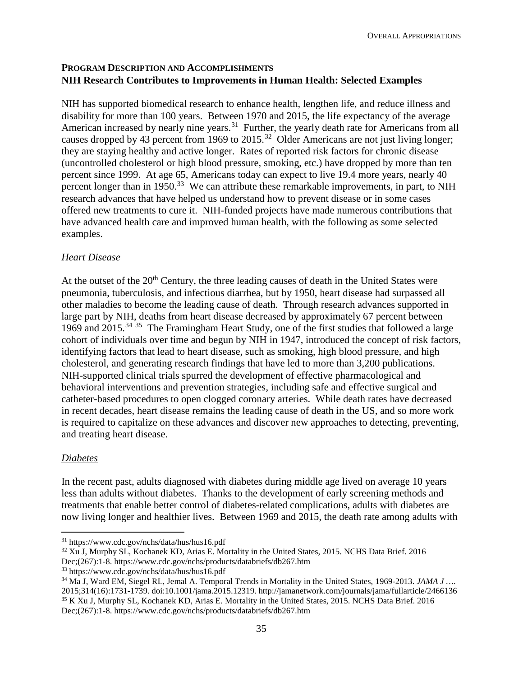## **PROGRAM DESCRIPTION AND ACCOMPLISHMENTS NIH Research Contributes to Improvements in Human Health: Selected Examples**

NIH has supported biomedical research to enhance health, lengthen life, and reduce illness and disability for more than 100 years. Between 1970 and 2015, the life expectancy of the average American increased by nearly nine years.<sup>[31](#page-10-0)</sup> Further, the yearly death rate for Americans from all causes dropped by 43 percent from 1969 to 2015.[32](#page-10-1) Older Americans are not just living longer; they are staying healthy and active longer. Rates of reported risk factors for chronic disease (uncontrolled cholesterol or high blood pressure, smoking, etc.) have dropped by more than ten percent since 1999. At age 65, Americans today can expect to live 19.4 more years, nearly 40 percent longer than in 1950.<sup>33</sup> We can attribute these remarkable improvements, in part, to NIH research advances that have helped us understand how to prevent disease or in some cases offered new treatments to cure it. NIH-funded projects have made numerous contributions that have advanced health care and improved human health, with the following as some selected examples.

## *Heart Disease*

At the outset of the 20<sup>th</sup> Century, the three leading causes of death in the United States were pneumonia, tuberculosis, and infectious diarrhea, but by 1950, heart disease had surpassed all other maladies to become the leading cause of death. Through research advances supported in large part by NIH, deaths from heart disease decreased by approximately 67 percent between 1969 and 2015.<sup>[34](#page-10-3) 35</sup> The Framingham Heart Study, one of the first studies that followed a large cohort of individuals over time and begun by NIH in 1947, introduced the concept of risk factors, identifying factors that lead to heart disease, such as smoking, high blood pressure, and high cholesterol, and generating research findings that have led to more than 3,200 publications. NIH-supported clinical trials spurred the development of effective pharmacological and behavioral interventions and prevention strategies, including safe and effective surgical and catheter-based procedures to open clogged coronary arteries. While death rates have decreased in recent decades, heart disease remains the leading cause of death in the US, and so more work is required to capitalize on these advances and discover new approaches to detecting, preventing, and treating heart disease.

## *Diabetes*

 $\overline{a}$ 

In the recent past, adults diagnosed with diabetes during middle age lived on average 10 years less than adults without diabetes. Thanks to the development of early screening methods and treatments that enable better control of diabetes-related complications, adults with diabetes are now living longer and healthier lives. Between 1969 and 2015, the death rate among adults with

<span id="page-10-4"></span><span id="page-10-3"></span><sup>34</sup> Ma J, Ward EM, Siegel RL, Jemal A. Temporal Trends in Mortality in the United States, 1969-2013. *JAMA J …*. 2015;314(16):1731-1739. doi:10.1001/jama.2015.12319. http://jamanetwork.com/journals/jama/fullarticle/2466136 35 K Xu J, Murphy SL, Kochanek KD, Arias E. Mortality in the United States, 2015. NCHS Data Brief. 2016 Dec;(267):1-8. https://www.cdc.gov/nchs/products/databriefs/db267.htm

<span id="page-10-0"></span><sup>31</sup> https://www.cdc.gov/nchs/data/hus/hus16.pdf

<span id="page-10-1"></span><sup>32</sup> Xu J, Murphy SL, Kochanek KD, Arias E. Mortality in the United States, 2015. NCHS Data Brief. 2016 Dec;(267):1-8. https://www.cdc.gov/nchs/products/databriefs/db267.htm

<span id="page-10-2"></span><sup>33</sup> https://www.cdc.gov/nchs/data/hus/hus16.pdf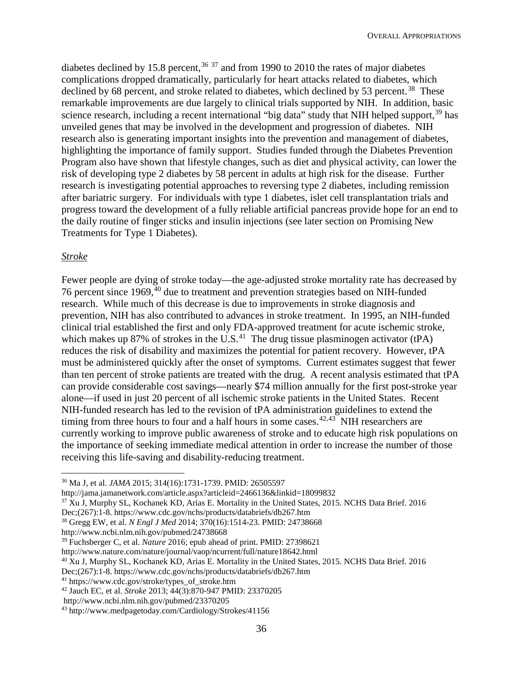diabetes declined by 15.8 percent,  $36\frac{37}{1}$  $36\frac{37}{1}$  and from 1990 to 2010 the rates of major diabetes complications dropped dramatically, particularly for heart attacks related to diabetes, which declined by 68 percent, and stroke related to diabetes, which declined by 53 percent.<sup>38</sup> These remarkable improvements are due largely to clinical trials supported by NIH. In addition, basic science research, including a recent international "big data" study that NIH helped support,<sup>[39](#page-11-3)</sup> has unveiled genes that may be involved in the development and progression of diabetes. NIH research also is generating important insights into the prevention and management of diabetes, highlighting the importance of family support. Studies funded through the Diabetes Prevention Program also have shown that lifestyle changes, such as diet and physical activity, can lower the risk of developing type 2 diabetes by 58 percent in adults at high risk for the disease. Further research is investigating potential approaches to reversing type 2 diabetes, including remission after bariatric surgery. For individuals with type 1 diabetes, islet cell transplantation trials and progress toward the development of a fully reliable artificial pancreas provide hope for an end to the daily routine of finger sticks and insulin injections (see later section on Promising New Treatments for Type 1 Diabetes).

#### *Stroke*

 $\overline{a}$ 

Fewer people are dying of stroke today—the age-adjusted stroke mortality rate has decreased by 76 percent since 1969,<sup>40</sup> due to treatment and prevention strategies based on NIH-funded research. While much of this decrease is due to improvements in stroke diagnosis and prevention, NIH has also contributed to advances in stroke treatment. In 1995, an NIH-funded clinical trial established the first and only FDA-approved treatment for acute ischemic stroke, which makes up 87% of strokes in the U.S.<sup>[41](#page-11-5)</sup> The drug tissue plasminogen activator (tPA) reduces the risk of disability and maximizes the potential for patient recovery. However, tPA must be administered quickly after the onset of symptoms. Current estimates suggest that fewer than ten percent of stroke patients are treated with the drug. A recent analysis estimated that tPA can provide considerable cost savings—nearly \$74 million annually for the first post-stroke year alone—if used in just 20 percent of all ischemic stroke patients in the United States. Recent NIH-funded research has led to the revision of tPA administration guidelines to extend the timing from three hours to four and a half hours in some cases.<sup>[42](#page-11-6),43</sup> NIH researchers are currently working to improve public awareness of stroke and to educate high risk populations on the importance of seeking immediate medical attention in order to increase the number of those receiving this life-saving and disability-reducing treatment.

<span id="page-11-1"></span><sup>37</sup> Xu J, Murphy SL, Kochanek KD, Arias E. Mortality in the United States, 2015. NCHS Data Brief. 2016

Dec;(267):1-8. https://www.cdc.gov/nchs/products/databriefs/db267.htm

http://www.ncbi.nlm.nih.gov/pubmed/24738668

<span id="page-11-3"></span><sup>39</sup> Fuchsberger C, et al. *Nature* 2016; epub ahead of print. PMID: 27398621

<span id="page-11-5"></span><sup>41</sup> https://www.cdc.gov/stroke/types\_of\_stroke.htm

<span id="page-11-0"></span><sup>36</sup> Ma J, et al. *JAMA* 2015; 314(16):1731-1739. PMID: 26505597

http://jama.jamanetwork.com/article.aspx?articleid=2466136&linkid=18099832

<span id="page-11-2"></span><sup>38</sup> Gregg EW, et al. *N Engl J Med* 2014; 370(16):1514-23. PMID: 24738668

http://www.nature.com/nature/journal/vaop/ncurrent/full/nature18642.html

<span id="page-11-4"></span><sup>40</sup> Xu J, Murphy SL, Kochanek KD, Arias E. Mortality in the United States, 2015. NCHS Data Brief. 2016

Dec;(267):1-8. https://www.cdc.gov/nchs/products/databriefs/db267.htm

<span id="page-11-6"></span><sup>42</sup> Jauch EC, et al. *Stroke* 2013; 44(3):870-947 PMID: 23370205

http://www.ncbi.nlm.nih.gov/pubmed/23370205

<span id="page-11-7"></span><sup>43</sup> http://www.medpagetoday.com/Cardiology/Strokes/41156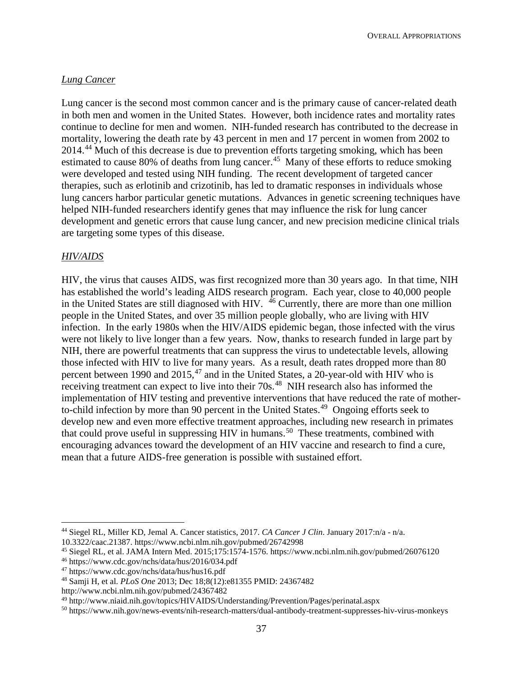### *Lung Cancer*

Lung cancer is the second most common cancer and is the primary cause of cancer-related death in both men and women in the United States. However, both incidence rates and mortality rates continue to decline for men and women. NIH-funded research has contributed to the decrease in mortality, lowering the death rate by 43 percent in men and 17 percent in women from 2002 to 2014.[44](#page-12-0) Much of this decrease is due to prevention efforts targeting smoking, which has been estimated to cause 80% of deaths from lung cancer.<sup>[45](#page-12-1)</sup> Many of these efforts to reduce smoking were developed and tested using NIH funding. The recent development of targeted cancer therapies, such as erlotinib and crizotinib, has led to dramatic responses in individuals whose lung cancers harbor particular genetic mutations. Advances in genetic screening techniques have helped NIH-funded researchers identify genes that may influence the risk for lung cancer development and genetic errors that cause lung cancer, and new precision medicine clinical trials are targeting some types of this disease.

#### *HIV/AIDS*

 $\overline{a}$ 

HIV, the virus that causes AIDS, was first recognized more than 30 years ago. In that time, NIH has established the world's leading AIDS research program. Each year, close to 40,000 people in the United States are still diagnosed with HIV. [46](#page-12-2) Currently, there are more than one million people in the United States, and over 35 million people globally, who are living with HIV infection. In the early 1980s when the HIV/AIDS epidemic began, those infected with the virus were not likely to live longer than a few years. Now, thanks to research funded in large part by NIH, there are powerful treatments that can suppress the virus to undetectable levels, allowing those infected with HIV to live for many years. As a result, death rates dropped more than 80 percent between 1990 and 2015, $47$  and in the United States, a 20-year-old with HIV who is receiving treatment can expect to live into their 70s.<sup>[48](#page-12-4)</sup> NIH research also has informed the implementation of HIV testing and preventive interventions that have reduced the rate of motherto-child infection by more than 90 percent in the United States.<sup>49</sup> Ongoing efforts seek to develop new and even more effective treatment approaches, including new research in primates that could prove useful in suppressing HIV in humans.<sup>[50](#page-12-6)</sup> These treatments, combined with encouraging advances toward the development of an HIV vaccine and research to find a cure, mean that a future AIDS-free generation is possible with sustained effort.

<span id="page-12-0"></span><sup>44</sup> Siegel RL, Miller KD, Jemal A. Cancer statistics, 2017. *CA Cancer J Clin*. January 2017:n/a - n/a. 10.3322/caac.21387. https://www.ncbi.nlm.nih.gov/pubmed/26742998

<span id="page-12-2"></span><span id="page-12-1"></span><sup>&</sup>lt;sup>45</sup> Siegel RL, et al. JAMA Intern Med. 2015;175:1574-1576. https://www.ncbi.nlm.nih.gov/pubmed/26076120  $^{46}$  https://www.cdc.gov/nchs/data/hus/2016/034.pdf

<span id="page-12-3"></span><sup>47</sup> https://www.cdc.gov/nchs/data/hus/hus16.pdf

<span id="page-12-4"></span><sup>48</sup> Samji H, et al. *PLoS One* 2013; Dec 18;8(12):e81355 PMID: 24367482

http://www.ncbi.nlm.nih.gov/pubmed/24367482

<span id="page-12-5"></span><sup>49</sup> http://www.niaid.nih.gov/topics/HIVAIDS/Understanding/Prevention/Pages/perinatal.aspx

<span id="page-12-6"></span><sup>50</sup> https://www.nih.gov/news-events/nih-research-matters/dual-antibody-treatment-suppresses-hiv-virus-monkeys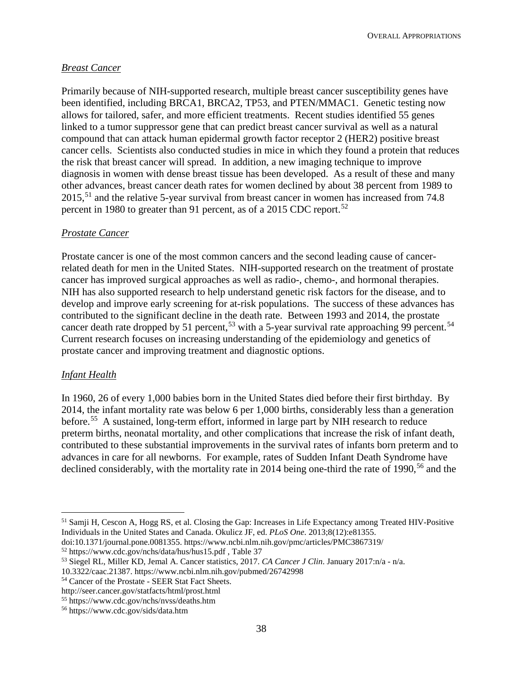## *Breast Cancer*

Primarily because of NIH-supported research, multiple breast cancer susceptibility genes have been identified, including BRCA1, BRCA2, TP53, and PTEN/MMAC1. Genetic testing now allows for tailored, safer, and more efficient treatments. Recent studies identified 55 genes linked to a tumor suppressor gene that can predict breast cancer survival as well as a natural compound that can attack human epidermal growth factor receptor 2 (HER2) positive breast cancer cells. Scientists also conducted studies in mice in which they found a protein that reduces the risk that breast cancer will spread. In addition, a new imaging technique to improve diagnosis in women with dense breast tissue has been developed. As a result of these and many other advances, breast cancer death rates for women declined by about 38 percent from 1989 to 2015,<sup>[51](#page-13-0)</sup> and the relative 5-year survival from breast cancer in women has increased from 74.8 percent in 1980 to greater than 91 percent, as of a 2015 CDC report.<sup>[52](#page-13-1)</sup>

### *Prostate Cancer*

Prostate cancer is one of the most common cancers and the second leading cause of cancerrelated death for men in the United States. NIH-supported research on the treatment of prostate cancer has improved surgical approaches as well as radio-, chemo-, and hormonal therapies. NIH has also supported research to help understand genetic risk factors for the disease, and to develop and improve early screening for at-risk populations. The success of these advances has contributed to the significant decline in the death rate. Between 1993 and 2014, the prostate cancer death rate dropped by 51 percent,<sup>[53](#page-13-2)</sup> with a 5-year survival rate approaching 99 percent.<sup>54</sup> Current research focuses on increasing understanding of the epidemiology and genetics of prostate cancer and improving treatment and diagnostic options.

#### *Infant Health*

 $\overline{a}$ 

In 1960, 26 of every 1,000 babies born in the United States died before their first birthday. By 2014, the infant mortality rate was below 6 per 1,000 births, considerably less than a generation before.<sup>[55](#page-13-4)</sup> A sustained, long-term effort, informed in large part by NIH research to reduce preterm births, neonatal mortality, and other complications that increase the risk of infant death, contributed to these substantial improvements in the survival rates of infants born preterm and to advances in care for all newborns.For example, rates of Sudden Infant Death Syndrome have declined considerably, with the mortality rate in 2014 being one-third the rate of 1990,<sup>[56](#page-13-5)</sup> and the

<span id="page-13-0"></span><sup>51</sup> Samji H, Cescon A, Hogg RS, et al. Closing the Gap: Increases in Life Expectancy among Treated HIV-Positive Individuals in the United States and Canada. Okulicz JF, ed. *PLoS One*. 2013;8(12):e81355.

<span id="page-13-1"></span>doi:10.1371/journal.pone.0081355. https://www.ncbi.nlm.nih.gov/pmc/articles/PMC3867319/ <sup>52</sup> https://www.cdc.gov/nchs/data/hus/hus15.pdf , Table 37

<span id="page-13-2"></span><sup>53</sup> Siegel RL, Miller KD, Jemal A. Cancer statistics, 2017. *CA Cancer J Clin*. January 2017:n/a - n/a.

<sup>10.3322/</sup>caac.21387. https://www.ncbi.nlm.nih.gov/pubmed/26742998

<span id="page-13-3"></span><sup>54</sup> Cancer of the Prostate - SEER Stat Fact Sheets.

http://seer.cancer.gov/statfacts/html/prost.html

<span id="page-13-4"></span><sup>55</sup> https://www.cdc.gov/nchs/nvss/deaths.htm

<span id="page-13-5"></span><sup>56</sup> https://www.cdc.gov/sids/data.htm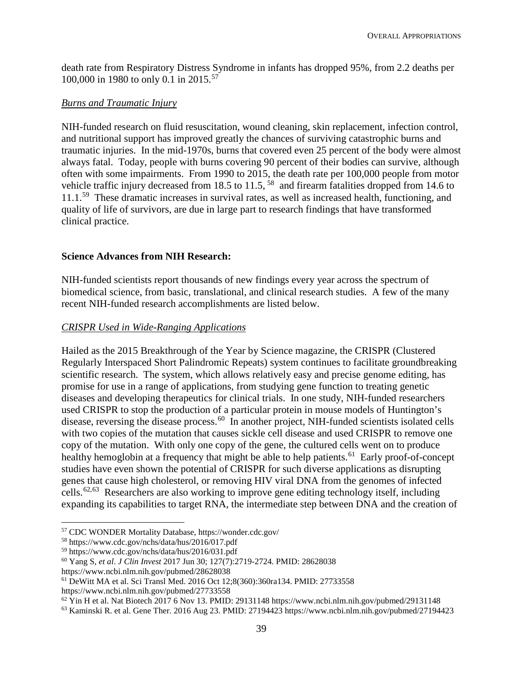death rate from Respiratory Distress Syndrome in infants has dropped 95%, from 2.2 deaths per 100,000 in 1980 to only 0.1 in 2015.<sup>57</sup>

## *Burns and Traumatic Injury*

NIH-funded research on fluid resuscitation, wound cleaning, skin replacement, infection control, and nutritional support has improved greatly the chances of surviving catastrophic burns and traumatic injuries. In the mid-1970s, burns that covered even 25 percent of the body were almost always fatal. Today, people with burns covering 90 percent of their bodies can survive, although often with some impairments. From 1990 to 2015, the death rate per 100,000 people from motor vehicle traffic injury decreased from 18.5 to 11.5, <sup>[58](#page-14-1)</sup> and firearm fatalities dropped from 14.6 to 11.1.<sup>59</sup> These dramatic increases in survival rates, as well as increased health, functioning, and quality of life of survivors, are due in large part to research findings that have transformed clinical practice.

## **Science Advances from NIH Research:**

NIH-funded scientists report thousands of new findings every year across the spectrum of biomedical science, from basic, translational, and clinical research studies. A few of the many recent NIH-funded research accomplishments are listed below.

## *CRISPR Used in Wide-Ranging Applications*

Hailed as the 2015 Breakthrough of the Year by Science magazine, the CRISPR (Clustered Regularly Interspaced Short Palindromic Repeats) system continues to facilitate groundbreaking scientific research. The system, which allows relatively easy and precise genome editing, has promise for use in a range of applications, from studying gene function to treating genetic diseases and developing therapeutics for clinical trials. In one study, NIH-funded researchers used CRISPR to stop the production of a particular protein in mouse models of Huntington's disease, reversing the disease process.<sup>[60](#page-14-3)</sup> In another project, NIH-funded scientists isolated cells with two copies of the mutation that causes sickle cell disease and used CRISPR to remove one copy of the mutation. With only one copy of the gene, the cultured cells went on to produce healthy hemoglobin at a frequency that might be able to help patients.<sup>61</sup> Early proof-of-concept studies have even shown the potential of CRISPR for such diverse applications as disrupting genes that cause high cholesterol, or removing HIV viral DNA from the genomes of infected cells.<sup>[62,](#page-14-5)[63](#page-14-6)</sup> Researchers are also working to improve gene editing technology itself, including expanding its capabilities to target RNA, the intermediate step between DNA and the creation of

<span id="page-14-0"></span> $\overline{a}$ <sup>57</sup> CDC WONDER Mortality Database, https://wonder.cdc.gov/ 58 https://www.cdc.gov/nchs/data/hus/2016/017.pdf

<span id="page-14-1"></span>

<span id="page-14-2"></span><sup>59</sup> https://www.cdc.gov/nchs/data/hus/2016/031.pdf

<span id="page-14-3"></span><sup>60</sup> Yang S, *et al*. *J Clin Invest* 2017 Jun 30; 127(7):2719-2724. PMID: 28628038

<span id="page-14-4"></span>https://www.ncbi.nlm.nih.gov/pubmed/28628038<br><sup>61</sup> DeWitt MA et al. Sci Transl Med. 2016 Oct 12;8(360):360ra134. PMID: 27733558<br>https://www.ncbi.nlm.nih.gov/pubmed/27733558

<span id="page-14-6"></span><span id="page-14-5"></span> $^{62}$  Yin H et al. Nat Biotech 2017 6 Nov 13. PMID: 29131148 https://www.ncbi.nlm.nih.gov/pubmed/29131148<br><sup>63</sup> Kaminski R. et al. Gene Ther. 2016 Aug 23. PMID: 27194423 https://www.ncbi.nlm.nih.gov/pubmed/27194423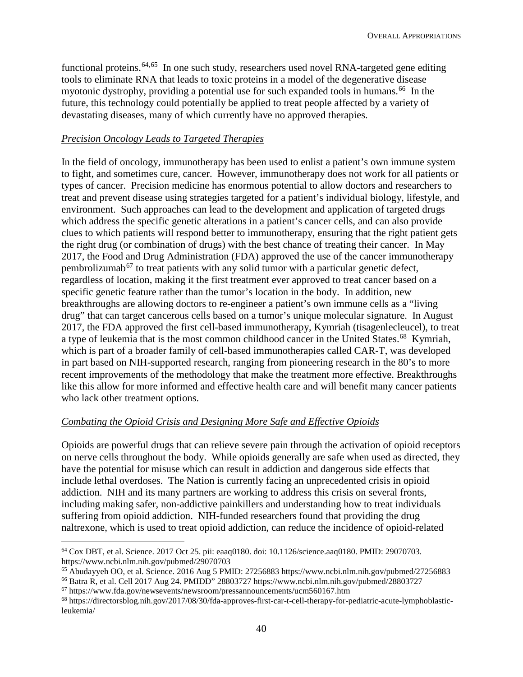functional proteins.<sup>[64](#page-15-0),65</sup> In one such study, researchers used novel RNA-targeted gene editing tools to eliminate RNA that leads to toxic proteins in a model of the degenerative disease myotonic dystrophy, providing a potential use for such expanded tools in humans.<sup>66</sup> In the future, this technology could potentially be applied to treat people affected by a variety of devastating diseases, many of which currently have no approved therapies.

### *Precision Oncology Leads to Targeted Therapies*

In the field of oncology, immunotherapy has been used to enlist a patient's own immune system to fight, and sometimes cure, cancer. However, immunotherapy does not work for all patients or types of cancer. Precision medicine has enormous potential to allow doctors and researchers to treat and prevent disease using strategies targeted for a patient's individual biology, lifestyle, and environment. Such approaches can lead to the development and application of targeted drugs which address the specific genetic alterations in a patient's cancer cells, and can also provide clues to which patients will respond better to immunotherapy, ensuring that the right patient gets the right drug (or combination of drugs) with the best chance of treating their cancer. In May 2017, the Food and Drug Administration (FDA) approved the use of the cancer immunotherapy pembrolizumab<sup>[67](#page-15-3)</sup> to treat patients with any solid tumor with a particular genetic defect, regardless of location, making it the first treatment ever approved to treat cancer based on a specific genetic feature rather than the tumor's location in the body. In addition, new breakthroughs are allowing doctors to re-engineer a patient's own immune cells as a "living drug" that can target cancerous cells based on a tumor's unique molecular signature. In August 2017, the FDA approved the first cell-based immunotherapy, Kymriah (tisagenlecleucel), to treat a type of leukemia that is the most common childhood cancer in the United States.<sup>[68](#page-15-4)</sup> Kymriah, which is part of a broader family of cell-based immunotherapies called CAR-T, was developed in part based on NIH-supported research, ranging from pioneering research in the 80's to more recent improvements of the methodology that make the treatment more effective. Breakthroughs like this allow for more informed and effective health care and will benefit many cancer patients who lack other treatment options.

#### *Combating the Opioid Crisis and Designing More Safe and Effective Opioids*

Opioids are powerful drugs that can relieve severe pain through the activation of opioid receptors on nerve cells throughout the body. While opioids generally are safe when used as directed, they have the potential for misuse which can result in addiction and dangerous side effects that include lethal overdoses. The Nation is currently facing an unprecedented crisis in opioid addiction. NIH and its many partners are working to address this crisis on several fronts, including making safer, non-addictive painkillers and understanding how to treat individuals suffering from opioid addiction. NIH-funded researchers found that providing the drug naltrexone, which is used to treat opioid addiction, can reduce the incidence of opioid-related

<span id="page-15-0"></span> $\overline{a}$  $64$  Cox DBT, et al. Science. 2017 Oct 25. pii: eaaq0180. doi: 10.1126/science.aaq0180. PMID: 29070703.<br>https://www.ncbi.nlm.nih.gov/pubmed/29070703

<span id="page-15-1"></span><sup>&</sup>lt;sup>65</sup> Abudayyeh OO, et al. Science. 2016 Aug 5 PMID: 27256883 https://www.ncbi.nlm.nih.gov/pubmed/27256883<br><sup>66</sup> Batra R, et al. Cell 2017 Aug 24. PMIDD" 28803727 https://www.ncbi.nlm.nih.gov/pubmed/28803727<br><sup>67</sup> https://ww

<span id="page-15-3"></span><span id="page-15-2"></span>

<span id="page-15-4"></span><sup>68</sup> https://directorsblog.nih.gov/2017/08/30/fda-approves-first-car-t-cell-therapy-for-pediatric-acute-lymphoblasticleukemia/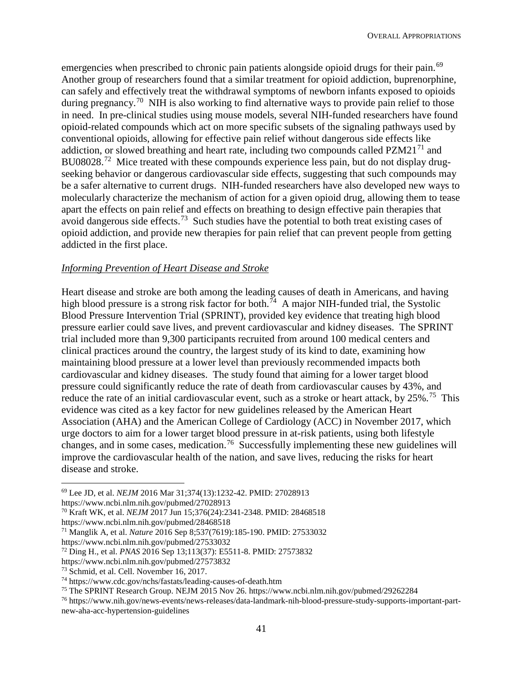emergencies when prescribed to chronic pain patients alongside opioid drugs for their pain.<sup>69</sup> Another group of researchers found that a similar treatment for opioid addiction, buprenorphine, can safely and effectively treat the withdrawal symptoms of newborn infants exposed to opioids during pregnancy.<sup>[70](#page-16-1)</sup> NIH is also working to find alternative ways to provide pain relief to those in need. In pre-clinical studies using mouse models, several NIH-funded researchers have found opioid-related compounds which act on more specific subsets of the signaling pathways used by conventional opioids, allowing for effective pain relief without dangerous side effects like addiction, or slowed breathing and heart rate, including two compounds called  $PZM21<sup>71</sup>$  $PZM21<sup>71</sup>$  $PZM21<sup>71</sup>$  and BU08028.<sup>[72](#page-16-3)</sup> Mice treated with these compounds experience less pain, but do not display drugseeking behavior or dangerous cardiovascular side effects, suggesting that such compounds may be a safer alternative to current drugs. NIH-funded researchers have also developed new ways to molecularly characterize the mechanism of action for a given opioid drug, allowing them to tease apart the effects on pain relief and effects on breathing to design effective pain therapies that avoid dangerous side effects.[73](#page-16-4) Such studies have the potential to both treat existing cases of opioid addiction, and provide new therapies for pain relief that can prevent people from getting addicted in the first place.

### *Informing Prevention of Heart Disease and Stroke*

Heart disease and stroke are both among the leading causes of death in Americans, and having high blood pressure is a strong risk factor for both.<sup>[74](#page-16-5)</sup> A major NIH-funded trial, the Systolic Blood Pressure Intervention Trial (SPRINT), provided key evidence that treating high blood pressure earlier could save lives, and prevent cardiovascular and kidney diseases. The SPRINT trial included more than 9,300 participants recruited from around 100 medical centers and clinical practices around the country, the largest study of its kind to date, examining how maintaining blood pressure at a lower level than previously recommended impacts both cardiovascular and kidney diseases. The study found that aiming for a lower target blood pressure could significantly reduce the rate of death from cardiovascular causes by 43%, and reduce the rate of an initial cardiovascular event, such as a stroke or heart attack, by 25%.<sup>75</sup> This evidence was cited as a key factor for new guidelines released by the American Heart Association (AHA) and the American College of Cardiology (ACC) in November 2017, which urge doctors to aim for a lower target blood pressure in at-risk patients, using both lifestyle changes, and in some cases, medication.[76](#page-16-7) Successfully implementing these new guidelines will improve the cardiovascular health of the nation, and save lives, reducing the risks for heart disease and stroke.

https://www.ncbi.nlm.nih.gov/pubmed/28468518

 $\overline{a}$ 

<span id="page-16-0"></span><sup>69</sup> Lee JD, et al. *NEJM* 2016 Mar 31;374(13):1232-42. PMID: 27028913

https://www.ncbi.nlm.nih.gov/pubmed/27028913

<span id="page-16-1"></span><sup>70</sup> Kraft WK, et al. *NEJM* 2017 Jun 15;376(24):2341-2348. PMID: 28468518

<span id="page-16-2"></span><sup>71</sup> Manglik A, et al. *Nature* 2016 Sep 8;537(7619):185-190. PMID: 27533032 https://www.ncbi.nlm.nih.gov/pubmed/27533032

<span id="page-16-3"></span><sup>72</sup> Ding H., et al. *PNAS* 2016 Sep 13;113(37): E5511-8. PMID: 27573832

https://www.ncbi.nlm.nih.gov/pubmed/27573832

<span id="page-16-4"></span><sup>73</sup> Schmid, et al. Cell. November 16, 2017.

<span id="page-16-6"></span><span id="page-16-5"></span><sup>&</sup>lt;sup>74</sup> https://www.cdc.gov/nchs/fastats/leading-causes-of-death.htm<br><sup>75</sup> The SPRINT Research Group. NEJM 2015 Nov 26. https://www.ncbi.nlm.nih.gov/pubmed/29262284

<span id="page-16-7"></span><sup>&</sup>lt;sup>76</sup> https://www.nih.gov/news-events/news-releases/data-landmark-nih-blood-pressure-study-supports-important-partnew-aha-acc-hypertension-guidelines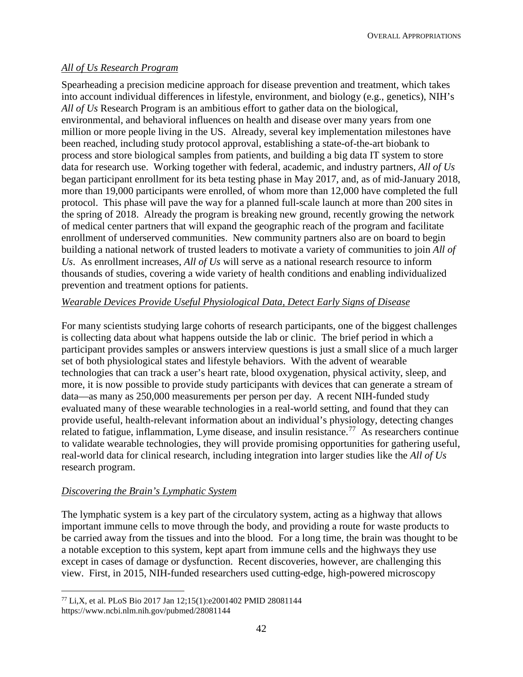OVERALL APPROPRIATIONS

## *All of Us Research Program*

Spearheading a precision medicine approach for disease prevention and treatment, which takes into account individual differences in lifestyle, environment, and biology (e.g., genetics), NIH's *All of Us* Research Program is an ambitious effort to gather data on the biological, environmental, and behavioral influences on health and disease over many years from one million or more people living in the US. Already, several key implementation milestones have been reached, including study protocol approval, establishing a state-of-the-art biobank to process and store biological samples from patients, and building a big data IT system to store data for research use. Working together with federal, academic, and industry partners, *All of Us* began participant enrollment for its beta testing phase in May 2017, and, as of mid-January 2018, more than 19,000 participants were enrolled, of whom more than 12,000 have completed the full protocol. This phase will pave the way for a planned full-scale launch at more than 200 sites in the spring of 2018. Already the program is breaking new ground, recently growing the network of medical center partners that will expand the geographic reach of the program and facilitate enrollment of underserved communities. New community partners also are on board to begin building a national network of trusted leaders to motivate a variety of communities to join *All of Us*. As enrollment increases, *All of Us* will serve as a national research resource to inform thousands of studies, covering a wide variety of health conditions and enabling individualized prevention and treatment options for patients.

## *Wearable Devices Provide Useful Physiological Data, Detect Early Signs of Disease*

For many scientists studying large cohorts of research participants, one of the biggest challenges is collecting data about what happens outside the lab or clinic. The brief period in which a participant provides samples or answers interview questions is just a small slice of a much larger set of both physiological states and lifestyle behaviors. With the advent of wearable technologies that can track a user's heart rate, blood oxygenation, physical activity, sleep, and more, it is now possible to provide study participants with devices that can generate a stream of data—as many as 250,000 measurements per person per day. A recent NIH-funded study evaluated many of these wearable technologies in a real-world setting, and found that they can provide useful, health-relevant information about an individual's physiology, detecting changes related to fatigue, inflammation, Lyme disease, and insulin resistance.<sup>77</sup> As researchers continue to validate wearable technologies, they will provide promising opportunities for gathering useful, real-world data for clinical research, including integration into larger studies like the *All of Us* research program.

## *Discovering the Brain's Lymphatic System*

The lymphatic system is a key part of the circulatory system, acting as a highway that allows important immune cells to move through the body, and providing a route for waste products to be carried away from the tissues and into the blood. For a long time, the brain was thought to be a notable exception to this system, kept apart from immune cells and the highways they use except in cases of damage or dysfunction. Recent discoveries, however, are challenging this view. First, in 2015, NIH-funded researchers used cutting-edge, high-powered microscopy

<span id="page-17-0"></span> $\overline{a}$ <sup>77</sup> Li,X, et al. PLoS Bio 2017 Jan 12;15(1):e2001402 PMID 28081144 https://www.ncbi.nlm.nih.gov/pubmed/28081144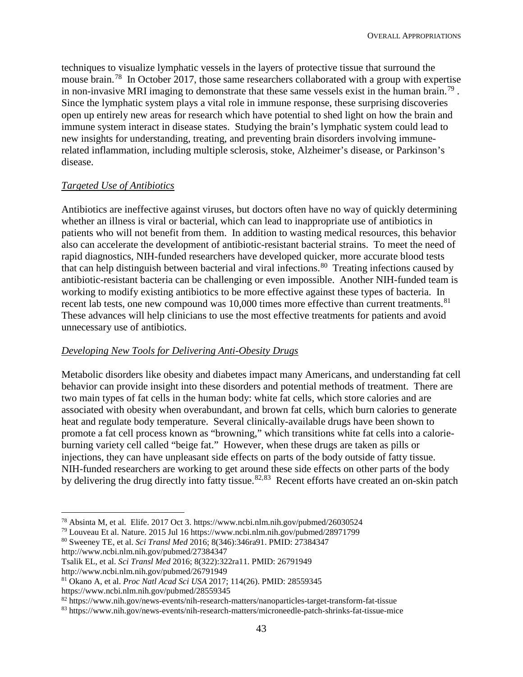techniques to visualize lymphatic vessels in the layers of protective tissue that surround the mouse brain.<sup>78</sup> In October 2017, those same researchers collaborated with a group with expertise in non-invasive MRI imaging to demonstrate that these same vessels exist in the human brain.<sup>[79](#page-18-1)</sup>. Since the lymphatic system plays a vital role in immune response, these surprising discoveries open up entirely new areas for research which have potential to shed light on how the brain and immune system interact in disease states. Studying the brain's lymphatic system could lead to new insights for understanding, treating, and preventing brain disorders involving immunerelated inflammation, including multiple sclerosis, stoke, Alzheimer's disease, or Parkinson's disease.

## *Targeted Use of Antibiotics*

Antibiotics are ineffective against viruses, but doctors often have no way of quickly determining whether an illness is viral or bacterial, which can lead to inappropriate use of antibiotics in patients who will not benefit from them. In addition to wasting medical resources, this behavior also can accelerate the development of antibiotic-resistant bacterial strains. To meet the need of rapid diagnostics, NIH-funded researchers have developed quicker, more accurate blood tests that can help distinguish between bacterial and viral infections.<sup>80</sup> Treating infections caused by antibiotic-resistant bacteria can be challenging or even impossible. Another NIH-funded team is working to modify existing antibiotics to be more effective against these types of bacteria. In recent lab tests, one new compound was 10,000 times more effective than current treatments.<sup>[81](#page-18-3)</sup> These advances will help clinicians to use the most effective treatments for patients and avoid unnecessary use of antibiotics.

#### *Developing New Tools for Delivering Anti-Obesity Drugs*

Metabolic disorders like obesity and diabetes impact many Americans, and understanding fat cell behavior can provide insight into these disorders and potential methods of treatment. There are two main types of fat cells in the human body: white fat cells, which store calories and are associated with obesity when overabundant, and brown fat cells, which burn calories to generate heat and regulate body temperature. Several clinically-available drugs have been shown to promote a fat cell process known as "browning," which transitions white fat cells into a calorieburning variety cell called "beige fat." However, when these drugs are taken as pills or injections, they can have unpleasant side effects on parts of the body outside of fatty tissue. NIH-funded researchers are working to get around these side effects on other parts of the body by delivering the drug directly into fatty tissue.<sup>[82,](#page-18-4)[83](#page-18-5)</sup> Recent efforts have created an on-skin patch

<span id="page-18-2"></span><sup>80</sup> Sweeney TE, et al. *Sci Transl Med* 2016; 8(346):346ra91. PMID: 27384347 http://www.ncbi.nlm.nih.gov/pubmed/27384347

http://www.ncbi.nlm.nih.gov/pubmed/26791949

https://www.ncbi.nlm.nih.gov/pubmed/28559345

<span id="page-18-0"></span> <sup>78</sup> Absinta M, et al. Elife. 2017 Oct 3. https://www.ncbi.nlm.nih.gov/pubmed/26030524

<span id="page-18-1"></span><sup>79</sup> Louveau Et al. Nature. 2015 Jul 16 https://www.ncbi.nlm.nih.gov/pubmed/28971799

Tsalik EL, et al. *Sci Transl Med* 2016; 8(322):322ra11. PMID: 26791949

<span id="page-18-3"></span><sup>81</sup> Okano A, et al. *Proc Natl Acad Sci USA* 2017; 114(26). PMID: 28559345

<span id="page-18-4"></span><sup>82</sup> https://www.nih.gov/news-events/nih-research-matters/nanoparticles-target-transform-fat-tissue

<span id="page-18-5"></span><sup>83</sup> https://www.nih.gov/news-events/nih-research-matters/microneedle-patch-shrinks-fat-tissue-mice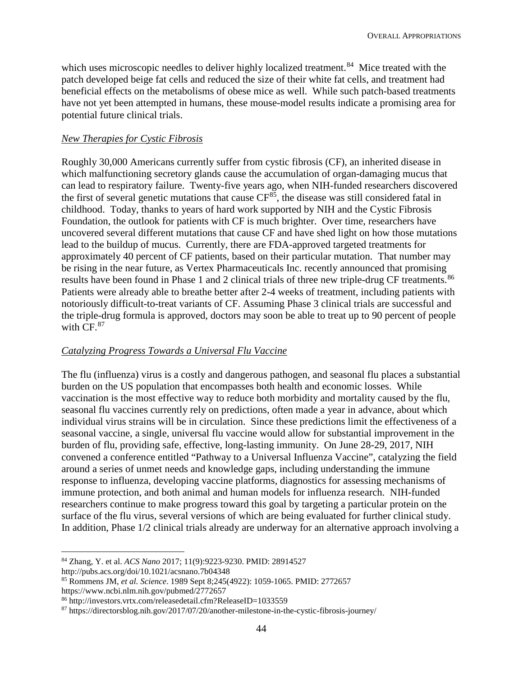which uses microscopic needles to deliver highly localized treatment.<sup>[84](#page-19-0)</sup> Mice treated with the patch developed beige fat cells and reduced the size of their white fat cells, and treatment had beneficial effects on the metabolisms of obese mice as well. While such patch-based treatments have not yet been attempted in humans, these mouse-model results indicate a promising area for potential future clinical trials.

### *New Therapies for Cystic Fibrosis*

Roughly 30,000 Americans currently suffer from cystic fibrosis (CF), an inherited disease in which malfunctioning secretory glands cause the accumulation of organ-damaging mucus that can lead to respiratory failure. Twenty-five years ago, when NIH-funded researchers discovered the first of several genetic mutations that cause  $CF^{85}$  $CF^{85}$  $CF^{85}$ , the disease was still considered fatal in childhood. Today, thanks to years of hard work supported by NIH and the Cystic Fibrosis Foundation, the outlook for patients with CF is much brighter. Over time, researchers have uncovered several different mutations that cause CF and have shed light on how those mutations lead to the buildup of mucus. Currently, there are FDA-approved targeted treatments for approximately 40 percent of CF patients, based on their particular mutation. That number may be rising in the near future, as Vertex Pharmaceuticals Inc. recently announced that promising results have been found in Phase 1 and 2 clinical trials of three new triple-drug CF treatments.<sup>[86](#page-19-2)</sup> Patients were already able to breathe better after 2-4 weeks of treatment, including patients with notoriously difficult-to-treat variants of CF. Assuming Phase 3 clinical trials are successful and the triple-drug formula is approved, doctors may soon be able to treat up to 90 percent of people with  $CF<sup>87</sup>$  $CF<sup>87</sup>$  $CF<sup>87</sup>$ 

## *Catalyzing Progress Towards a Universal Flu Vaccine*

The flu (influenza) virus is a costly and dangerous pathogen, and seasonal flu places a substantial burden on the US population that encompasses both health and economic losses. While vaccination is the most effective way to reduce both morbidity and mortality caused by the flu, seasonal flu vaccines currently rely on predictions, often made a year in advance, about which individual virus strains will be in circulation. Since these predictions limit the effectiveness of a seasonal vaccine, a single, universal flu vaccine would allow for substantial improvement in the burden of flu, providing safe, effective, long-lasting immunity. On June 28-29, 2017, NIH convened a conference entitled "Pathway to a Universal Influenza Vaccine", catalyzing the field around a series of unmet needs and knowledge gaps, including understanding the immune response to influenza, developing vaccine platforms, diagnostics for assessing mechanisms of immune protection, and both animal and human models for influenza research. NIH-funded researchers continue to make progress toward this goal by targeting a particular protein on the surface of the flu virus, several versions of which are being evaluated for further clinical study. In addition, Phase 1/2 clinical trials already are underway for an alternative approach involving a

<span id="page-19-0"></span> <sup>84</sup> Zhang, Y. et al. *ACS Nano* 2017; 11(9):9223-9230. PMID: 28914527

http://pubs.acs.org/doi/10.1021/acsnano.7b04348

<span id="page-19-1"></span><sup>85</sup> Rommens JM, *et al. Science*. 1989 Sept 8;245(4922): 1059-1065. PMID: 2772657

https://www.ncbi.nlm.nih.gov/pubmed/2772657

<span id="page-19-2"></span><sup>86</sup> http://investors.vrtx.com/releasedetail.cfm?ReleaseID=1033559

<span id="page-19-3"></span><sup>87</sup> https://directorsblog.nih.gov/2017/07/20/another-milestone-in-the-cystic-fibrosis-journey/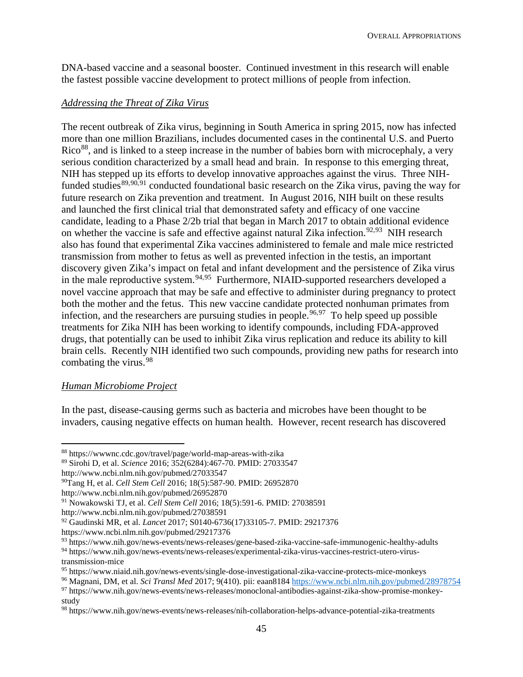DNA-based vaccine and a seasonal booster. Continued investment in this research will enable the fastest possible vaccine development to protect millions of people from infection.

### *Addressing the Threat of Zika Virus*

The recent outbreak of Zika virus, beginning in South America in spring 2015, now has infected more than one million Brazilians, includes documented cases in the continental U.S. and Puerto Rico<sup>[88](#page-20-0)</sup>, and is linked to a steep increase in the number of babies born with microcephaly, a very serious condition characterized by a small head and brain. In response to this emerging threat, NIH has stepped up its efforts to develop innovative approaches against the virus. Three NIHfunded studies $89,90,91$  $89,90,91$  $89,90,91$  $89,90,91$  $89,90,91$  conducted foundational basic research on the Zika virus, paving the way for future research on Zika prevention and treatment. In August 2016, NIH built on these results and launched the first clinical trial that demonstrated safety and efficacy of one vaccine candidate, leading to a Phase 2/2b trial that began in March 2017 to obtain additional evidence on whether the vaccine is safe and effective against natural Zika infection.<sup>[92](#page-20-4),93</sup> NIH research also has found that experimental Zika vaccines administered to female and male mice restricted transmission from mother to fetus as well as prevented infection in the testis, an important discovery given Zika's impact on fetal and infant development and the persistence of Zika virus in the male reproductive system.<sup>[94](#page-20-6),95</sup> Furthermore, NIAID-supported researchers developed a novel vaccine approach that may be safe and effective to administer during pregnancy to protect both the mother and the fetus. This new vaccine candidate protected nonhuman primates from infection, and the researchers are pursuing studies in people.<sup>[96,](#page-20-8)[97](#page-20-9)</sup> To help speed up possible treatments for Zika NIH has been working to identify compounds, including FDA-approved drugs, that potentially can be used to inhibit Zika virus replication and reduce its ability to kill brain cells. Recently NIH identified two such compounds, providing new paths for research into combating the virus.<sup>[98](#page-20-10)</sup>

#### *Human Microbiome Project*

In the past, disease-causing germs such as bacteria and microbes have been thought to be invaders, causing negative effects on human health. However, recent research has discovered

<span id="page-20-1"></span><sup>89</sup> Sirohi D, et al. *Science* 2016; 352(6284):467-70. PMID: 27033547

http://www.ncbi.nlm.nih.gov/pubmed/26952870

<span id="page-20-0"></span> <sup>88</sup> https://wwwnc.cdc.gov/travel/page/world-map-areas-with-zika

http://www.ncbi.nlm.nih.gov/pubmed/27033547

<span id="page-20-2"></span><sup>90</sup>Tang H, et al. *Cell Stem Cell* 2016; 18(5):587-90. PMID: 26952870

<span id="page-20-3"></span><sup>91</sup> Nowakowski TJ, et al. *Cell Stem Cell* 2016; 18(5):591-6. PMID: 27038591

http://www.ncbi.nlm.nih.gov/pubmed/27038591

<span id="page-20-4"></span><sup>92</sup> Gaudinski MR, et al. *Lancet* 2017; S0140-6736(17)33105-7. PMID: 29217376

https://www.ncbi.nlm.nih.gov/pubmed/29217376

<span id="page-20-5"></span><sup>93</sup> https://www.nih.gov/news-events/news-releases/gene-based-zika-vaccine-safe-immunogenic-healthy-adults

<span id="page-20-6"></span><sup>94</sup> https://www.nih.gov/news-events/news-releases/experimental-zika-virus-vaccines-restrict-utero-virustransmission-mice

<span id="page-20-7"></span><sup>95</sup> https://www.niaid.nih.gov/news-events/single-dose-investigational-zika-vaccine-protects-mice-monkeys

<span id="page-20-8"></span><sup>96</sup> Magnani, DM, et al. *Sci Transl Med* 2017; 9(410). pii: eaan8184<https://www.ncbi.nlm.nih.gov/pubmed/28978754>

<span id="page-20-9"></span><sup>97</sup> https://www.nih.gov/news-events/news-releases/monoclonal-antibodies-against-zika-show-promise-monkeystudy

<span id="page-20-10"></span><sup>98</sup> https://www.nih.gov/news-events/news-releases/nih-collaboration-helps-advance-potential-zika-treatments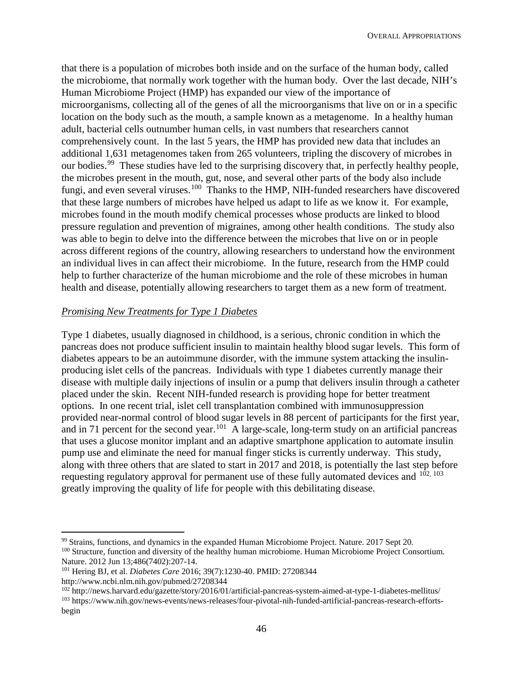that there is a population of microbes both inside and on the surface of the human body, called the microbiome, that normally work together with the human body. Over the last decade, NIH's Human Microbiome Project (HMP) has expanded our view of the importance of microorganisms, collecting all of the genes of all the microorganisms that live on or in a specific location on the body such as the mouth, a sample known as a metagenome. In a healthy human adult, bacterial cells outnumber human cells, in vast numbers that researchers cannot comprehensively count. In the last 5 years, the HMP has provided new data that includes an additional 1,631 metagenomes taken from 265 volunteers, tripling the discovery of microbes in our bodies.<sup>[99](#page-21-0)</sup> These studies have led to the surprising discovery that, in perfectly healthy people, the microbes present in the mouth, gut, nose, and several other parts of the body also include fungi, and even several viruses.<sup>[100](#page-21-1)</sup> Thanks to the HMP, NIH-funded researchers have discovered that these large numbers of microbes have helped us adapt to life as we know it. For example, microbes found in the mouth modify chemical processes whose products are linked to blood pressure regulation and prevention of migraines, among other health conditions. The study also was able to begin to delve into the difference between the microbes that live on or in people across different regions of the country, allowing researchers to understand how the environment an individual lives in can affect their microbiome. In the future, research from the HMP could help to further characterize of the human microbiome and the role of these microbes in human health and disease, potentially allowing researchers to target them as a new form of treatment.

#### *Promising New Treatments for Type 1 Diabetes*

Type 1 diabetes, usually diagnosed in childhood, is a serious, chronic condition in which the pancreas does not produce sufficient insulin to maintain healthy blood sugar levels. This form of diabetes appears to be an autoimmune disorder, with the immune system attacking the insulinproducing islet cells of the pancreas. Individuals with type 1 diabetes currently manage their disease with multiple daily injections of insulin or a pump that delivers insulin through a catheter placed under the skin. Recent NIH-funded research is providing hope for better treatment options. In one recent trial, islet cell transplantation combined with immunosuppression provided near-normal control of blood sugar levels in 88 percent of participants for the first year, and in 71 percent for the second year.<sup>[101](#page-21-2)</sup> A large-scale, long-term study on an artificial pancreas that uses a glucose monitor implant and an adaptive smartphone application to automate insulin pump use and eliminate the need for manual finger sticks is currently underway. This study, along with three others that are slated to start in 2017 and 2018, is potentially the last step before requesting regulatory approval for permanent use of these fully automated devices and  $102, 103$  $102, 103$  $102, 103$ greatly improving the quality of life for people with this debilitating disease.

<span id="page-21-1"></span><span id="page-21-0"></span> <sup>99</sup> Strains, functions, and dynamics in the expanded Human Microbiome Project. Nature. 2017 Sept 20. <sup>100</sup> Structure, function and diversity of the healthy human microbiome. Human Microbiome Project Consortium. Nature. 2012 Jun 13;486(7402):207-14.

<span id="page-21-2"></span><sup>101</sup> Hering BJ, et al. *Diabetes Care* 2016; 39(7):1230-40. PMID: 27208344 http://www.ncbi.nlm.nih.gov/pubmed/27208344

<span id="page-21-3"></span><sup>102</sup> http://news.harvard.edu/gazette/story/2016/01/artificial-pancreas-system-aimed-at-type-1-diabetes-mellitus/

<span id="page-21-4"></span><sup>103</sup> https://www.nih.gov/news-events/news-releases/four-pivotal-nih-funded-artificial-pancreas-research-effortsbegin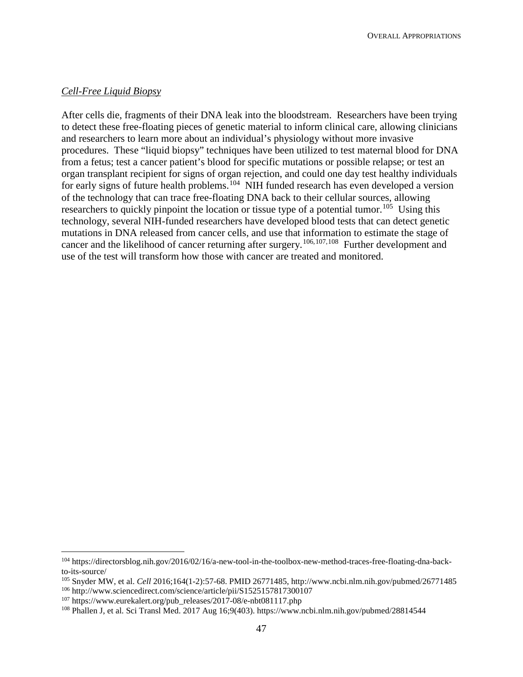### *Cell-Free Liquid Biopsy*

After cells die, fragments of their DNA leak into the bloodstream. Researchers have been trying to detect these free-floating pieces of genetic material to inform clinical care, allowing clinicians and researchers to learn more about an individual's physiology without more invasive procedures. These "liquid biopsy" techniques have been utilized to test maternal blood for DNA from a fetus; test a cancer patient's blood for specific mutations or possible relapse; or test an organ transplant recipient for signs of organ rejection, and could one day test healthy individuals for early signs of future health problems.<sup>[104](#page-22-0)</sup> NIH funded research has even developed a version of the technology that can trace free-floating DNA back to their cellular sources, allowing researchers to quickly pinpoint the location or tissue type of a potential tumor.<sup>[105](#page-22-1)</sup> Using this technology, several NIH-funded researchers have developed blood tests that can detect genetic mutations in DNA released from cancer cells, and use that information to estimate the stage of cancer and the likelihood of cancer returning after surgery.[106,](#page-22-2)[107,](#page-22-3)[108](#page-22-4) Further development and use of the test will transform how those with cancer are treated and monitored.

<span id="page-22-0"></span> <sup>104</sup> https://directorsblog.nih.gov/2016/02/16/a-new-tool-in-the-toolbox-new-method-traces-free-floating-dna-backto-its-source/

<span id="page-22-1"></span><sup>105</sup> Snyder MW, et al. *Cell* 2016;164(1-2):57-68. PMID 26771485, http://www.ncbi.nlm.nih.gov/pubmed/26771485

<span id="page-22-2"></span><sup>106</sup> http://www.sciencedirect.com/science/article/pii/S1525157817300107

<span id="page-22-3"></span><sup>107</sup> https://www.eurekalert.org/pub\_releases/2017-08/e-nbt081117.php

<span id="page-22-4"></span><sup>108</sup> Phallen J, et al. Sci Transl Med. 2017 Aug 16;9(403). https://www.ncbi.nlm.nih.gov/pubmed/28814544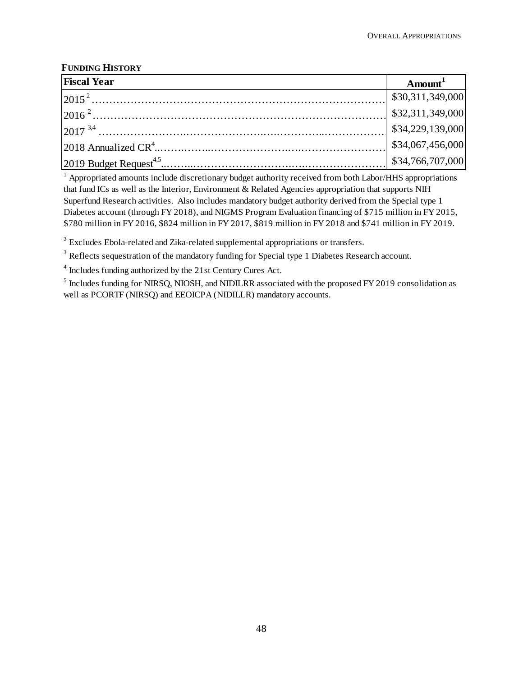## **FUNDING HISTORY**

| <b>Fiscal Year</b> | $A$ mount $^1$                            |
|--------------------|-------------------------------------------|
|                    | \$30,311,349,000                          |
|                    | $ $ \$32,311,349,000                      |
|                    | \$34,229,139,000                          |
|                    | $\left  \frac{1}{34,067,456,000} \right $ |
|                    | \$34,766,707,000                          |

<sup>1</sup> Appropriated amounts include discretionary budget authority received from both Labor/HHS appropriations that fund ICs as well as the Interior, Environment & Related Agencies appropriation that supports NIH Superfund Research activities. Also includes mandatory budget authority derived from the Special type 1 Diabetes account (through FY 2018), and NIGMS Program Evaluation financing of \$715 million in FY 2015, \$780 million in FY 2016, \$824 million in FY 2017, \$819 million in FY 2018 and \$741 million in FY 2019.

 $2^{2}$  Excludes Ebola-related and Zika-related supplemental appropriations or transfers.

<sup>3</sup> Reflects sequestration of the mandatory funding for Special type 1 Diabetes Research account.

<sup>4</sup> Includes funding authorized by the 21st Century Cures Act.

<sup>5</sup> Includes funding for NIRSQ, NIOSH, and NIDILRR associated with the proposed FY 2019 consolidation as well as PCORTF (NIRSQ) and EEOICPA (NIDILLR) mandatory accounts.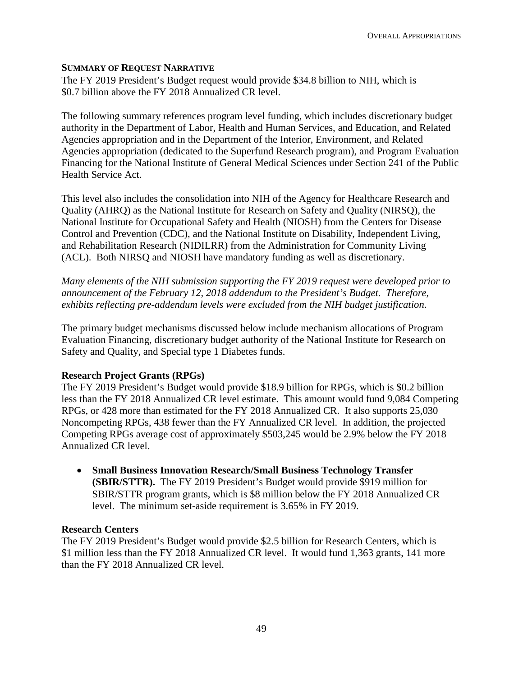### **SUMMARY OF REQUEST NARRATIVE**

The FY 2019 President's Budget request would provide \$34.8 billion to NIH, which is \$0.7 billion above the FY 2018 Annualized CR level.

The following summary references program level funding, which includes discretionary budget authority in the Department of Labor, Health and Human Services, and Education, and Related Agencies appropriation and in the Department of the Interior, Environment, and Related Agencies appropriation (dedicated to the Superfund Research program), and Program Evaluation Financing for the National Institute of General Medical Sciences under Section 241 of the Public Health Service Act.

This level also includes the consolidation into NIH of the Agency for Healthcare Research and Quality (AHRQ) as the National Institute for Research on Safety and Quality (NIRSQ), the National Institute for Occupational Safety and Health (NIOSH) from the Centers for Disease Control and Prevention (CDC), and the National Institute on Disability, Independent Living, and Rehabilitation Research (NIDILRR) from the Administration for Community Living (ACL). Both NIRSQ and NIOSH have mandatory funding as well as discretionary.

*Many elements of the NIH submission supporting the FY 2019 request were developed prior to announcement of the February 12, 2018 addendum to the President's Budget. Therefore, exhibits reflecting pre-addendum levels were excluded from the NIH budget justification*.

The primary budget mechanisms discussed below include mechanism allocations of Program Evaluation Financing, discretionary budget authority of the National Institute for Research on Safety and Quality, and Special type 1 Diabetes funds.

#### **Research Project Grants (RPGs)**

The FY 2019 President's Budget would provide \$18.9 billion for RPGs, which is \$0.2 billion less than the FY 2018 Annualized CR level estimate. This amount would fund 9,084 Competing RPGs, or 428 more than estimated for the FY 2018 Annualized CR. It also supports 25,030 Noncompeting RPGs, 438 fewer than the FY Annualized CR level. In addition, the projected Competing RPGs average cost of approximately \$503,245 would be 2.9% below the FY 2018 Annualized CR level.

• **Small Business Innovation Research/Small Business Technology Transfer (SBIR/STTR).** The FY 2019 President's Budget would provide \$919 million for SBIR/STTR program grants, which is \$8 million below the FY 2018 Annualized CR level. The minimum set-aside requirement is 3.65% in FY 2019.

#### **Research Centers**

The FY 2019 President's Budget would provide \$2.5 billion for Research Centers, which is \$1 million less than the FY 2018 Annualized CR level. It would fund 1,363 grants, 141 more than the FY 2018 Annualized CR level.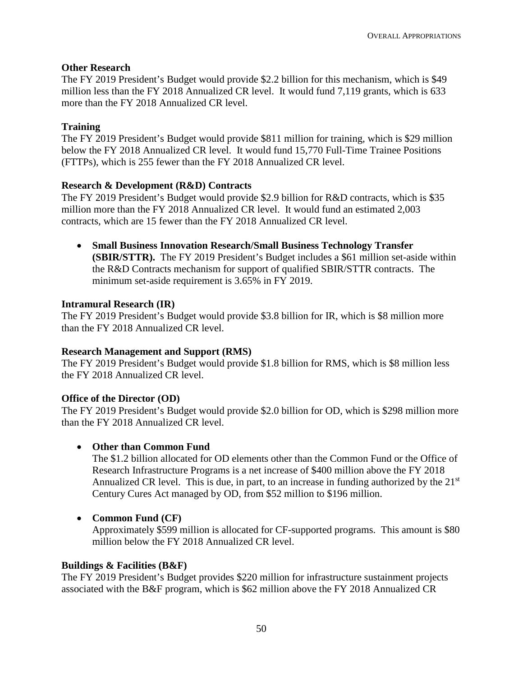## **Other Research**

The FY 2019 President's Budget would provide \$2.2 billion for this mechanism, which is \$49 million less than the FY 2018 Annualized CR level. It would fund 7,119 grants, which is 633 more than the FY 2018 Annualized CR level.

## **Training**

The FY 2019 President's Budget would provide \$811 million for training, which is \$29 million below the FY 2018 Annualized CR level. It would fund 15,770 Full-Time Trainee Positions (FTTPs), which is 255 fewer than the FY 2018 Annualized CR level.

## **Research & Development (R&D) Contracts**

The FY 2019 President's Budget would provide \$2.9 billion for R&D contracts, which is \$35 million more than the FY 2018 Annualized CR level. It would fund an estimated 2,003 contracts, which are 15 fewer than the FY 2018 Annualized CR level.

• **Small Business Innovation Research/Small Business Technology Transfer (SBIR/STTR).** The FY 2019 President's Budget includes a \$61 million set-aside within the R&D Contracts mechanism for support of qualified SBIR/STTR contracts. The minimum set-aside requirement is 3.65% in FY 2019.

## **Intramural Research (IR)**

The FY 2019 President's Budget would provide \$3.8 billion for IR, which is \$8 million more than the FY 2018 Annualized CR level.

## **Research Management and Support (RMS)**

The FY 2019 President's Budget would provide \$1.8 billion for RMS, which is \$8 million less the FY 2018 Annualized CR level.

## **Office of the Director (OD)**

The FY 2019 President's Budget would provide \$2.0 billion for OD, which is \$298 million more than the FY 2018 Annualized CR level.

## • **Other than Common Fund**

The \$1.2 billion allocated for OD elements other than the Common Fund or the Office of Research Infrastructure Programs is a net increase of \$400 million above the FY 2018 Annualized CR level. This is due, in part, to an increase in funding authorized by the  $21<sup>st</sup>$ Century Cures Act managed by OD, from \$52 million to \$196 million.

## • **Common Fund (CF)**

Approximately \$599 million is allocated for CF-supported programs. This amount is \$80 million below the FY 2018 Annualized CR level.

## **Buildings & Facilities (B&F)**

The FY 2019 President's Budget provides \$220 million for infrastructure sustainment projects associated with the B&F program, which is \$62 million above the FY 2018 Annualized CR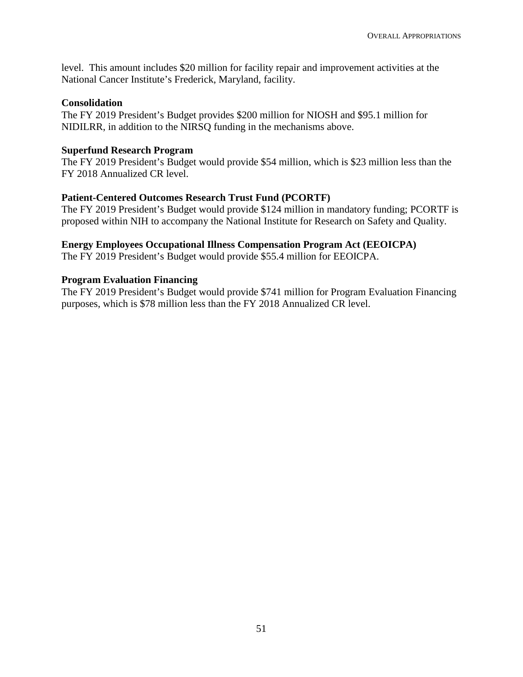level. This amount includes \$20 million for facility repair and improvement activities at the National Cancer Institute's Frederick, Maryland, facility.

### **Consolidation**

The FY 2019 President's Budget provides \$200 million for NIOSH and \$95.1 million for NIDILRR, in addition to the NIRSQ funding in the mechanisms above.

## **Superfund Research Program**

The FY 2019 President's Budget would provide \$54 million, which is \$23 million less than the FY 2018 Annualized CR level.

## **Patient-Centered Outcomes Research Trust Fund (PCORTF)**

The FY 2019 President's Budget would provide \$124 million in mandatory funding; PCORTF is proposed within NIH to accompany the National Institute for Research on Safety and Quality.

### **Energy Employees Occupational Illness Compensation Program Act (EEOICPA)**

The FY 2019 President's Budget would provide \$55.4 million for EEOICPA.

### **Program Evaluation Financing**

The FY 2019 President's Budget would provide \$741 million for Program Evaluation Financing purposes, which is \$78 million less than the FY 2018 Annualized CR level.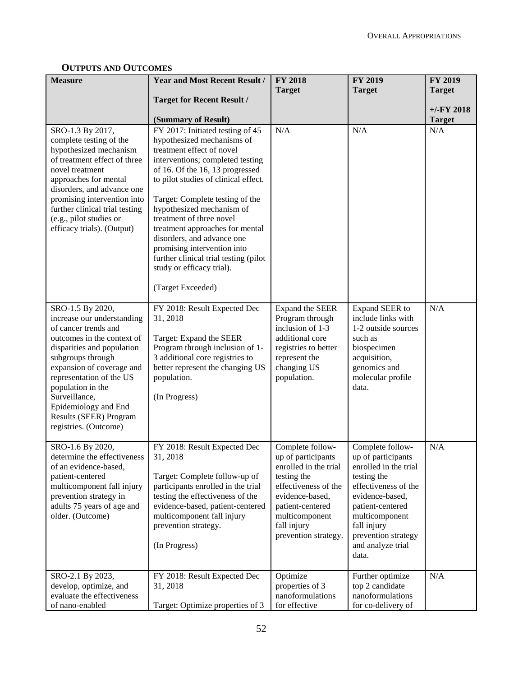| <b>Measure</b>                                                                                                                                                                                                                                                                                                                    | <b>Year and Most Recent Result /</b>                                                                                                                                                                                                                                                                                                                                                                                                                                                              | <b>FY 2018</b>                                                                                                                                                                                         | FY 2019                                                                                                                                                                                                                             | <b>FY 2019</b> |
|-----------------------------------------------------------------------------------------------------------------------------------------------------------------------------------------------------------------------------------------------------------------------------------------------------------------------------------|---------------------------------------------------------------------------------------------------------------------------------------------------------------------------------------------------------------------------------------------------------------------------------------------------------------------------------------------------------------------------------------------------------------------------------------------------------------------------------------------------|--------------------------------------------------------------------------------------------------------------------------------------------------------------------------------------------------------|-------------------------------------------------------------------------------------------------------------------------------------------------------------------------------------------------------------------------------------|----------------|
|                                                                                                                                                                                                                                                                                                                                   | <b>Target for Recent Result /</b>                                                                                                                                                                                                                                                                                                                                                                                                                                                                 | <b>Target</b>                                                                                                                                                                                          | <b>Target</b>                                                                                                                                                                                                                       | <b>Target</b>  |
|                                                                                                                                                                                                                                                                                                                                   |                                                                                                                                                                                                                                                                                                                                                                                                                                                                                                   |                                                                                                                                                                                                        |                                                                                                                                                                                                                                     | $+/-FY$ 2018   |
|                                                                                                                                                                                                                                                                                                                                   | (Summary of Result)                                                                                                                                                                                                                                                                                                                                                                                                                                                                               |                                                                                                                                                                                                        |                                                                                                                                                                                                                                     | <b>Target</b>  |
| SRO-1.3 By 2017,<br>complete testing of the<br>hypothesized mechanism<br>of treatment effect of three<br>novel treatment<br>approaches for mental<br>disorders, and advance one<br>promising intervention into<br>further clinical trial testing<br>(e.g., pilot studies or<br>efficacy trials). (Output)                         | FY 2017: Initiated testing of 45<br>hypothesized mechanisms of<br>treatment effect of novel<br>interventions; completed testing<br>of 16. Of the 16, 13 progressed<br>to pilot studies of clinical effect.<br>Target: Complete testing of the<br>hypothesized mechanism of<br>treatment of three novel<br>treatment approaches for mental<br>disorders, and advance one<br>promising intervention into<br>further clinical trial testing (pilot<br>study or efficacy trial).<br>(Target Exceeded) | N/A                                                                                                                                                                                                    | N/A                                                                                                                                                                                                                                 | N/A            |
| SRO-1.5 By 2020,<br>increase our understanding<br>of cancer trends and<br>outcomes in the context of<br>disparities and population<br>subgroups through<br>expansion of coverage and<br>representation of the US<br>population in the<br>Surveillance,<br>Epidemiology and End<br>Results (SEER) Program<br>registries. (Outcome) | FY 2018: Result Expected Dec<br>31, 2018<br>Target: Expand the SEER<br>Program through inclusion of 1-<br>3 additional core registries to<br>better represent the changing US<br>population.<br>(In Progress)                                                                                                                                                                                                                                                                                     | Expand the SEER<br>Program through<br>inclusion of 1-3<br>additional core<br>registries to better<br>represent the<br>changing US<br>population.                                                       | Expand SEER to<br>include links with<br>1-2 outside sources<br>such as<br>biospecimen<br>acquisition,<br>genomics and<br>molecular profile<br>data.                                                                                 | N/A            |
| SRO-1.6 By 2020,<br>determine the effectiveness<br>of an evidence-based,<br>patient-centered<br>multicomponent fall injury<br>prevention strategy in<br>adults 75 years of age and<br>older. (Outcome)                                                                                                                            | FY 2018: Result Expected Dec<br>31, 2018<br>Target: Complete follow-up of<br>participants enrolled in the trial<br>testing the effectiveness of the<br>evidence-based, patient-centered<br>multicomponent fall injury<br>prevention strategy.<br>(In Progress)                                                                                                                                                                                                                                    | Complete follow-<br>up of participants<br>enrolled in the trial<br>testing the<br>effectiveness of the<br>evidence-based,<br>patient-centered<br>multicomponent<br>fall injury<br>prevention strategy. | Complete follow-<br>up of participants<br>enrolled in the trial<br>testing the<br>effectiveness of the<br>evidence-based,<br>patient-centered<br>multicomponent<br>fall injury<br>prevention strategy<br>and analyze trial<br>data. | N/A            |
| SRO-2.1 By 2023,<br>develop, optimize, and<br>evaluate the effectiveness<br>of nano-enabled                                                                                                                                                                                                                                       | FY 2018: Result Expected Dec<br>31, 2018<br>Target: Optimize properties of 3                                                                                                                                                                                                                                                                                                                                                                                                                      | Optimize<br>properties of 3<br>nanoformulations<br>for effective                                                                                                                                       | Further optimize<br>top 2 candidate<br>nanoformulations<br>for co-delivery of                                                                                                                                                       | N/A            |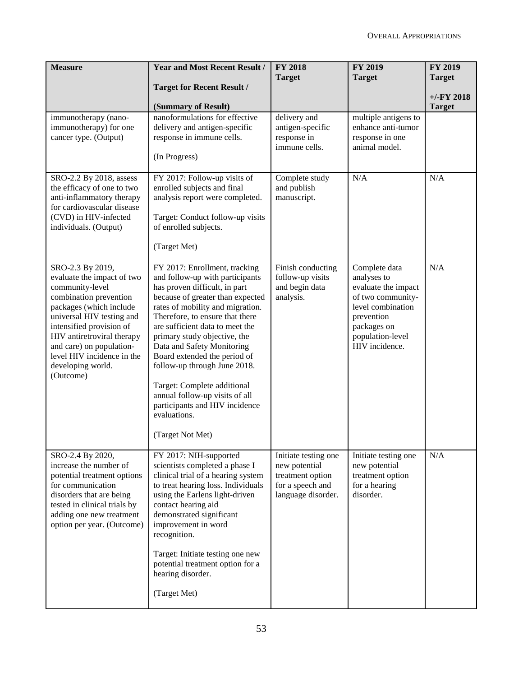| <b>Measure</b>                                                                                                                                                                                                                                                                                            | <b>Year and Most Recent Result /</b>                                                                                                                                                                                                                                                                                                                                                                                                                                                                                 | <b>FY 2018</b><br><b>Target</b>                                                                     | <b>FY 2019</b><br><b>Target</b>                                                                                                                                  | <b>FY 2019</b><br><b>Target</b> |
|-----------------------------------------------------------------------------------------------------------------------------------------------------------------------------------------------------------------------------------------------------------------------------------------------------------|----------------------------------------------------------------------------------------------------------------------------------------------------------------------------------------------------------------------------------------------------------------------------------------------------------------------------------------------------------------------------------------------------------------------------------------------------------------------------------------------------------------------|-----------------------------------------------------------------------------------------------------|------------------------------------------------------------------------------------------------------------------------------------------------------------------|---------------------------------|
|                                                                                                                                                                                                                                                                                                           | <b>Target for Recent Result /</b>                                                                                                                                                                                                                                                                                                                                                                                                                                                                                    |                                                                                                     |                                                                                                                                                                  | $+/-FY$ 2018                    |
| immunotherapy (nano-<br>immunotherapy) for one<br>cancer type. (Output)                                                                                                                                                                                                                                   | (Summary of Result)<br>nanoformulations for effective<br>delivery and antigen-specific<br>response in immune cells.<br>(In Progress)                                                                                                                                                                                                                                                                                                                                                                                 | delivery and<br>antigen-specific<br>response in<br>immune cells.                                    | multiple antigens to<br>enhance anti-tumor<br>response in one<br>animal model.                                                                                   | <b>Target</b>                   |
| SRO-2.2 By 2018, assess<br>the efficacy of one to two<br>anti-inflammatory therapy<br>for cardiovascular disease<br>(CVD) in HIV-infected<br>individuals. (Output)                                                                                                                                        | FY 2017: Follow-up visits of<br>enrolled subjects and final<br>analysis report were completed.<br>Target: Conduct follow-up visits<br>of enrolled subjects.<br>(Target Met)                                                                                                                                                                                                                                                                                                                                          | Complete study<br>and publish<br>manuscript.                                                        | N/A                                                                                                                                                              | N/A                             |
| SRO-2.3 By 2019,<br>evaluate the impact of two<br>community-level<br>combination prevention<br>packages (which include<br>universal HIV testing and<br>intensified provision of<br>HIV antiretroviral therapy<br>and care) on population-<br>level HIV incidence in the<br>developing world.<br>(Outcome) | FY 2017: Enrollment, tracking<br>and follow-up with participants<br>has proven difficult, in part<br>because of greater than expected<br>rates of mobility and migration.<br>Therefore, to ensure that there<br>are sufficient data to meet the<br>primary study objective, the<br>Data and Safety Monitoring<br>Board extended the period of<br>follow-up through June 2018.<br>Target: Complete additional<br>annual follow-up visits of all<br>participants and HIV incidence<br>evaluations.<br>(Target Not Met) | Finish conducting<br>follow-up visits<br>and begin data<br>analysis.                                | Complete data<br>analyses to<br>evaluate the impact<br>of two community-<br>level combination<br>prevention<br>packages on<br>population-level<br>HIV incidence. | N/A                             |
| SRO-2.4 By 2020,<br>increase the number of<br>potential treatment options<br>for communication<br>disorders that are being<br>tested in clinical trials by<br>adding one new treatment<br>option per year. (Outcome)                                                                                      | FY 2017: NIH-supported<br>scientists completed a phase I<br>clinical trial of a hearing system<br>to treat hearing loss. Individuals<br>using the Earlens light-driven<br>contact hearing aid<br>demonstrated significant<br>improvement in word<br>recognition.<br>Target: Initiate testing one new<br>potential treatment option for a<br>hearing disorder.<br>(Target Met)                                                                                                                                        | Initiate testing one<br>new potential<br>treatment option<br>for a speech and<br>language disorder. | Initiate testing one<br>new potential<br>treatment option<br>for a hearing<br>disorder.                                                                          | N/A                             |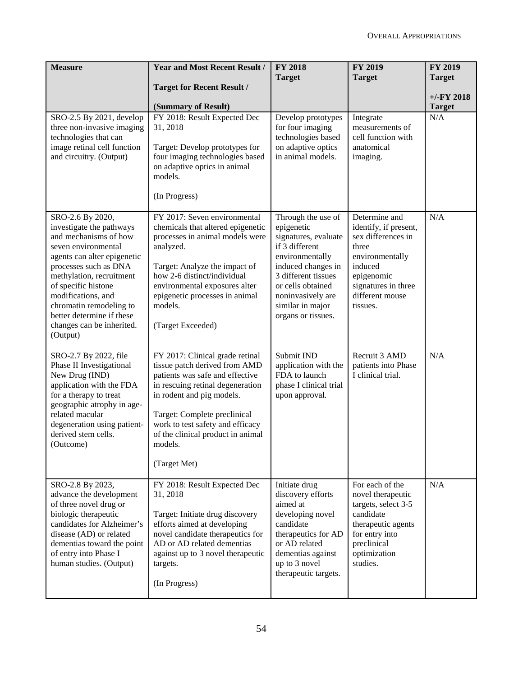| <b>Measure</b>                                                                                                                                                                                                                                                                                                                 | <b>Year and Most Recent Result /</b><br><b>Target for Recent Result /</b><br>(Summary of Result)                                                                                                                                                                                                         | <b>FY 2018</b><br><b>Target</b>                                                                                                                                                                                                | <b>FY 2019</b><br><b>Target</b>                                                                                                                                         | FY 2019<br><b>Target</b><br>$+/-$ FY 2018<br><b>Target</b> |
|--------------------------------------------------------------------------------------------------------------------------------------------------------------------------------------------------------------------------------------------------------------------------------------------------------------------------------|----------------------------------------------------------------------------------------------------------------------------------------------------------------------------------------------------------------------------------------------------------------------------------------------------------|--------------------------------------------------------------------------------------------------------------------------------------------------------------------------------------------------------------------------------|-------------------------------------------------------------------------------------------------------------------------------------------------------------------------|------------------------------------------------------------|
| SRO-2.5 By 2021, develop<br>three non-invasive imaging<br>technologies that can<br>image retinal cell function<br>and circuitry. (Output)                                                                                                                                                                                      | FY 2018: Result Expected Dec<br>31, 2018<br>Target: Develop prototypes for<br>four imaging technologies based<br>on adaptive optics in animal<br>models.<br>(In Progress)                                                                                                                                | Develop prototypes<br>for four imaging<br>technologies based<br>on adaptive optics<br>in animal models.                                                                                                                        | Integrate<br>measurements of<br>cell function with<br>anatomical<br>imaging.                                                                                            | N/A                                                        |
| SRO-2.6 By 2020,<br>investigate the pathways<br>and mechanisms of how<br>seven environmental<br>agents can alter epigenetic<br>processes such as DNA<br>methylation, recruitment<br>of specific histone<br>modifications, and<br>chromatin remodeling to<br>better determine if these<br>changes can be inherited.<br>(Output) | FY 2017: Seven environmental<br>chemicals that altered epigenetic<br>processes in animal models were<br>analyzed.<br>Target: Analyze the impact of<br>how 2-6 distinct/individual<br>environmental exposures alter<br>epigenetic processes in animal<br>models.<br>(Target Exceeded)                     | Through the use of<br>epigenetic<br>signatures, evaluate<br>if 3 different<br>environmentally<br>induced changes in<br>3 different tissues<br>or cells obtained<br>noninvasively are<br>similar in major<br>organs or tissues. | Determine and<br>identify, if present,<br>sex differences in<br>three<br>environmentally<br>induced<br>epigenomic<br>signatures in three<br>different mouse<br>tissues. | N/A                                                        |
| SRO-2.7 By 2022, file<br>Phase II Investigational<br>New Drug (IND)<br>application with the FDA<br>for a therapy to treat<br>geographic atrophy in age-<br>related macular<br>degeneration using patient-<br>derived stem cells.<br>(Outcome)                                                                                  | FY 2017: Clinical grade retinal<br>tissue patch derived from AMD<br>patients was safe and effective<br>in rescuing retinal degeneration<br>in rodent and pig models.<br>Target: Complete preclinical<br>work to test safety and efficacy<br>of the clinical product in animal<br>models.<br>(Target Met) | Submit IND<br>application with the<br>FDA to launch<br>phase I clinical trial<br>upon approval.                                                                                                                                | Recruit 3 AMD<br>patients into Phase<br>I clinical trial.                                                                                                               | N/A                                                        |
| SRO-2.8 By 2023,<br>advance the development<br>of three novel drug or<br>biologic therapeutic<br>candidates for Alzheimer's<br>disease (AD) or related<br>dementias toward the point<br>of entry into Phase I<br>human studies. (Output)                                                                                       | FY 2018: Result Expected Dec<br>31, 2018<br>Target: Initiate drug discovery<br>efforts aimed at developing<br>novel candidate therapeutics for<br>AD or AD related dementias<br>against up to 3 novel therapeutic<br>targets.<br>(In Progress)                                                           | Initiate drug<br>discovery efforts<br>aimed at<br>developing novel<br>candidate<br>therapeutics for AD<br>or AD related<br>dementias against<br>up to 3 novel<br>therapeutic targets.                                          | For each of the<br>novel therapeutic<br>targets, select 3-5<br>candidate<br>therapeutic agents<br>for entry into<br>preclinical<br>optimization<br>studies.             | N/A                                                        |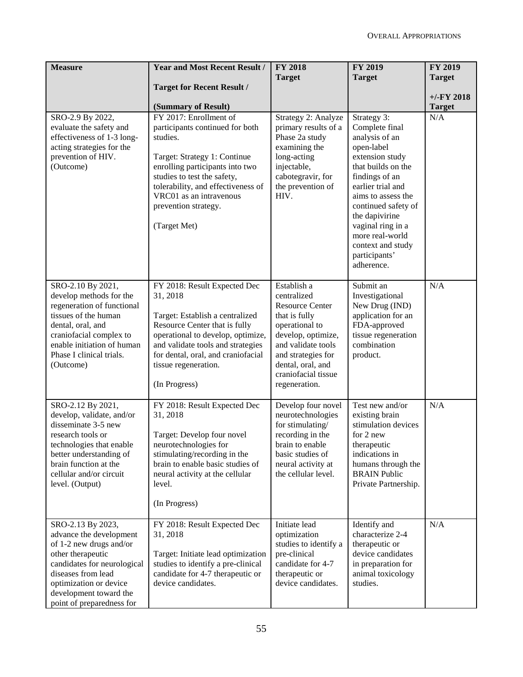| <b>Measure</b>                                                                                                                                                                                                                     | <b>Year and Most Recent Result /</b>                                                                                                                                                                                                                                  | <b>FY 2018</b>                                                                                                                                                                                                         | <b>FY 2019</b>                                                                                                                                                                                                                                                                                           | FY 2019              |
|------------------------------------------------------------------------------------------------------------------------------------------------------------------------------------------------------------------------------------|-----------------------------------------------------------------------------------------------------------------------------------------------------------------------------------------------------------------------------------------------------------------------|------------------------------------------------------------------------------------------------------------------------------------------------------------------------------------------------------------------------|----------------------------------------------------------------------------------------------------------------------------------------------------------------------------------------------------------------------------------------------------------------------------------------------------------|----------------------|
|                                                                                                                                                                                                                                    | <b>Target for Recent Result /</b>                                                                                                                                                                                                                                     | <b>Target</b>                                                                                                                                                                                                          | <b>Target</b>                                                                                                                                                                                                                                                                                            | <b>Target</b>        |
|                                                                                                                                                                                                                                    |                                                                                                                                                                                                                                                                       |                                                                                                                                                                                                                        |                                                                                                                                                                                                                                                                                                          | $+/-FY$ 2018         |
|                                                                                                                                                                                                                                    | (Summary of Result)<br>FY 2017: Enrollment of                                                                                                                                                                                                                         |                                                                                                                                                                                                                        |                                                                                                                                                                                                                                                                                                          | <b>Target</b><br>N/A |
| SRO-2.9 By 2022,<br>evaluate the safety and<br>effectiveness of 1-3 long-<br>acting strategies for the<br>prevention of HIV.<br>(Outcome)                                                                                          | participants continued for both<br>studies.<br>Target: Strategy 1: Continue<br>enrolling participants into two<br>studies to test the safety,<br>tolerability, and effectiveness of<br>VRC01 as an intravenous<br>prevention strategy.<br>(Target Met)                | Strategy 2: Analyze<br>primary results of a<br>Phase 2a study<br>examining the<br>long-acting<br>injectable,<br>cabotegravir, for<br>the prevention of<br>HIV.                                                         | Strategy 3:<br>Complete final<br>analysis of an<br>open-label<br>extension study<br>that builds on the<br>findings of an<br>earlier trial and<br>aims to assess the<br>continued safety of<br>the dapivirine<br>vaginal ring in a<br>more real-world<br>context and study<br>participants'<br>adherence. |                      |
| SRO-2.10 By 2021,<br>develop methods for the<br>regeneration of functional<br>tissues of the human<br>dental, oral, and<br>craniofacial complex to<br>enable initiation of human<br>Phase I clinical trials.<br>(Outcome)          | FY 2018: Result Expected Dec<br>31, 2018<br>Target: Establish a centralized<br>Resource Center that is fully<br>operational to develop, optimize,<br>and validate tools and strategies<br>for dental, oral, and craniofacial<br>tissue regeneration.<br>(In Progress) | Establish a<br>centralized<br><b>Resource Center</b><br>that is fully<br>operational to<br>develop, optimize,<br>and validate tools<br>and strategies for<br>dental, oral, and<br>craniofacial tissue<br>regeneration. | Submit an<br>Investigational<br>New Drug (IND)<br>application for an<br>FDA-approved<br>tissue regeneration<br>combination<br>product.                                                                                                                                                                   | N/A                  |
| SRO-2.12 By 2021,<br>develop, validate, and/or<br>disseminate 3-5 new<br>research tools or<br>technologies that enable<br>better understanding of<br>brain function at the<br>cellular and/or circuit<br>level. (Output)           | FY 2018: Result Expected Dec<br>31, 2018<br>Target: Develop four novel<br>neurotechnologies for<br>stimulating/recording in the<br>brain to enable basic studies of<br>neural activity at the cellular<br>level.<br>(In Progress)                                     | Develop four novel<br>neurotechnologies<br>for stimulating/<br>recording in the<br>brain to enable<br>basic studies of<br>neural activity at<br>the cellular level.                                                    | Test new and/or<br>existing brain<br>stimulation devices<br>for 2 new<br>therapeutic<br>indications in<br>humans through the<br><b>BRAIN Public</b><br>Private Partnership.                                                                                                                              | N/A                  |
| SRO-2.13 By 2023,<br>advance the development<br>of 1-2 new drugs and/or<br>other therapeutic<br>candidates for neurological<br>diseases from lead<br>optimization or device<br>development toward the<br>point of preparedness for | FY 2018: Result Expected Dec<br>31, 2018<br>Target: Initiate lead optimization<br>studies to identify a pre-clinical<br>candidate for 4-7 therapeutic or<br>device candidates.                                                                                        | Initiate lead<br>optimization<br>studies to identify a<br>pre-clinical<br>candidate for 4-7<br>therapeutic or<br>device candidates.                                                                                    | Identify and<br>characterize 2-4<br>therapeutic or<br>device candidates<br>in preparation for<br>animal toxicology<br>studies.                                                                                                                                                                           | N/A                  |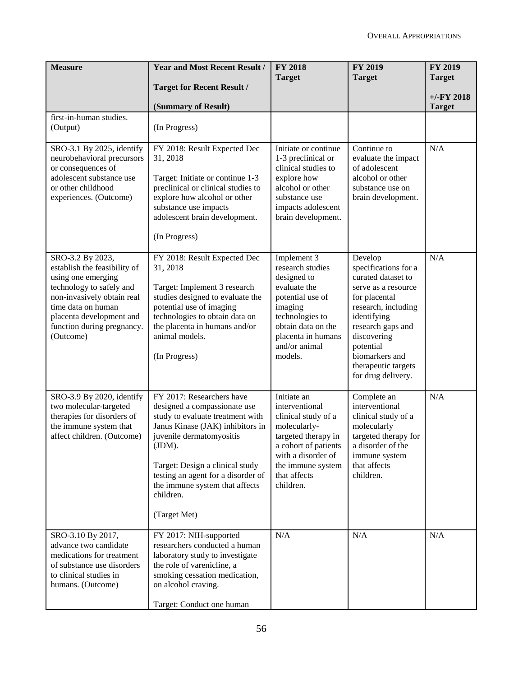| <b>Measure</b>                                                                                                                                                                                                                | <b>Year and Most Recent Result /</b>                                                                                                                                                                                                                                                                            | <b>FY 2018</b><br><b>Target</b>                                                                                                                                                             | <b>FY 2019</b><br><b>Target</b>                                                                                                                                                                                                                     | <b>FY 2019</b><br><b>Target</b> |
|-------------------------------------------------------------------------------------------------------------------------------------------------------------------------------------------------------------------------------|-----------------------------------------------------------------------------------------------------------------------------------------------------------------------------------------------------------------------------------------------------------------------------------------------------------------|---------------------------------------------------------------------------------------------------------------------------------------------------------------------------------------------|-----------------------------------------------------------------------------------------------------------------------------------------------------------------------------------------------------------------------------------------------------|---------------------------------|
|                                                                                                                                                                                                                               | <b>Target for Recent Result /</b>                                                                                                                                                                                                                                                                               |                                                                                                                                                                                             |                                                                                                                                                                                                                                                     |                                 |
|                                                                                                                                                                                                                               | (Summary of Result)                                                                                                                                                                                                                                                                                             |                                                                                                                                                                                             |                                                                                                                                                                                                                                                     | $+/-FY$ 2018<br><b>Target</b>   |
| first-in-human studies.<br>(Output)                                                                                                                                                                                           | (In Progress)                                                                                                                                                                                                                                                                                                   |                                                                                                                                                                                             |                                                                                                                                                                                                                                                     |                                 |
| SRO-3.1 By 2025, identify<br>neurobehavioral precursors<br>or consequences of<br>adolescent substance use<br>or other childhood<br>experiences. (Outcome)                                                                     | FY 2018: Result Expected Dec<br>31, 2018<br>Target: Initiate or continue 1-3<br>preclinical or clinical studies to<br>explore how alcohol or other<br>substance use impacts<br>adolescent brain development.<br>(In Progress)                                                                                   | Initiate or continue<br>1-3 preclinical or<br>clinical studies to<br>explore how<br>alcohol or other<br>substance use<br>impacts adolescent<br>brain development.                           | Continue to<br>evaluate the impact<br>of adolescent<br>alcohol or other<br>substance use on<br>brain development.                                                                                                                                   | N/A                             |
| SRO-3.2 By 2023,<br>establish the feasibility of<br>using one emerging<br>technology to safely and<br>non-invasively obtain real<br>time data on human<br>placenta development and<br>function during pregnancy.<br>(Outcome) | FY 2018: Result Expected Dec<br>31, 2018<br>Target: Implement 3 research<br>studies designed to evaluate the<br>potential use of imaging<br>technologies to obtain data on<br>the placenta in humans and/or<br>animal models.<br>(In Progress)                                                                  | Implement 3<br>research studies<br>designed to<br>evaluate the<br>potential use of<br>imaging<br>technologies to<br>obtain data on the<br>placenta in humans<br>and/or animal<br>models.    | Develop<br>specifications for a<br>curated dataset to<br>serve as a resource<br>for placental<br>research, including<br>identifying<br>research gaps and<br>discovering<br>potential<br>biomarkers and<br>therapeutic targets<br>for drug delivery. | N/A                             |
| SRO-3.9 By 2020, identify<br>two molecular-targeted<br>therapies for disorders of<br>the immune system that<br>affect children. (Outcome)                                                                                     | FY 2017: Researchers have<br>designed a compassionate use<br>study to evaluate treatment with<br>Janus Kinase (JAK) inhibitors in<br>juvenile dermatomyositis<br>(JDM).<br>Target: Design a clinical study<br>testing an agent for a disorder of<br>the immune system that affects<br>children.<br>(Target Met) | Initiate an<br>interventional<br>clinical study of a<br>molecularly-<br>targeted therapy in<br>a cohort of patients<br>with a disorder of<br>the immune system<br>that affects<br>children. | Complete an<br>interventional<br>clinical study of a<br>molecularly<br>targeted therapy for<br>a disorder of the<br>immune system<br>that affects<br>children.                                                                                      | N/A                             |
| SRO-3.10 By 2017,<br>advance two candidate<br>medications for treatment<br>of substance use disorders<br>to clinical studies in<br>humans. (Outcome)                                                                          | FY 2017: NIH-supported<br>researchers conducted a human<br>laboratory study to investigate<br>the role of varenicline, a<br>smoking cessation medication,<br>on alcohol craving.<br>Target: Conduct one human                                                                                                   | N/A                                                                                                                                                                                         | $\rm N/A$                                                                                                                                                                                                                                           | N/A                             |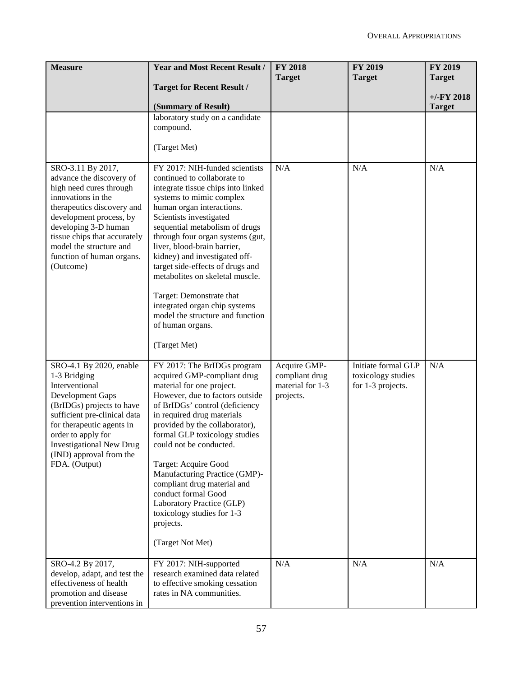| <b>Measure</b>                                                                                                                                                                                                                                                                       | <b>Year and Most Recent Result /</b>                                                                                                                                                                                                                                                                                                                                                                                                                                                                                                      | <b>FY 2018</b><br><b>Target</b>                                 | <b>FY 2019</b><br><b>Target</b>                                | FY 2019<br><b>Target</b>      |
|--------------------------------------------------------------------------------------------------------------------------------------------------------------------------------------------------------------------------------------------------------------------------------------|-------------------------------------------------------------------------------------------------------------------------------------------------------------------------------------------------------------------------------------------------------------------------------------------------------------------------------------------------------------------------------------------------------------------------------------------------------------------------------------------------------------------------------------------|-----------------------------------------------------------------|----------------------------------------------------------------|-------------------------------|
|                                                                                                                                                                                                                                                                                      | <b>Target for Recent Result /</b>                                                                                                                                                                                                                                                                                                                                                                                                                                                                                                         |                                                                 |                                                                |                               |
|                                                                                                                                                                                                                                                                                      | (Summary of Result)                                                                                                                                                                                                                                                                                                                                                                                                                                                                                                                       |                                                                 |                                                                | $+/-FY$ 2018<br><b>Target</b> |
|                                                                                                                                                                                                                                                                                      | laboratory study on a candidate<br>compound.<br>(Target Met)                                                                                                                                                                                                                                                                                                                                                                                                                                                                              |                                                                 |                                                                |                               |
| SRO-3.11 By 2017,<br>advance the discovery of<br>high need cures through<br>innovations in the<br>therapeutics discovery and<br>development process, by<br>developing 3-D human<br>tissue chips that accurately<br>model the structure and<br>function of human organs.<br>(Outcome) | FY 2017: NIH-funded scientists<br>continued to collaborate to<br>integrate tissue chips into linked<br>systems to mimic complex<br>human organ interactions.<br>Scientists investigated<br>sequential metabolism of drugs<br>through four organ systems (gut,<br>liver, blood-brain barrier,<br>kidney) and investigated off-<br>target side-effects of drugs and<br>metabolites on skeletal muscle.<br>Target: Demonstrate that<br>integrated organ chip systems<br>model the structure and function<br>of human organs.<br>(Target Met) | N/A                                                             | N/A                                                            | N/A                           |
| SRO-4.1 By 2020, enable<br>1-3 Bridging<br>Interventional<br>Development Gaps<br>(BrIDGs) projects to have<br>sufficient pre-clinical data<br>for therapeutic agents in<br>order to apply for<br>Investigational New Drug<br>(IND) approval from the<br>FDA. (Output)                | FY 2017: The BrIDGs program<br>acquired GMP-compliant drug<br>material for one project.<br>However, due to factors outside<br>of BrIDGs' control (deficiency<br>in required drug materials<br>provided by the collaborator),<br>formal GLP toxicology studies<br>could not be conducted.<br>Target: Acquire Good<br>Manufacturing Practice (GMP)-<br>compliant drug material and<br>conduct formal Good<br>Laboratory Practice (GLP)<br>toxicology studies for 1-3<br>projects.<br>(Target Not Met)                                       | Acquire GMP-<br>compliant drug<br>material for 1-3<br>projects. | Initiate formal GLP<br>toxicology studies<br>for 1-3 projects. | N/A                           |
| SRO-4.2 By 2017,<br>develop, adapt, and test the<br>effectiveness of health<br>promotion and disease<br>prevention interventions in                                                                                                                                                  | FY 2017: NIH-supported<br>research examined data related<br>to effective smoking cessation<br>rates in NA communities.                                                                                                                                                                                                                                                                                                                                                                                                                    | N/A                                                             | N/A                                                            | N/A                           |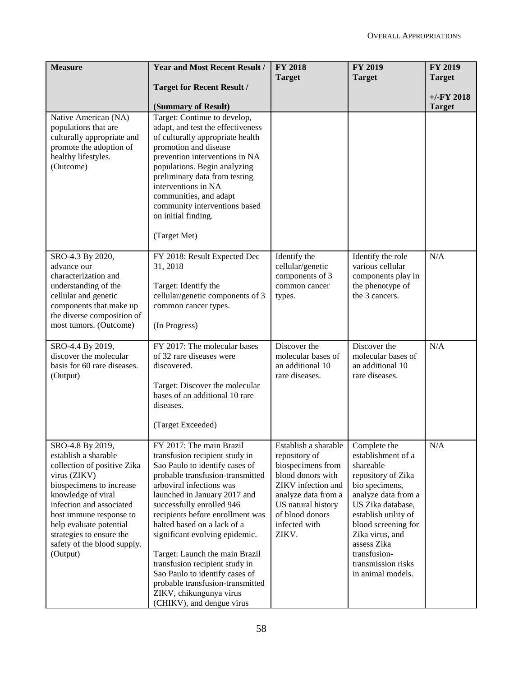| <b>Measure</b>                                      | <b>Year and Most Recent Result /</b>                             | <b>FY 2018</b>                     | <b>FY 2019</b>                         | FY 2019                       |
|-----------------------------------------------------|------------------------------------------------------------------|------------------------------------|----------------------------------------|-------------------------------|
|                                                     |                                                                  | <b>Target</b>                      | <b>Target</b>                          | <b>Target</b>                 |
|                                                     | <b>Target for Recent Result /</b>                                |                                    |                                        |                               |
|                                                     | (Summary of Result)                                              |                                    |                                        | $+/-FY$ 2018<br><b>Target</b> |
| Native American (NA)                                | Target: Continue to develop,                                     |                                    |                                        |                               |
| populations that are                                | adapt, and test the effectiveness                                |                                    |                                        |                               |
| culturally appropriate and                          | of culturally appropriate health                                 |                                    |                                        |                               |
| promote the adoption of                             | promotion and disease                                            |                                    |                                        |                               |
| healthy lifestyles.                                 | prevention interventions in NA                                   |                                    |                                        |                               |
| (Outcome)                                           | populations. Begin analyzing<br>preliminary data from testing    |                                    |                                        |                               |
|                                                     | interventions in NA                                              |                                    |                                        |                               |
|                                                     | communities, and adapt                                           |                                    |                                        |                               |
|                                                     | community interventions based                                    |                                    |                                        |                               |
|                                                     | on initial finding.                                              |                                    |                                        |                               |
|                                                     | (Target Met)                                                     |                                    |                                        |                               |
| SRO-4.3 By 2020,                                    | FY 2018: Result Expected Dec                                     | Identify the                       | Identify the role                      | N/A                           |
| advance our                                         | 31, 2018                                                         | cellular/genetic                   | various cellular                       |                               |
| characterization and                                |                                                                  | components of 3                    | components play in                     |                               |
| understanding of the<br>cellular and genetic        | Target: Identify the<br>cellular/genetic components of 3         | common cancer                      | the phenotype of<br>the 3 cancers.     |                               |
| components that make up                             | common cancer types.                                             | types.                             |                                        |                               |
| the diverse composition of                          |                                                                  |                                    |                                        |                               |
| most tumors. (Outcome)                              | (In Progress)                                                    |                                    |                                        |                               |
| SRO-4.4 By 2019,                                    | FY 2017: The molecular bases                                     | Discover the                       | Discover the                           | N/A                           |
| discover the molecular                              | of 32 rare diseases were                                         | molecular bases of                 | molecular bases of                     |                               |
| basis for 60 rare diseases.                         | discovered.                                                      | an additional 10                   | an additional 10                       |                               |
| (Output)                                            |                                                                  | rare diseases.                     | rare diseases.                         |                               |
|                                                     | Target: Discover the molecular<br>bases of an additional 10 rare |                                    |                                        |                               |
|                                                     | diseases.                                                        |                                    |                                        |                               |
|                                                     | (Target Exceeded)                                                |                                    |                                        |                               |
|                                                     |                                                                  |                                    |                                        |                               |
| SRO-4.8 By 2019,                                    | FY 2017: The main Brazil                                         | Establish a sharable               | Complete the                           | N/A                           |
| establish a sharable<br>collection of positive Zika | transfusion recipient study in<br>Sao Paulo to identify cases of | repository of<br>biospecimens from | establishment of a<br>shareable        |                               |
| virus (ZIKV)                                        | probable transfusion-transmitted                                 | blood donors with                  | repository of Zika                     |                               |
| biospecimens to increase                            | arboviral infections was                                         | ZIKV infection and                 | bio specimens,                         |                               |
| knowledge of viral                                  | launched in January 2017 and                                     | analyze data from a                | analyze data from a                    |                               |
| infection and associated                            | successfully enrolled 946                                        | US natural history                 | US Zika database,                      |                               |
| host immune response to                             | recipients before enrollment was                                 | of blood donors                    | establish utility of                   |                               |
| help evaluate potential<br>strategies to ensure the | halted based on a lack of a<br>significant evolving epidemic.    | infected with<br>ZIKV.             | blood screening for<br>Zika virus, and |                               |
| safety of the blood supply.                         |                                                                  |                                    | assess Zika                            |                               |
| (Output)                                            | Target: Launch the main Brazil                                   |                                    | transfusion-                           |                               |
|                                                     | transfusion recipient study in                                   |                                    | transmission risks                     |                               |
|                                                     | Sao Paulo to identify cases of                                   |                                    | in animal models.                      |                               |
|                                                     | probable transfusion-transmitted                                 |                                    |                                        |                               |
|                                                     | ZIKV, chikungunya virus<br>(CHIKV), and dengue virus             |                                    |                                        |                               |
|                                                     |                                                                  |                                    |                                        |                               |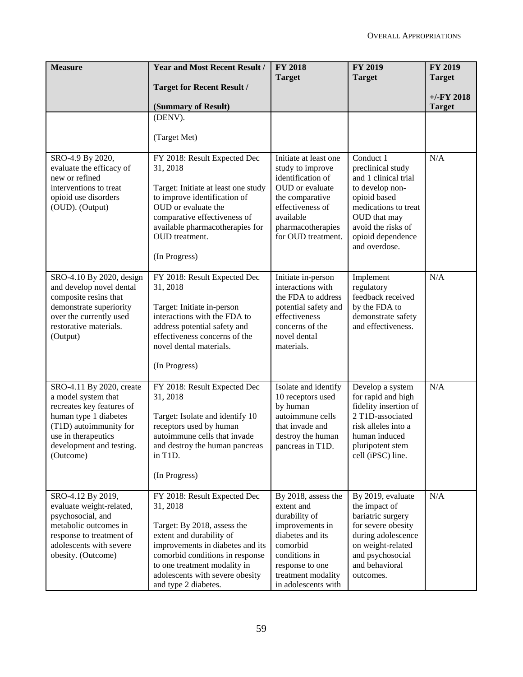| <b>Measure</b>                                                                                                                                                                                  | <b>Year and Most Recent Result /</b>                                                                                                                                                                                                                                  | <b>FY 2018</b>                                                                                                                                                                         | <b>FY 2019</b>                                                                                                                                                                                | <b>FY 2019</b> |
|-------------------------------------------------------------------------------------------------------------------------------------------------------------------------------------------------|-----------------------------------------------------------------------------------------------------------------------------------------------------------------------------------------------------------------------------------------------------------------------|----------------------------------------------------------------------------------------------------------------------------------------------------------------------------------------|-----------------------------------------------------------------------------------------------------------------------------------------------------------------------------------------------|----------------|
|                                                                                                                                                                                                 | <b>Target for Recent Result /</b>                                                                                                                                                                                                                                     | <b>Target</b>                                                                                                                                                                          | <b>Target</b>                                                                                                                                                                                 | <b>Target</b>  |
|                                                                                                                                                                                                 |                                                                                                                                                                                                                                                                       |                                                                                                                                                                                        |                                                                                                                                                                                               | $+/-FY$ 2018   |
|                                                                                                                                                                                                 | (Summary of Result)<br>(DENV).                                                                                                                                                                                                                                        |                                                                                                                                                                                        |                                                                                                                                                                                               | <b>Target</b>  |
|                                                                                                                                                                                                 |                                                                                                                                                                                                                                                                       |                                                                                                                                                                                        |                                                                                                                                                                                               |                |
|                                                                                                                                                                                                 | (Target Met)                                                                                                                                                                                                                                                          |                                                                                                                                                                                        |                                                                                                                                                                                               |                |
| SRO-4.9 By 2020,<br>evaluate the efficacy of<br>new or refined<br>interventions to treat<br>opioid use disorders<br>(OUD). (Output)                                                             | FY 2018: Result Expected Dec<br>31, 2018<br>Target: Initiate at least one study<br>to improve identification of<br>OUD or evaluate the<br>comparative effectiveness of<br>available pharmacotherapies for<br>OUD treatment.<br>(In Progress)                          | Initiate at least one<br>study to improve<br>identification of<br>OUD or evaluate<br>the comparative<br>effectiveness of<br>available<br>pharmacotherapies<br>for OUD treatment.       | Conduct 1<br>preclinical study<br>and 1 clinical trial<br>to develop non-<br>opioid based<br>medications to treat<br>OUD that may<br>avoid the risks of<br>opioid dependence<br>and overdose. | N/A            |
| SRO-4.10 By 2020, design<br>and develop novel dental<br>composite resins that<br>demonstrate superiority<br>over the currently used<br>restorative materials.<br>(Output)                       | FY 2018: Result Expected Dec<br>31, 2018<br>Target: Initiate in-person<br>interactions with the FDA to<br>address potential safety and<br>effectiveness concerns of the<br>novel dental materials.<br>(In Progress)                                                   | Initiate in-person<br>interactions with<br>the FDA to address<br>potential safety and<br>effectiveness<br>concerns of the<br>novel dental<br>materials.                                | Implement<br>regulatory<br>feedback received<br>by the FDA to<br>demonstrate safety<br>and effectiveness.                                                                                     | N/A            |
| SRO-4.11 By 2020, create<br>a model system that<br>recreates key features of<br>human type 1 diabetes<br>(T1D) autoimmunity for<br>use in therapeutics<br>development and testing.<br>(Outcome) | FY 2018: Result Expected Dec<br>31, 2018<br>Target: Isolate and identify 10<br>receptors used by human<br>autoimmune cells that invade<br>and destroy the human pancreas<br>in T1D.<br>(In Progress)                                                                  | Isolate and identify<br>10 receptors used<br>by human<br>autoimmune cells<br>that invade and<br>destroy the human<br>pancreas in T1D.                                                  | Develop a system<br>for rapid and high<br>fidelity insertion of<br>2 T1D-associated<br>risk alleles into a<br>human induced<br>pluripotent stem<br>cell (iPSC) line.                          | N/A            |
| SRO-4.12 By 2019,<br>evaluate weight-related,<br>psychosocial, and<br>metabolic outcomes in<br>response to treatment of<br>adolescents with severe<br>obesity. (Outcome)                        | FY 2018: Result Expected Dec<br>31, 2018<br>Target: By 2018, assess the<br>extent and durability of<br>improvements in diabetes and its<br>comorbid conditions in response<br>to one treatment modality in<br>adolescents with severe obesity<br>and type 2 diabetes. | By 2018, assess the<br>extent and<br>durability of<br>improvements in<br>diabetes and its<br>comorbid<br>conditions in<br>response to one<br>treatment modality<br>in adolescents with | By 2019, evaluate<br>the impact of<br>bariatric surgery<br>for severe obesity<br>during adolescence<br>on weight-related<br>and psychosocial<br>and behavioral<br>outcomes.                   | N/A            |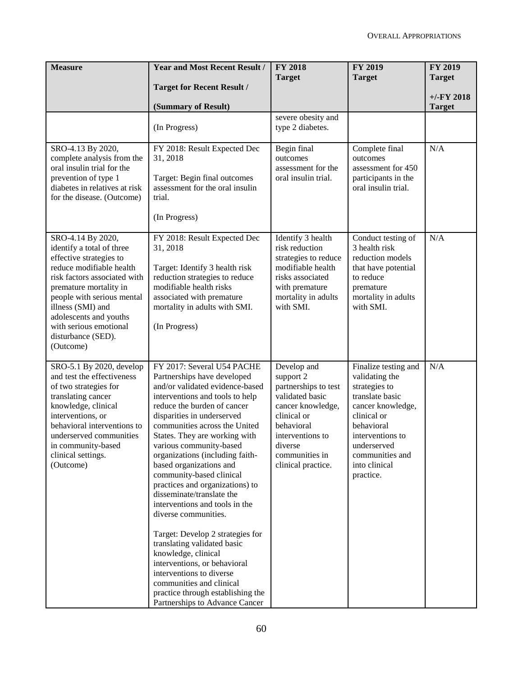| <b>Measure</b>                                                                                                                                                                                                                                                                                            | <b>Year and Most Recent Result /</b>                                                                                                                                                                                                                                                                                                                                                                                                                                                                                                                                                                                                                                                                                                                                   | <b>FY 2018</b><br><b>Target</b>                                                                                                                                                              | <b>FY 2019</b><br><b>Target</b>                                                                                                                                                                                  | <b>FY 2019</b><br><b>Target</b> |
|-----------------------------------------------------------------------------------------------------------------------------------------------------------------------------------------------------------------------------------------------------------------------------------------------------------|------------------------------------------------------------------------------------------------------------------------------------------------------------------------------------------------------------------------------------------------------------------------------------------------------------------------------------------------------------------------------------------------------------------------------------------------------------------------------------------------------------------------------------------------------------------------------------------------------------------------------------------------------------------------------------------------------------------------------------------------------------------------|----------------------------------------------------------------------------------------------------------------------------------------------------------------------------------------------|------------------------------------------------------------------------------------------------------------------------------------------------------------------------------------------------------------------|---------------------------------|
|                                                                                                                                                                                                                                                                                                           | <b>Target for Recent Result /</b>                                                                                                                                                                                                                                                                                                                                                                                                                                                                                                                                                                                                                                                                                                                                      |                                                                                                                                                                                              |                                                                                                                                                                                                                  | $+/-FY$ 2018                    |
|                                                                                                                                                                                                                                                                                                           | (Summary of Result)                                                                                                                                                                                                                                                                                                                                                                                                                                                                                                                                                                                                                                                                                                                                                    |                                                                                                                                                                                              |                                                                                                                                                                                                                  | <b>Target</b>                   |
|                                                                                                                                                                                                                                                                                                           | (In Progress)                                                                                                                                                                                                                                                                                                                                                                                                                                                                                                                                                                                                                                                                                                                                                          | severe obesity and<br>type 2 diabetes.                                                                                                                                                       |                                                                                                                                                                                                                  |                                 |
| SRO-4.13 By 2020,<br>complete analysis from the<br>oral insulin trial for the<br>prevention of type 1<br>diabetes in relatives at risk<br>for the disease. (Outcome)                                                                                                                                      | FY 2018: Result Expected Dec<br>31, 2018<br>Target: Begin final outcomes<br>assessment for the oral insulin<br>trial.<br>(In Progress)                                                                                                                                                                                                                                                                                                                                                                                                                                                                                                                                                                                                                                 | Begin final<br>outcomes<br>assessment for the<br>oral insulin trial.                                                                                                                         | Complete final<br>outcomes<br>assessment for 450<br>participants in the<br>oral insulin trial.                                                                                                                   | N/A                             |
| SRO-4.14 By 2020,<br>identify a total of three<br>effective strategies to<br>reduce modifiable health<br>risk factors associated with<br>premature mortality in<br>people with serious mental<br>illness (SMI) and<br>adolescents and youths<br>with serious emotional<br>disturbance (SED).<br>(Outcome) | FY 2018: Result Expected Dec<br>31, 2018<br>Target: Identify 3 health risk<br>reduction strategies to reduce<br>modifiable health risks<br>associated with premature<br>mortality in adults with SMI.<br>(In Progress)                                                                                                                                                                                                                                                                                                                                                                                                                                                                                                                                                 | Identify 3 health<br>risk reduction<br>strategies to reduce<br>modifiable health<br>risks associated<br>with premature<br>mortality in adults<br>with SMI.                                   | Conduct testing of<br>3 health risk<br>reduction models<br>that have potential<br>to reduce<br>premature<br>mortality in adults<br>with SMI.                                                                     | N/A                             |
| SRO-5.1 By 2020, develop<br>and test the effectiveness<br>of two strategies for<br>translating cancer<br>knowledge, clinical<br>interventions, or<br>behavioral interventions to<br>underserved communities<br>in community-based<br>clinical settings.<br>(Outcome)                                      | FY 2017: Several U54 PACHE<br>Partnerships have developed<br>and/or validated evidence-based<br>interventions and tools to help<br>reduce the burden of cancer<br>disparities in underserved<br>communities across the United<br>States. They are working with<br>various community-based<br>organizations (including faith-<br>based organizations and<br>community-based clinical<br>practices and organizations) to<br>disseminate/translate the<br>interventions and tools in the<br>diverse communities.<br>Target: Develop 2 strategies for<br>translating validated basic<br>knowledge, clinical<br>interventions, or behavioral<br>interventions to diverse<br>communities and clinical<br>practice through establishing the<br>Partnerships to Advance Cancer | Develop and<br>support 2<br>partnerships to test<br>validated basic<br>cancer knowledge,<br>clinical or<br>behavioral<br>interventions to<br>diverse<br>communities in<br>clinical practice. | Finalize testing and<br>validating the<br>strategies to<br>translate basic<br>cancer knowledge,<br>clinical or<br>behavioral<br>interventions to<br>underserved<br>communities and<br>into clinical<br>practice. | N/A                             |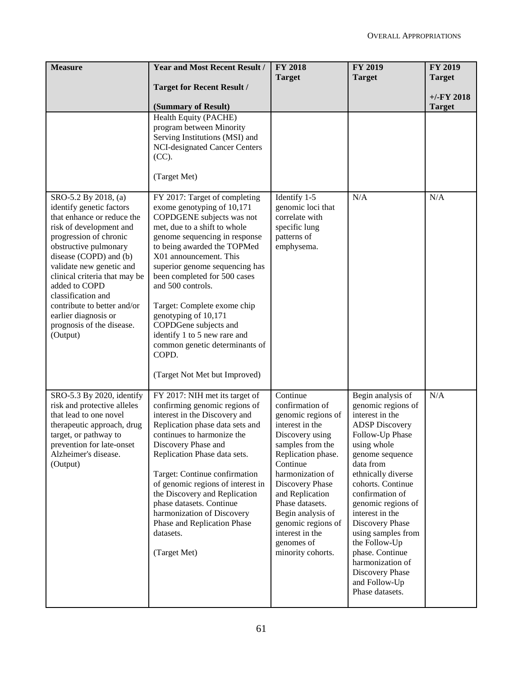| <b>Measure</b>                                                                                                                                                                                                                                                                                                                                                                             | <b>Year and Most Recent Result /</b><br><b>Target for Recent Result /</b>                                                                                                                                                                                                                                                                                                                                                                                                                             | <b>FY 2018</b><br><b>Target</b>                                                                                                                                                                                                                                                                                             | <b>FY 2019</b><br><b>Target</b>                                                                                                                                                                                                                                                                                                                                                                                      | FY 2019<br><b>Target</b><br>$+/-FY$ 2018 |
|--------------------------------------------------------------------------------------------------------------------------------------------------------------------------------------------------------------------------------------------------------------------------------------------------------------------------------------------------------------------------------------------|-------------------------------------------------------------------------------------------------------------------------------------------------------------------------------------------------------------------------------------------------------------------------------------------------------------------------------------------------------------------------------------------------------------------------------------------------------------------------------------------------------|-----------------------------------------------------------------------------------------------------------------------------------------------------------------------------------------------------------------------------------------------------------------------------------------------------------------------------|----------------------------------------------------------------------------------------------------------------------------------------------------------------------------------------------------------------------------------------------------------------------------------------------------------------------------------------------------------------------------------------------------------------------|------------------------------------------|
|                                                                                                                                                                                                                                                                                                                                                                                            | (Summary of Result)<br>Health Equity (PACHE)<br>program between Minority<br>Serving Institutions (MSI) and<br><b>NCI-designated Cancer Centers</b><br>(CC).<br>(Target Met)                                                                                                                                                                                                                                                                                                                           |                                                                                                                                                                                                                                                                                                                             |                                                                                                                                                                                                                                                                                                                                                                                                                      | <b>Target</b>                            |
| SRO-5.2 By 2018, (a)<br>identify genetic factors<br>that enhance or reduce the<br>risk of development and<br>progression of chronic<br>obstructive pulmonary<br>disease (COPD) and (b)<br>validate new genetic and<br>clinical criteria that may be<br>added to COPD<br>classification and<br>contribute to better and/or<br>earlier diagnosis or<br>prognosis of the disease.<br>(Output) | FY 2017: Target of completing<br>exome genotyping of 10,171<br>COPDGENE subjects was not<br>met, due to a shift to whole<br>genome sequencing in response<br>to being awarded the TOPMed<br>X01 announcement. This<br>superior genome sequencing has<br>been completed for 500 cases<br>and 500 controls.<br>Target: Complete exome chip<br>genotyping of 10,171<br>COPDGene subjects and<br>identify 1 to 5 new rare and<br>common genetic determinants of<br>COPD.<br>(Target Not Met but Improved) | Identify 1-5<br>genomic loci that<br>correlate with<br>specific lung<br>patterns of<br>emphysema.                                                                                                                                                                                                                           | N/A                                                                                                                                                                                                                                                                                                                                                                                                                  | N/A                                      |
| SRO-5.3 By 2020, identify<br>risk and protective alleles<br>that lead to one novel<br>therapeutic approach, drug<br>target, or pathway to<br>prevention for late-onset<br>Alzheimer's disease.<br>(Output)                                                                                                                                                                                 | FY 2017: NIH met its target of<br>confirming genomic regions of<br>interest in the Discovery and<br>Replication phase data sets and<br>continues to harmonize the<br>Discovery Phase and<br>Replication Phase data sets.<br>Target: Continue confirmation<br>of genomic regions of interest in<br>the Discovery and Replication<br>phase datasets. Continue<br>harmonization of Discovery<br>Phase and Replication Phase<br>datasets.<br>(Target Met)                                                 | Continue<br>confirmation of<br>genomic regions of<br>interest in the<br>Discovery using<br>samples from the<br>Replication phase.<br>Continue<br>harmonization of<br>Discovery Phase<br>and Replication<br>Phase datasets.<br>Begin analysis of<br>genomic regions of<br>interest in the<br>genomes of<br>minority cohorts. | Begin analysis of<br>genomic regions of<br>interest in the<br><b>ADSP</b> Discovery<br>Follow-Up Phase<br>using whole<br>genome sequence<br>data from<br>ethnically diverse<br>cohorts. Continue<br>confirmation of<br>genomic regions of<br>interest in the<br>Discovery Phase<br>using samples from<br>the Follow-Up<br>phase. Continue<br>harmonization of<br>Discovery Phase<br>and Follow-Up<br>Phase datasets. | N/A                                      |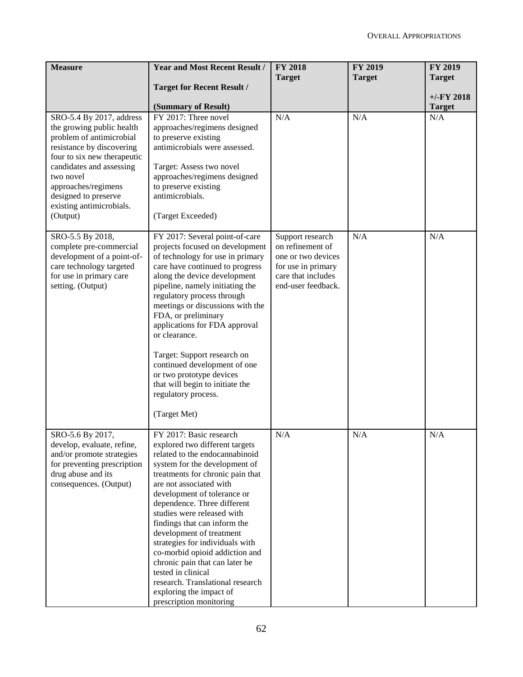| <b>Measure</b>                                           | <b>Year and Most Recent Result /</b>                          | <b>FY 2018</b>     | FY 2019       | FY 2019       |
|----------------------------------------------------------|---------------------------------------------------------------|--------------------|---------------|---------------|
|                                                          |                                                               | <b>Target</b>      | <b>Target</b> | <b>Target</b> |
|                                                          | <b>Target for Recent Result /</b>                             |                    |               |               |
|                                                          |                                                               |                    |               | $+/-FY$ 2018  |
|                                                          | (Summary of Result)                                           |                    |               | <b>Target</b> |
| SRO-5.4 By 2017, address                                 | FY 2017: Three novel                                          | N/A                | N/A           | N/A           |
| the growing public health                                | approaches/regimens designed                                  |                    |               |               |
| problem of antimicrobial                                 | to preserve existing<br>antimicrobials were assessed.         |                    |               |               |
| resistance by discovering<br>four to six new therapeutic |                                                               |                    |               |               |
| candidates and assessing                                 | Target: Assess two novel                                      |                    |               |               |
| two novel                                                | approaches/regimens designed                                  |                    |               |               |
| approaches/regimens                                      | to preserve existing                                          |                    |               |               |
| designed to preserve                                     | antimicrobials.                                               |                    |               |               |
| existing antimicrobials.                                 |                                                               |                    |               |               |
| (Output)                                                 | (Target Exceeded)                                             |                    |               |               |
|                                                          |                                                               |                    |               |               |
| SRO-5.5 By 2018,                                         | FY 2017: Several point-of-care                                | Support research   | N/A           | N/A           |
| complete pre-commercial                                  | projects focused on development                               | on refinement of   |               |               |
| development of a point-of-                               | of technology for use in primary                              | one or two devices |               |               |
| care technology targeted                                 | care have continued to progress                               | for use in primary |               |               |
| for use in primary care                                  | along the device development                                  | care that includes |               |               |
| setting. (Output)                                        | pipeline, namely initiating the<br>regulatory process through | end-user feedback. |               |               |
|                                                          | meetings or discussions with the                              |                    |               |               |
|                                                          | FDA, or preliminary                                           |                    |               |               |
|                                                          | applications for FDA approval                                 |                    |               |               |
|                                                          | or clearance.                                                 |                    |               |               |
|                                                          |                                                               |                    |               |               |
|                                                          | Target: Support research on                                   |                    |               |               |
|                                                          | continued development of one                                  |                    |               |               |
|                                                          | or two prototype devices                                      |                    |               |               |
|                                                          | that will begin to initiate the                               |                    |               |               |
|                                                          | regulatory process.                                           |                    |               |               |
|                                                          | (Target Met)                                                  |                    |               |               |
|                                                          |                                                               |                    |               |               |
| SRO-5.6 By 2017,                                         | FY 2017: Basic research                                       | N/A                | N/A           | N/A           |
| develop, evaluate, refine,                               | explored two different targets                                |                    |               |               |
| and/or promote strategies                                | related to the endocannabinoid                                |                    |               |               |
| for preventing prescription                              | system for the development of                                 |                    |               |               |
| drug abuse and its                                       | treatments for chronic pain that                              |                    |               |               |
| consequences. (Output)                                   | are not associated with                                       |                    |               |               |
|                                                          | development of tolerance or                                   |                    |               |               |
|                                                          | dependence. Three different                                   |                    |               |               |
|                                                          | studies were released with                                    |                    |               |               |
|                                                          | findings that can inform the                                  |                    |               |               |
|                                                          | development of treatment<br>strategies for individuals with   |                    |               |               |
|                                                          | co-morbid opioid addiction and                                |                    |               |               |
|                                                          | chronic pain that can later be                                |                    |               |               |
|                                                          | tested in clinical                                            |                    |               |               |
|                                                          | research. Translational research                              |                    |               |               |
|                                                          | exploring the impact of                                       |                    |               |               |
|                                                          | prescription monitoring                                       |                    |               |               |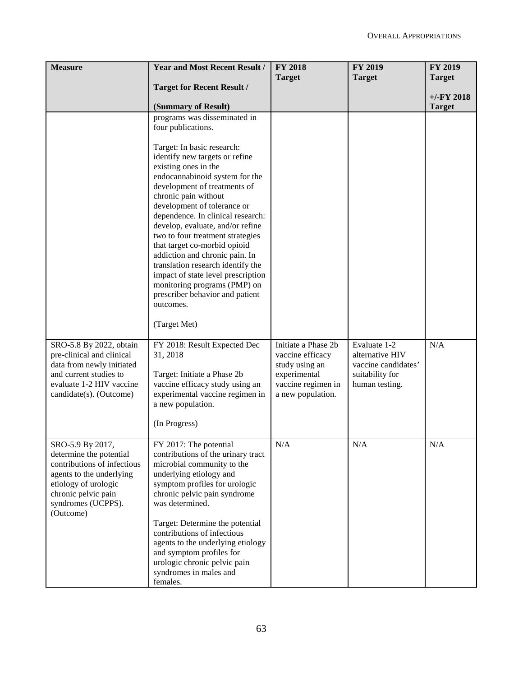| <b>Measure</b>                                                                                                                                                                           | <b>Year and Most Recent Result /</b>                                                                                                                                                                                                                                                                                                                                                                                                                                                                                                                                                                                          | <b>FY 2018</b><br><b>Target</b>                                                                                      | FY 2019<br><b>Target</b>                                                                    | <b>FY 2019</b><br><b>Target</b> |
|------------------------------------------------------------------------------------------------------------------------------------------------------------------------------------------|-------------------------------------------------------------------------------------------------------------------------------------------------------------------------------------------------------------------------------------------------------------------------------------------------------------------------------------------------------------------------------------------------------------------------------------------------------------------------------------------------------------------------------------------------------------------------------------------------------------------------------|----------------------------------------------------------------------------------------------------------------------|---------------------------------------------------------------------------------------------|---------------------------------|
|                                                                                                                                                                                          | <b>Target for Recent Result /</b>                                                                                                                                                                                                                                                                                                                                                                                                                                                                                                                                                                                             |                                                                                                                      |                                                                                             |                                 |
|                                                                                                                                                                                          | (Summary of Result)                                                                                                                                                                                                                                                                                                                                                                                                                                                                                                                                                                                                           |                                                                                                                      |                                                                                             | $+/-FY$ 2018<br><b>Target</b>   |
|                                                                                                                                                                                          | programs was disseminated in<br>four publications.<br>Target: In basic research:<br>identify new targets or refine<br>existing ones in the<br>endocannabinoid system for the<br>development of treatments of<br>chronic pain without<br>development of tolerance or<br>dependence. In clinical research:<br>develop, evaluate, and/or refine<br>two to four treatment strategies<br>that target co-morbid opioid<br>addiction and chronic pain. In<br>translation research identify the<br>impact of state level prescription<br>monitoring programs (PMP) on<br>prescriber behavior and patient<br>outcomes.<br>(Target Met) |                                                                                                                      |                                                                                             |                                 |
| SRO-5.8 By 2022, obtain<br>pre-clinical and clinical<br>data from newly initiated<br>and current studies to<br>evaluate 1-2 HIV vaccine<br>candidate(s). (Outcome)                       | FY 2018: Result Expected Dec<br>31, 2018<br>Target: Initiate a Phase 2b<br>vaccine efficacy study using an<br>experimental vaccine regimen in<br>a new population.<br>(In Progress)                                                                                                                                                                                                                                                                                                                                                                                                                                           | Initiate a Phase 2b<br>vaccine efficacy<br>study using an<br>experimental<br>vaccine regimen in<br>a new population. | Evaluate 1-2<br>alternative HIV<br>vaccine candidates'<br>suitability for<br>human testing. | N/A                             |
| SRO-5.9 By 2017,<br>determine the potential<br>contributions of infectious<br>agents to the underlying<br>etiology of urologic<br>chronic pelvic pain<br>syndromes (UCPPS).<br>(Outcome) | FY 2017: The potential<br>contributions of the urinary tract<br>microbial community to the<br>underlying etiology and<br>symptom profiles for urologic<br>chronic pelvic pain syndrome<br>was determined.<br>Target: Determine the potential<br>contributions of infectious<br>agents to the underlying etiology<br>and symptom profiles for<br>urologic chronic pelvic pain<br>syndromes in males and<br>females.                                                                                                                                                                                                            | $\rm N/A$                                                                                                            | N/A                                                                                         | N/A                             |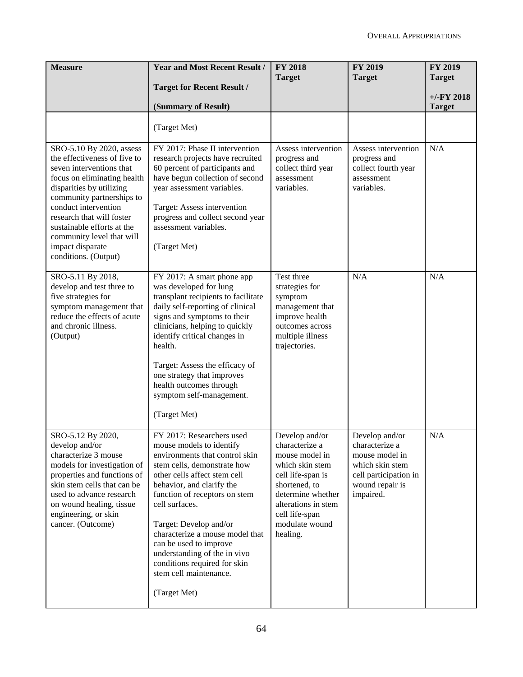| <b>Measure</b>                                                                                                                                                                                                                                                                                                                           | <b>Year and Most Recent Result /</b>                                                                                                                                                                                                                                                                                                                                                                                                    | <b>FY 2018</b><br><b>Target</b>                                                                                                                                                                         | <b>FY 2019</b><br><b>Target</b>                                                                                                | <b>FY 2019</b><br><b>Target</b> |
|------------------------------------------------------------------------------------------------------------------------------------------------------------------------------------------------------------------------------------------------------------------------------------------------------------------------------------------|-----------------------------------------------------------------------------------------------------------------------------------------------------------------------------------------------------------------------------------------------------------------------------------------------------------------------------------------------------------------------------------------------------------------------------------------|---------------------------------------------------------------------------------------------------------------------------------------------------------------------------------------------------------|--------------------------------------------------------------------------------------------------------------------------------|---------------------------------|
|                                                                                                                                                                                                                                                                                                                                          | <b>Target for Recent Result /</b><br>(Summary of Result)                                                                                                                                                                                                                                                                                                                                                                                |                                                                                                                                                                                                         |                                                                                                                                | $+/-FY$ 2018<br><b>Target</b>   |
|                                                                                                                                                                                                                                                                                                                                          | (Target Met)                                                                                                                                                                                                                                                                                                                                                                                                                            |                                                                                                                                                                                                         |                                                                                                                                |                                 |
| SRO-5.10 By 2020, assess<br>the effectiveness of five to<br>seven interventions that<br>focus on eliminating health<br>disparities by utilizing<br>community partnerships to<br>conduct intervention<br>research that will foster<br>sustainable efforts at the<br>community level that will<br>impact disparate<br>conditions. (Output) | FY 2017: Phase II intervention<br>research projects have recruited<br>60 percent of participants and<br>have begun collection of second<br>year assessment variables.<br>Target: Assess intervention<br>progress and collect second year<br>assessment variables.<br>(Target Met)                                                                                                                                                       | Assess intervention<br>progress and<br>collect third year<br>assessment<br>variables.                                                                                                                   | Assess intervention<br>progress and<br>collect fourth year<br>assessment<br>variables.                                         | N/A                             |
| SRO-5.11 By 2018,<br>develop and test three to<br>five strategies for<br>symptom management that<br>reduce the effects of acute<br>and chronic illness.<br>(Output)                                                                                                                                                                      | FY 2017: A smart phone app<br>was developed for lung<br>transplant recipients to facilitate<br>daily self-reporting of clinical<br>signs and symptoms to their<br>clinicians, helping to quickly<br>identify critical changes in<br>health.<br>Target: Assess the efficacy of<br>one strategy that improves<br>health outcomes through<br>symptom self-management.<br>(Target Met)                                                      | Test three<br>strategies for<br>symptom<br>management that<br>improve health<br>outcomes across<br>multiple illness<br>trajectories.                                                                    | N/A                                                                                                                            | N/A                             |
| SRO-5.12 By 2020,<br>develop and/or<br>characterize 3 mouse<br>models for investigation of<br>properties and functions of<br>skin stem cells that can be<br>used to advance research<br>on wound healing, tissue<br>engineering, or skin<br>cancer. (Outcome)                                                                            | FY 2017: Researchers used<br>mouse models to identify<br>environments that control skin<br>stem cells, demonstrate how<br>other cells affect stem cell<br>behavior, and clarify the<br>function of receptors on stem<br>cell surfaces.<br>Target: Develop and/or<br>characterize a mouse model that<br>can be used to improve<br>understanding of the in vivo<br>conditions required for skin<br>stem cell maintenance.<br>(Target Met) | Develop and/or<br>characterize a<br>mouse model in<br>which skin stem<br>cell life-span is<br>shortened, to<br>determine whether<br>alterations in stem<br>cell life-span<br>modulate wound<br>healing. | Develop and/or<br>characterize a<br>mouse model in<br>which skin stem<br>cell participation in<br>wound repair is<br>impaired. | N/A                             |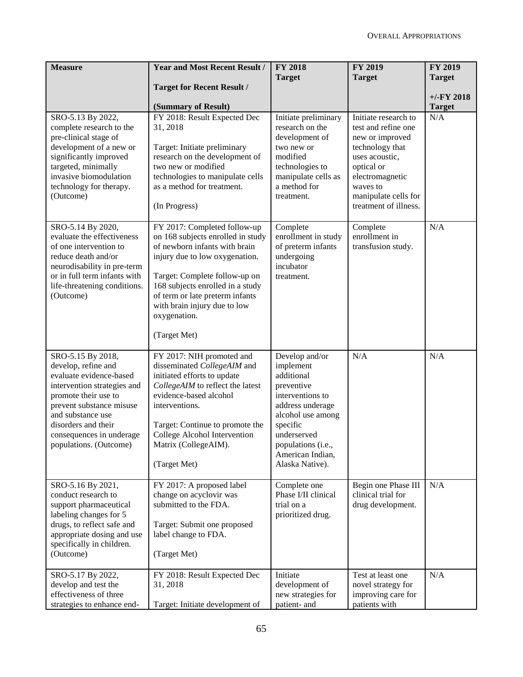| <b>Measure</b>                                                                                                                                                                                                                                                          | <b>Year and Most Recent Result /</b>                                                                                                                                                                                                                                                      | <b>FY 2018</b>                                                                                                                                                                                               | <b>FY 2019</b>                                                                                                                                                                                                                 | FY 2019       |
|-------------------------------------------------------------------------------------------------------------------------------------------------------------------------------------------------------------------------------------------------------------------------|-------------------------------------------------------------------------------------------------------------------------------------------------------------------------------------------------------------------------------------------------------------------------------------------|--------------------------------------------------------------------------------------------------------------------------------------------------------------------------------------------------------------|--------------------------------------------------------------------------------------------------------------------------------------------------------------------------------------------------------------------------------|---------------|
|                                                                                                                                                                                                                                                                         | <b>Target for Recent Result /</b>                                                                                                                                                                                                                                                         | <b>Target</b>                                                                                                                                                                                                | <b>Target</b>                                                                                                                                                                                                                  | <b>Target</b> |
|                                                                                                                                                                                                                                                                         |                                                                                                                                                                                                                                                                                           |                                                                                                                                                                                                              |                                                                                                                                                                                                                                | $+/-FY$ 2018  |
|                                                                                                                                                                                                                                                                         | (Summary of Result)                                                                                                                                                                                                                                                                       |                                                                                                                                                                                                              |                                                                                                                                                                                                                                | <b>Target</b> |
| SRO-5.13 By 2022,<br>complete research to the<br>pre-clinical stage of<br>development of a new or<br>significantly improved<br>targeted, minimally<br>invasive biomodulation<br>technology for therapy.<br>(Outcome)<br>SRO-5.14 By 2020,<br>evaluate the effectiveness | FY 2018: Result Expected Dec<br>31, 2018<br>Target: Initiate preliminary<br>research on the development of<br>two new or modified<br>technologies to manipulate cells<br>as a method for treatment.<br>(In Progress)<br>FY 2017: Completed follow-up<br>on 168 subjects enrolled in study | Initiate preliminary<br>research on the<br>development of<br>two new or<br>modified<br>technologies to<br>manipulate cells as<br>a method for<br>treatment.<br>Complete<br>enrollment in study               | Initiate research to<br>test and refine one<br>new or improved<br>technology that<br>uses acoustic,<br>optical or<br>electromagnetic<br>waves to<br>manipulate cells for<br>treatment of illness.<br>Complete<br>enrollment in | N/A<br>N/A    |
| of one intervention to<br>reduce death and/or<br>neurodisability in pre-term<br>or in full term infants with<br>life-threatening conditions.<br>(Outcome)                                                                                                               | of newborn infants with brain<br>injury due to low oxygenation.<br>Target: Complete follow-up on<br>168 subjects enrolled in a study<br>of term or late preterm infants<br>with brain injury due to low<br>oxygenation.<br>(Target Met)                                                   | of preterm infants<br>undergoing<br>incubator<br>treatment.                                                                                                                                                  | transfusion study.                                                                                                                                                                                                             |               |
| SRO-5.15 By 2018,<br>develop, refine and<br>evaluate evidence-based<br>intervention strategies and<br>promote their use to<br>prevent substance misuse<br>and substance use<br>disorders and their<br>consequences in underage<br>populations. (Outcome)                | FY 2017: NIH promoted and<br>disseminated CollegeAIM and<br>initiated efforts to update<br>CollegeAIM to reflect the latest<br>evidence-based alcohol<br>interventions.<br>Target: Continue to promote the<br>College Alcohol Intervention<br>Matrix (CollegeAIM).<br>(Target Met)        | Develop and/or<br>implement<br>additional<br>preventive<br>interventions to<br>address underage<br>alcohol use among<br>specific<br>underserved<br>populations (i.e.,<br>American Indian,<br>Alaska Native). | N/A                                                                                                                                                                                                                            | N/A           |
| SRO-5.16 By 2021,<br>conduct research to<br>support pharmaceutical<br>labeling changes for 5<br>drugs, to reflect safe and<br>appropriate dosing and use<br>specifically in children.<br>(Outcome)                                                                      | FY 2017: A proposed label<br>change on acyclovir was<br>submitted to the FDA.<br>Target: Submit one proposed<br>label change to FDA.<br>(Target Met)                                                                                                                                      | Complete one<br>Phase I/II clinical<br>trial on a<br>prioritized drug.                                                                                                                                       | Begin one Phase III<br>clinical trial for<br>drug development.                                                                                                                                                                 | N/A           |
| SRO-5.17 By 2022,<br>develop and test the<br>effectiveness of three<br>strategies to enhance end-                                                                                                                                                                       | FY 2018: Result Expected Dec<br>31, 2018<br>Target: Initiate development of                                                                                                                                                                                                               | Initiate<br>development of<br>new strategies for<br>patient- and                                                                                                                                             | Test at least one<br>novel strategy for<br>improving care for<br>patients with                                                                                                                                                 | N/A           |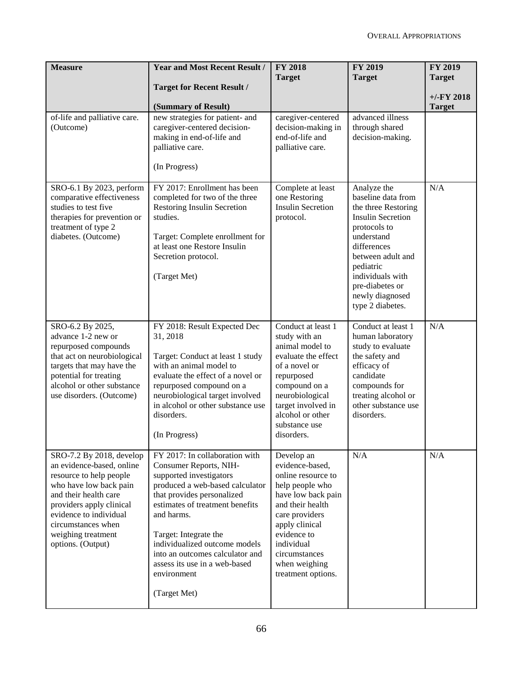| <b>Measure</b>                                                                                                                                                                                                                                             | <b>Year and Most Recent Result /</b><br><b>Target for Recent Result /</b>                                                                                                                                                                                                                                                                                          | <b>FY 2018</b><br><b>Target</b>                                                                                                                                                                                                           | <b>FY 2019</b><br><b>Target</b>                                                                                                                                                                                                                   | FY 2019<br><b>Target</b><br>$+/-FY$ 2018 |
|------------------------------------------------------------------------------------------------------------------------------------------------------------------------------------------------------------------------------------------------------------|--------------------------------------------------------------------------------------------------------------------------------------------------------------------------------------------------------------------------------------------------------------------------------------------------------------------------------------------------------------------|-------------------------------------------------------------------------------------------------------------------------------------------------------------------------------------------------------------------------------------------|---------------------------------------------------------------------------------------------------------------------------------------------------------------------------------------------------------------------------------------------------|------------------------------------------|
| of-life and palliative care.<br>(Outcome)                                                                                                                                                                                                                  | (Summary of Result)<br>new strategies for patient- and<br>caregiver-centered decision-<br>making in end-of-life and<br>palliative care.<br>(In Progress)                                                                                                                                                                                                           | caregiver-centered<br>decision-making in<br>end-of-life and<br>palliative care.                                                                                                                                                           | advanced illness<br>through shared<br>decision-making.                                                                                                                                                                                            | <b>Target</b>                            |
| SRO-6.1 By 2023, perform<br>comparative effectiveness<br>studies to test five<br>therapies for prevention or<br>treatment of type 2<br>diabetes. (Outcome)                                                                                                 | FY 2017: Enrollment has been<br>completed for two of the three<br>Restoring Insulin Secretion<br>studies.<br>Target: Complete enrollment for<br>at least one Restore Insulin<br>Secretion protocol.<br>(Target Met)                                                                                                                                                | Complete at least<br>one Restoring<br><b>Insulin Secretion</b><br>protocol.                                                                                                                                                               | Analyze the<br>baseline data from<br>the three Restoring<br><b>Insulin Secretion</b><br>protocols to<br>understand<br>differences<br>between adult and<br>pediatric<br>individuals with<br>pre-diabetes or<br>newly diagnosed<br>type 2 diabetes. | N/A                                      |
| SRO-6.2 By 2025,<br>advance 1-2 new or<br>repurposed compounds<br>that act on neurobiological<br>targets that may have the<br>potential for treating<br>alcohol or other substance<br>use disorders. (Outcome)                                             | FY 2018: Result Expected Dec<br>31, 2018<br>Target: Conduct at least 1 study<br>with an animal model to<br>evaluate the effect of a novel or<br>repurposed compound on a<br>neurobiological target involved<br>in alcohol or other substance use<br>disorders.<br>(In Progress)                                                                                    | Conduct at least 1<br>study with an<br>animal model to<br>evaluate the effect<br>of a novel or<br>repurposed<br>compound on a<br>neurobiological<br>target involved in<br>alcohol or other<br>substance use<br>disorders.                 | Conduct at least 1<br>human laboratory<br>study to evaluate<br>the safety and<br>efficacy of<br>candidate<br>compounds for<br>treating alcohol or<br>other substance use<br>disorders.                                                            | N/A                                      |
| SRO-7.2 By 2018, develop<br>an evidence-based, online<br>resource to help people<br>who have low back pain<br>and their health care<br>providers apply clinical<br>evidence to individual<br>circumstances when<br>weighing treatment<br>options. (Output) | FY 2017: In collaboration with<br>Consumer Reports, NIH-<br>supported investigators<br>produced a web-based calculator<br>that provides personalized<br>estimates of treatment benefits<br>and harms.<br>Target: Integrate the<br>individualized outcome models<br>into an outcomes calculator and<br>assess its use in a web-based<br>environment<br>(Target Met) | Develop an<br>evidence-based,<br>online resource to<br>help people who<br>have low back pain<br>and their health<br>care providers<br>apply clinical<br>evidence to<br>individual<br>circumstances<br>when weighing<br>treatment options. | N/A                                                                                                                                                                                                                                               | N/A                                      |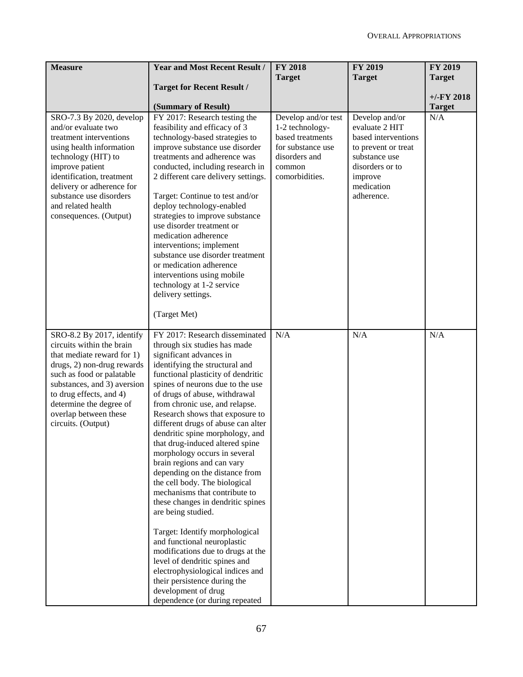| <b>Measure</b>                                                                                                                                                                                                                                                                      | <b>Year and Most Recent Result /</b>                                                                                                                                                                                                                                                                                                                                                                                                                                                                                                                                                                                                                 | <b>FY 2018</b>                                                                                        | <b>FY 2019</b>                                                                                              | FY 2019              |
|-------------------------------------------------------------------------------------------------------------------------------------------------------------------------------------------------------------------------------------------------------------------------------------|------------------------------------------------------------------------------------------------------------------------------------------------------------------------------------------------------------------------------------------------------------------------------------------------------------------------------------------------------------------------------------------------------------------------------------------------------------------------------------------------------------------------------------------------------------------------------------------------------------------------------------------------------|-------------------------------------------------------------------------------------------------------|-------------------------------------------------------------------------------------------------------------|----------------------|
|                                                                                                                                                                                                                                                                                     |                                                                                                                                                                                                                                                                                                                                                                                                                                                                                                                                                                                                                                                      | <b>Target</b>                                                                                         | <b>Target</b>                                                                                               | <b>Target</b>        |
|                                                                                                                                                                                                                                                                                     | <b>Target for Recent Result /</b>                                                                                                                                                                                                                                                                                                                                                                                                                                                                                                                                                                                                                    |                                                                                                       |                                                                                                             |                      |
|                                                                                                                                                                                                                                                                                     |                                                                                                                                                                                                                                                                                                                                                                                                                                                                                                                                                                                                                                                      |                                                                                                       |                                                                                                             | $+/-FY$ 2018         |
| SRO-7.3 By 2020, develop                                                                                                                                                                                                                                                            | (Summary of Result)<br>FY 2017: Research testing the                                                                                                                                                                                                                                                                                                                                                                                                                                                                                                                                                                                                 | Develop and/or test                                                                                   | Develop and/or                                                                                              | <b>Target</b><br>N/A |
| and/or evaluate two<br>treatment interventions<br>using health information<br>technology (HIT) to<br>improve patient<br>identification, treatment                                                                                                                                   | feasibility and efficacy of 3<br>technology-based strategies to<br>improve substance use disorder<br>treatments and adherence was<br>conducted, including research in<br>2 different care delivery settings.                                                                                                                                                                                                                                                                                                                                                                                                                                         | 1-2 technology-<br>based treatments<br>for substance use<br>disorders and<br>common<br>comorbidities. | evaluate 2 HIT<br>based interventions<br>to prevent or treat<br>substance use<br>disorders or to<br>improve |                      |
| delivery or adherence for<br>substance use disorders<br>and related health<br>consequences. (Output)                                                                                                                                                                                | Target: Continue to test and/or<br>deploy technology-enabled<br>strategies to improve substance<br>use disorder treatment or<br>medication adherence<br>interventions; implement<br>substance use disorder treatment<br>or medication adherence<br>interventions using mobile<br>technology at 1-2 service<br>delivery settings.                                                                                                                                                                                                                                                                                                                     |                                                                                                       | medication<br>adherence.                                                                                    |                      |
|                                                                                                                                                                                                                                                                                     | (Target Met)                                                                                                                                                                                                                                                                                                                                                                                                                                                                                                                                                                                                                                         |                                                                                                       |                                                                                                             |                      |
| SRO-8.2 By 2017, identify<br>circuits within the brain<br>that mediate reward for 1)<br>drugs, 2) non-drug rewards<br>such as food or palatable<br>substances, and 3) aversion<br>to drug effects, and 4)<br>determine the degree of<br>overlap between these<br>circuits. (Output) | FY 2017: Research disseminated<br>through six studies has made<br>significant advances in<br>identifying the structural and<br>functional plasticity of dendritic<br>spines of neurons due to the use<br>of drugs of abuse, withdrawal<br>from chronic use, and relapse.<br>Research shows that exposure to<br>different drugs of abuse can alter<br>dendritic spine morphology, and<br>that drug-induced altered spine<br>morphology occurs in several<br>brain regions and can vary<br>depending on the distance from<br>the cell body. The biological<br>mechanisms that contribute to<br>these changes in dendritic spines<br>are being studied. | N/A                                                                                                   | N/A                                                                                                         | N/A                  |
|                                                                                                                                                                                                                                                                                     | Target: Identify morphological<br>and functional neuroplastic<br>modifications due to drugs at the<br>level of dendritic spines and<br>electrophysiological indices and<br>their persistence during the<br>development of drug<br>dependence (or during repeated                                                                                                                                                                                                                                                                                                                                                                                     |                                                                                                       |                                                                                                             |                      |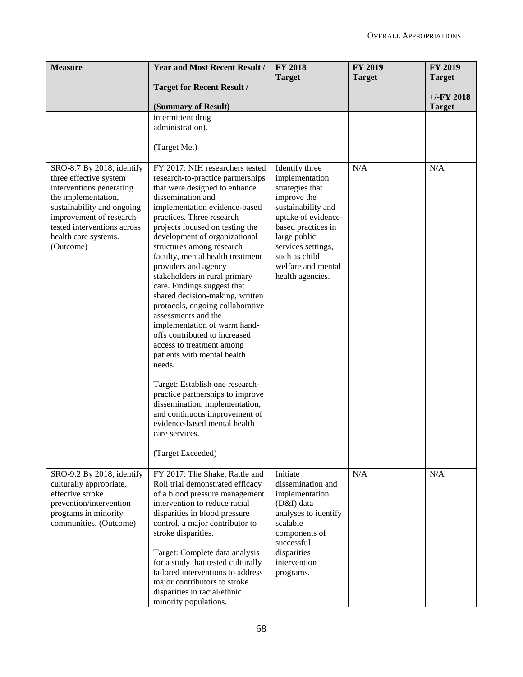| <b>Measure</b>                                                                                                                                                                                                                       | <b>Year and Most Recent Result /</b>                                                                                                                                                                                                                                                                                                                                                                                                                                                                                                                                                                                                                                                                                                                                                                                                                                        | <b>FY 2018</b><br><b>Target</b>                                                                                                                                                                                                        | <b>FY 2019</b><br><b>Target</b> | FY 2019<br><b>Target</b>      |
|--------------------------------------------------------------------------------------------------------------------------------------------------------------------------------------------------------------------------------------|-----------------------------------------------------------------------------------------------------------------------------------------------------------------------------------------------------------------------------------------------------------------------------------------------------------------------------------------------------------------------------------------------------------------------------------------------------------------------------------------------------------------------------------------------------------------------------------------------------------------------------------------------------------------------------------------------------------------------------------------------------------------------------------------------------------------------------------------------------------------------------|----------------------------------------------------------------------------------------------------------------------------------------------------------------------------------------------------------------------------------------|---------------------------------|-------------------------------|
|                                                                                                                                                                                                                                      | <b>Target for Recent Result /</b>                                                                                                                                                                                                                                                                                                                                                                                                                                                                                                                                                                                                                                                                                                                                                                                                                                           |                                                                                                                                                                                                                                        |                                 |                               |
|                                                                                                                                                                                                                                      | (Summary of Result)                                                                                                                                                                                                                                                                                                                                                                                                                                                                                                                                                                                                                                                                                                                                                                                                                                                         |                                                                                                                                                                                                                                        |                                 | $+/-FY$ 2018<br><b>Target</b> |
|                                                                                                                                                                                                                                      | intermittent drug<br>administration).<br>(Target Met)                                                                                                                                                                                                                                                                                                                                                                                                                                                                                                                                                                                                                                                                                                                                                                                                                       |                                                                                                                                                                                                                                        |                                 |                               |
| SRO-8.7 By 2018, identify<br>three effective system<br>interventions generating<br>the implementation,<br>sustainability and ongoing<br>improvement of research-<br>tested interventions across<br>health care systems.<br>(Outcome) | FY 2017: NIH researchers tested<br>research-to-practice partnerships<br>that were designed to enhance<br>dissemination and<br>implementation evidence-based<br>practices. Three research<br>projects focused on testing the<br>development of organizational<br>structures among research<br>faculty, mental health treatment<br>providers and agency<br>stakeholders in rural primary<br>care. Findings suggest that<br>shared decision-making, written<br>protocols, ongoing collaborative<br>assessments and the<br>implementation of warm hand-<br>offs contributed to increased<br>access to treatment among<br>patients with mental health<br>needs.<br>Target: Establish one research-<br>practice partnerships to improve<br>dissemination, implementation,<br>and continuous improvement of<br>evidence-based mental health<br>care services.<br>(Target Exceeded) | Identify three<br>implementation<br>strategies that<br>improve the<br>sustainability and<br>uptake of evidence-<br>based practices in<br>large public<br>services settings,<br>such as child<br>welfare and mental<br>health agencies. | N/A                             | N/A                           |
| SRO-9.2 By 2018, identify<br>culturally appropriate,<br>effective stroke<br>prevention/intervention<br>programs in minority<br>communities. (Outcome)                                                                                | FY 2017: The Shake, Rattle and<br>Roll trial demonstrated efficacy<br>of a blood pressure management<br>intervention to reduce racial<br>disparities in blood pressure<br>control, a major contributor to<br>stroke disparities.<br>Target: Complete data analysis<br>for a study that tested culturally<br>tailored interventions to address<br>major contributors to stroke<br>disparities in racial/ethnic<br>minority populations.                                                                                                                                                                                                                                                                                                                                                                                                                                      | Initiate<br>dissemination and<br>implementation<br>(D&I) data<br>analyses to identify<br>scalable<br>components of<br>successful<br>disparities<br>intervention<br>programs.                                                           | N/A                             | N/A                           |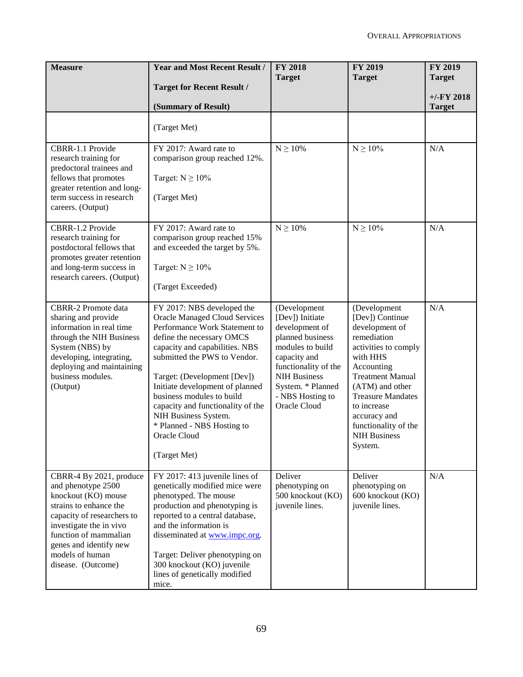| <b>Measure</b>                                                                                                                                                                                                                                      | <b>Year and Most Recent Result /</b>                                                                                                                                                                                                                                                                                                                                                                                         | <b>FY 2018</b><br><b>Target</b>                                                                                                                                                                                   | FY 2019<br><b>Target</b>                                                                                                                                                                                                                                                              | <b>FY 2019</b><br><b>Target</b> |
|-----------------------------------------------------------------------------------------------------------------------------------------------------------------------------------------------------------------------------------------------------|------------------------------------------------------------------------------------------------------------------------------------------------------------------------------------------------------------------------------------------------------------------------------------------------------------------------------------------------------------------------------------------------------------------------------|-------------------------------------------------------------------------------------------------------------------------------------------------------------------------------------------------------------------|---------------------------------------------------------------------------------------------------------------------------------------------------------------------------------------------------------------------------------------------------------------------------------------|---------------------------------|
|                                                                                                                                                                                                                                                     | <b>Target for Recent Result /</b>                                                                                                                                                                                                                                                                                                                                                                                            |                                                                                                                                                                                                                   |                                                                                                                                                                                                                                                                                       | $+/-FY$ 2018                    |
|                                                                                                                                                                                                                                                     | (Summary of Result)                                                                                                                                                                                                                                                                                                                                                                                                          |                                                                                                                                                                                                                   |                                                                                                                                                                                                                                                                                       | <b>Target</b>                   |
|                                                                                                                                                                                                                                                     | (Target Met)                                                                                                                                                                                                                                                                                                                                                                                                                 |                                                                                                                                                                                                                   |                                                                                                                                                                                                                                                                                       |                                 |
| CBRR-1.1 Provide<br>research training for<br>predoctoral trainees and<br>fellows that promotes<br>greater retention and long-<br>term success in research<br>careers. (Output)                                                                      | FY 2017: Award rate to<br>comparison group reached 12%.<br>Target: $N \ge 10\%$<br>(Target Met)                                                                                                                                                                                                                                                                                                                              | $N \geq 10\%$                                                                                                                                                                                                     | $N\geq 10\%$                                                                                                                                                                                                                                                                          | N/A                             |
| CBRR-1.2 Provide<br>research training for<br>postdoctoral fellows that<br>promotes greater retention<br>and long-term success in<br>research careers. (Output)                                                                                      | FY 2017: Award rate to<br>comparison group reached 15%<br>and exceeded the target by 5%.<br>Target: $N \ge 10\%$<br>(Target Exceeded)                                                                                                                                                                                                                                                                                        | $N \ge 10\%$                                                                                                                                                                                                      | $N \ge 10\%$                                                                                                                                                                                                                                                                          | N/A                             |
| <b>CBRR-2 Promote data</b><br>sharing and provide<br>information in real time<br>through the NIH Business<br>System (NBS) by<br>developing, integrating,<br>deploying and maintaining<br>business modules.<br>(Output)                              | FY 2017: NBS developed the<br><b>Oracle Managed Cloud Services</b><br>Performance Work Statement to<br>define the necessary OMCS<br>capacity and capabilities. NBS<br>submitted the PWS to Vendor.<br>Target: (Development [Dev])<br>Initiate development of planned<br>business modules to build<br>capacity and functionality of the<br>NIH Business System.<br>* Planned - NBS Hosting to<br>Oracle Cloud<br>(Target Met) | (Development<br>[Dev]) Initiate<br>development of<br>planned business<br>modules to build<br>capacity and<br>functionality of the<br><b>NIH Business</b><br>System. * Planned<br>- NBS Hosting to<br>Oracle Cloud | (Development<br>[Dev]) Continue<br>development of<br>remediation<br>activities to comply<br>with HHS<br>Accounting<br><b>Treatment Manual</b><br>(ATM) and other<br><b>Treasure Mandates</b><br>to increase<br>accuracy and<br>functionality of the<br><b>NIH Business</b><br>System. | N/A                             |
| CBRR-4 By 2021, produce<br>and phenotype 2500<br>knockout (KO) mouse<br>strains to enhance the<br>capacity of researchers to<br>investigate the in vivo<br>function of mammalian<br>genes and identify new<br>models of human<br>disease. (Outcome) | FY 2017: 413 juvenile lines of<br>genetically modified mice were<br>phenotyped. The mouse<br>production and phenotyping is<br>reported to a central database,<br>and the information is<br>disseminated at www.impc.org.<br>Target: Deliver phenotyping on<br>300 knockout (KO) juvenile<br>lines of genetically modified<br>mice.                                                                                           | Deliver<br>phenotyping on<br>500 knockout (KO)<br>juvenile lines.                                                                                                                                                 | Deliver<br>phenotyping on<br>600 knockout (KO)<br>juvenile lines.                                                                                                                                                                                                                     | N/A                             |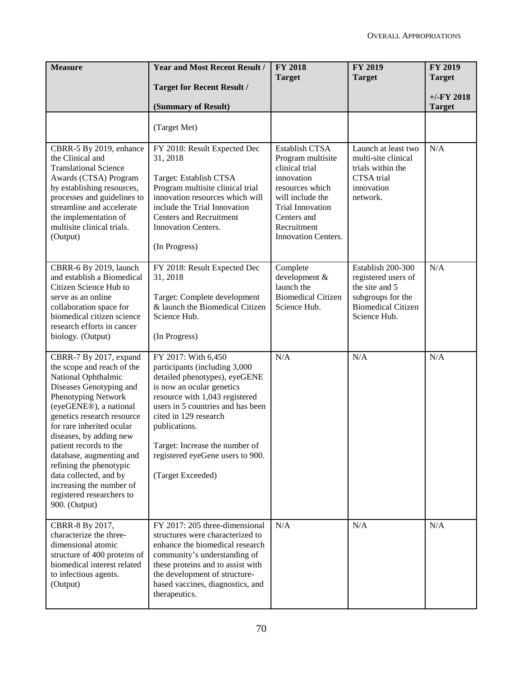| <b>Measure</b>                                                                                                                                                                                                                                                                                                                                                                                                                     | <b>Year and Most Recent Result /</b><br><b>Target for Recent Result /</b>                                                                                                                                                                                                                                                      | <b>FY 2018</b><br><b>Target</b>                                                                                                                                                     | <b>FY 2019</b><br><b>Target</b>                                                                                              | <b>FY 2019</b><br><b>Target</b> |
|------------------------------------------------------------------------------------------------------------------------------------------------------------------------------------------------------------------------------------------------------------------------------------------------------------------------------------------------------------------------------------------------------------------------------------|--------------------------------------------------------------------------------------------------------------------------------------------------------------------------------------------------------------------------------------------------------------------------------------------------------------------------------|-------------------------------------------------------------------------------------------------------------------------------------------------------------------------------------|------------------------------------------------------------------------------------------------------------------------------|---------------------------------|
|                                                                                                                                                                                                                                                                                                                                                                                                                                    | (Summary of Result)                                                                                                                                                                                                                                                                                                            |                                                                                                                                                                                     |                                                                                                                              | $+/-FY$ 2018<br><b>Target</b>   |
|                                                                                                                                                                                                                                                                                                                                                                                                                                    | (Target Met)                                                                                                                                                                                                                                                                                                                   |                                                                                                                                                                                     |                                                                                                                              |                                 |
| CBRR-5 By 2019, enhance<br>the Clinical and<br><b>Translational Science</b><br>Awards (CTSA) Program<br>by establishing resources,<br>processes and guidelines to<br>streamline and accelerate<br>the implementation of<br>multisite clinical trials.<br>(Output)                                                                                                                                                                  | FY 2018: Result Expected Dec<br>31, 2018<br>Target: Establish CTSA<br>Program multisite clinical trial<br>innovation resources which will<br>include the Trial Innovation<br><b>Centers and Recruitment</b><br>Innovation Centers.<br>(In Progress)                                                                            | Establish CTSA<br>Program multisite<br>clinical trial<br>innovation<br>resources which<br>will include the<br>Trial Innovation<br>Centers and<br>Recruitment<br>Innovation Centers. | Launch at least two<br>multi-site clinical<br>trials within the<br>CTSA trial<br>innovation<br>network.                      | N/A                             |
| CBRR-6 By 2019, launch<br>and establish a Biomedical<br>Citizen Science Hub to<br>serve as an online<br>collaboration space for<br>biomedical citizen science<br>research efforts in cancer<br>biology. (Output)                                                                                                                                                                                                                   | FY 2018: Result Expected Dec<br>31, 2018<br>Target: Complete development<br>& launch the Biomedical Citizen<br>Science Hub.<br>(In Progress)                                                                                                                                                                                   | Complete<br>development &<br>launch the<br><b>Biomedical Citizen</b><br>Science Hub.                                                                                                | Establish 200-300<br>registered users of<br>the site and 5<br>subgroups for the<br><b>Biomedical Citizen</b><br>Science Hub. | N/A                             |
| CBRR-7 By 2017, expand<br>the scope and reach of the<br>National Ophthalmic<br>Diseases Genotyping and<br>Phenotyping Network<br>(eyeGENE®), a national<br>genetics research resource<br>for rare inherited ocular<br>diseases, by adding new<br>patient records to the<br>database, augmenting and<br>refining the phenotypic<br>data collected, and by<br>increasing the number of<br>registered researchers to<br>900. (Output) | FY 2017: With 6,450<br>participants (including 3,000<br>detailed phenotypes), eyeGENE<br>is now an ocular genetics<br>resource with 1,043 registered<br>users in 5 countries and has been<br>cited in 129 research<br>publications.<br>Target: Increase the number of<br>registered eyeGene users to 900.<br>(Target Exceeded) | N/A                                                                                                                                                                                 | N/A                                                                                                                          | N/A                             |
| CBRR-8 By 2017,<br>characterize the three-<br>dimensional atomic<br>structure of 400 proteins of<br>biomedical interest related<br>to infectious agents.<br>(Output)                                                                                                                                                                                                                                                               | FY 2017: 205 three-dimensional<br>structures were characterized to<br>enhance the biomedical research<br>community's understanding of<br>these proteins and to assist with<br>the development of structure-<br>based vaccines, diagnostics, and<br>therapeutics.                                                               | N/A                                                                                                                                                                                 | N/A                                                                                                                          | N/A                             |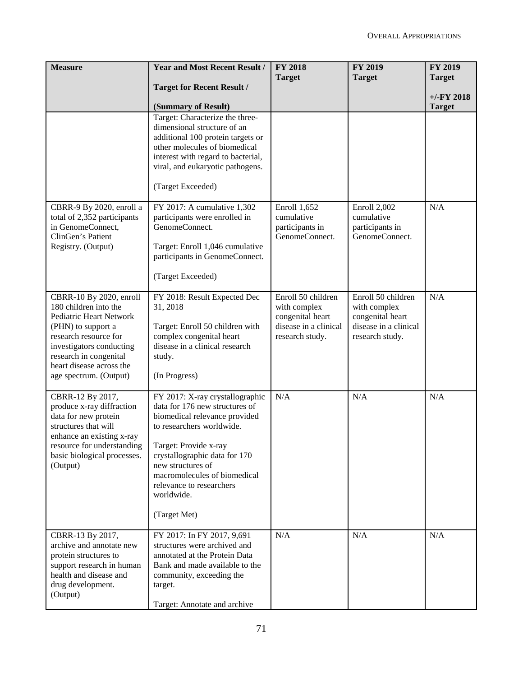| <b>Measure</b>                                          | <b>Year and Most Recent Result /</b>                                | <b>FY 2018</b>                           | <b>FY 2019</b>                           | FY 2019       |
|---------------------------------------------------------|---------------------------------------------------------------------|------------------------------------------|------------------------------------------|---------------|
|                                                         | <b>Target for Recent Result /</b>                                   | <b>Target</b>                            | <b>Target</b>                            | <b>Target</b> |
|                                                         |                                                                     |                                          |                                          | $+/-FY$ 2018  |
|                                                         | (Summary of Result)<br>Target: Characterize the three-              |                                          |                                          | <b>Target</b> |
|                                                         | dimensional structure of an                                         |                                          |                                          |               |
|                                                         | additional 100 protein targets or                                   |                                          |                                          |               |
|                                                         | other molecules of biomedical<br>interest with regard to bacterial, |                                          |                                          |               |
|                                                         | viral, and eukaryotic pathogens.                                    |                                          |                                          |               |
|                                                         | (Target Exceeded)                                                   |                                          |                                          |               |
| CBRR-9 By 2020, enroll a                                | FY 2017: A cumulative 1,302                                         | Enroll 1,652                             | Enroll 2,002                             | N/A           |
| total of 2,352 participants<br>in GenomeConnect,        | participants were enrolled in<br>GenomeConnect.                     | cumulative<br>participants in            | cumulative<br>participants in            |               |
| ClinGen's Patient                                       |                                                                     | GenomeConnect.                           | GenomeConnect.                           |               |
| Registry. (Output)                                      | Target: Enroll 1,046 cumulative<br>participants in GenomeConnect.   |                                          |                                          |               |
|                                                         | (Target Exceeded)                                                   |                                          |                                          |               |
| CBRR-10 By 2020, enroll<br>180 children into the        | FY 2018: Result Expected Dec<br>31, 2018                            | Enroll 50 children<br>with complex       | Enroll 50 children<br>with complex       | N/A           |
| Pediatric Heart Network                                 |                                                                     | congenital heart                         | congenital heart                         |               |
| (PHN) to support a<br>research resource for             | Target: Enroll 50 children with<br>complex congenital heart         | disease in a clinical<br>research study. | disease in a clinical<br>research study. |               |
| investigators conducting                                | disease in a clinical research                                      |                                          |                                          |               |
| research in congenital                                  | study.                                                              |                                          |                                          |               |
| heart disease across the<br>age spectrum. (Output)      | (In Progress)                                                       |                                          |                                          |               |
|                                                         |                                                                     |                                          |                                          |               |
| CBRR-12 By 2017,<br>produce x-ray diffraction           | FY 2017: X-ray crystallographic<br>data for 176 new structures of   | N/A                                      | N/A                                      | N/A           |
| data for new protein                                    | biomedical relevance provided                                       |                                          |                                          |               |
| structures that will                                    | to researchers worldwide.                                           |                                          |                                          |               |
| enhance an existing x-ray<br>resource for understanding | Target: Provide x-ray                                               |                                          |                                          |               |
| basic biological processes.                             | crystallographic data for 170                                       |                                          |                                          |               |
| (Output)                                                | new structures of                                                   |                                          |                                          |               |
|                                                         | macromolecules of biomedical<br>relevance to researchers            |                                          |                                          |               |
|                                                         | worldwide.                                                          |                                          |                                          |               |
|                                                         | (Target Met)                                                        |                                          |                                          |               |
| CBRR-13 By 2017,                                        | FY 2017: In FY 2017, 9,691                                          | N/A                                      | N/A                                      | N/A           |
| archive and annotate new<br>protein structures to       | structures were archived and<br>annotated at the Protein Data       |                                          |                                          |               |
| support research in human                               | Bank and made available to the                                      |                                          |                                          |               |
| health and disease and                                  | community, exceeding the                                            |                                          |                                          |               |
| drug development.<br>(Output)                           | target.                                                             |                                          |                                          |               |
|                                                         | Target: Annotate and archive                                        |                                          |                                          |               |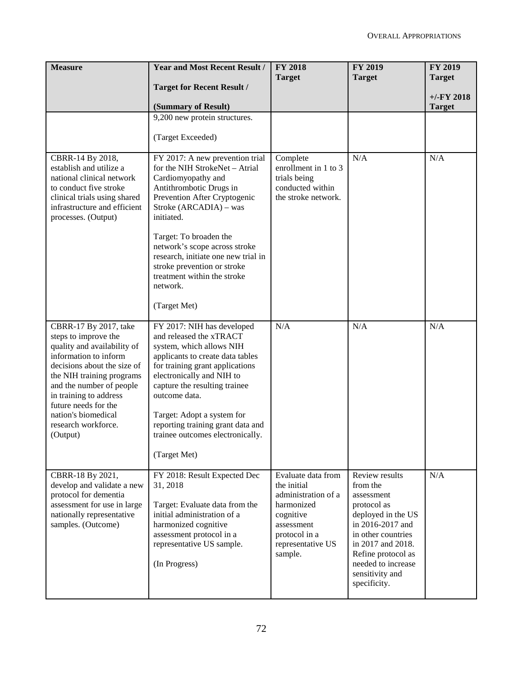| <b>Measure</b>                                                                                                                                                                                                                                                                                            | <b>Year and Most Recent Result /</b>                                                                                                                                                                                                                                                                                                                                                   | <b>FY 2018</b><br><b>Target</b>                                                                                                                    | <b>FY 2019</b><br><b>Target</b>                                                                                                                                                                                                    | FY 2019<br><b>Target</b> |
|-----------------------------------------------------------------------------------------------------------------------------------------------------------------------------------------------------------------------------------------------------------------------------------------------------------|----------------------------------------------------------------------------------------------------------------------------------------------------------------------------------------------------------------------------------------------------------------------------------------------------------------------------------------------------------------------------------------|----------------------------------------------------------------------------------------------------------------------------------------------------|------------------------------------------------------------------------------------------------------------------------------------------------------------------------------------------------------------------------------------|--------------------------|
|                                                                                                                                                                                                                                                                                                           | <b>Target for Recent Result /</b>                                                                                                                                                                                                                                                                                                                                                      |                                                                                                                                                    |                                                                                                                                                                                                                                    | $+/-FY$ 2018             |
|                                                                                                                                                                                                                                                                                                           | (Summary of Result)                                                                                                                                                                                                                                                                                                                                                                    |                                                                                                                                                    |                                                                                                                                                                                                                                    | <b>Target</b>            |
|                                                                                                                                                                                                                                                                                                           | 9,200 new protein structures.                                                                                                                                                                                                                                                                                                                                                          |                                                                                                                                                    |                                                                                                                                                                                                                                    |                          |
|                                                                                                                                                                                                                                                                                                           | (Target Exceeded)                                                                                                                                                                                                                                                                                                                                                                      |                                                                                                                                                    |                                                                                                                                                                                                                                    |                          |
| CBRR-14 By 2018,<br>establish and utilize a<br>national clinical network<br>to conduct five stroke<br>clinical trials using shared<br>infrastructure and efficient<br>processes. (Output)                                                                                                                 | FY 2017: A new prevention trial<br>for the NIH StrokeNet - Atrial<br>Cardiomyopathy and<br>Antithrombotic Drugs in<br>Prevention After Cryptogenic<br>Stroke (ARCADIA) – was<br>initiated.<br>Target: To broaden the<br>network's scope across stroke<br>research, initiate one new trial in<br>stroke prevention or stroke<br>treatment within the stroke<br>network.<br>(Target Met) | Complete<br>enrollment in 1 to 3<br>trials being<br>conducted within<br>the stroke network.                                                        | N/A                                                                                                                                                                                                                                | N/A                      |
| CBRR-17 By 2017, take<br>steps to improve the<br>quality and availability of<br>information to inform<br>decisions about the size of<br>the NIH training programs<br>and the number of people<br>in training to address<br>future needs for the<br>nation's biomedical<br>research workforce.<br>(Output) | FY 2017: NIH has developed<br>and released the xTRACT<br>system, which allows NIH<br>applicants to create data tables<br>for training grant applications<br>electronically and NIH to<br>capture the resulting trainee<br>outcome data.<br>Target: Adopt a system for<br>reporting training grant data and<br>trainee outcomes electronically.<br>(Target Met)                         | N/A                                                                                                                                                | N/A                                                                                                                                                                                                                                | N/A                      |
| CBRR-18 By 2021,<br>develop and validate a new<br>protocol for dementia<br>assessment for use in large<br>nationally representative<br>samples. (Outcome)                                                                                                                                                 | FY 2018: Result Expected Dec<br>31, 2018<br>Target: Evaluate data from the<br>initial administration of a<br>harmonized cognitive<br>assessment protocol in a<br>representative US sample.<br>(In Progress)                                                                                                                                                                            | Evaluate data from<br>the initial<br>administration of a<br>harmonized<br>cognitive<br>assessment<br>protocol in a<br>representative US<br>sample. | <b>Review results</b><br>from the<br>assessment<br>protocol as<br>deployed in the US<br>in 2016-2017 and<br>in other countries<br>in 2017 and 2018.<br>Refine protocol as<br>needed to increase<br>sensitivity and<br>specificity. | N/A                      |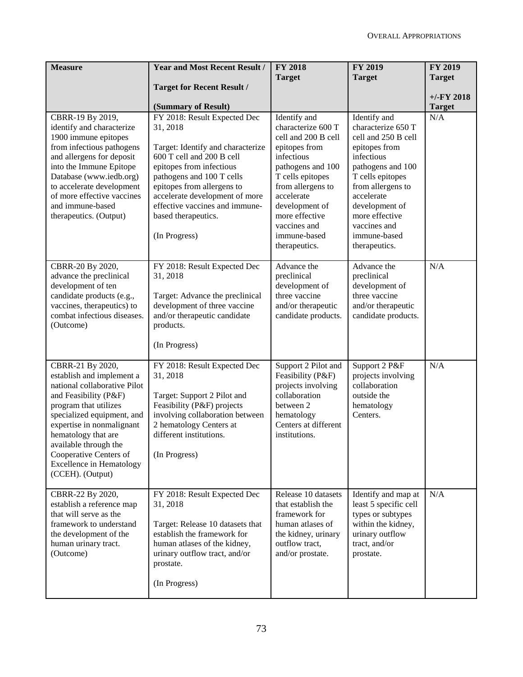| <b>Measure</b>                                                                                                                                                                                                                                                                                                              | <b>Year and Most Recent Result /</b>                                                                                                                                                                                                                                                                          | <b>FY 2018</b>                                                                                                                                                                                                                                            | FY 2019                                                                                                                                                                                                                                                   | <b>FY 2019</b>                 |
|-----------------------------------------------------------------------------------------------------------------------------------------------------------------------------------------------------------------------------------------------------------------------------------------------------------------------------|---------------------------------------------------------------------------------------------------------------------------------------------------------------------------------------------------------------------------------------------------------------------------------------------------------------|-----------------------------------------------------------------------------------------------------------------------------------------------------------------------------------------------------------------------------------------------------------|-----------------------------------------------------------------------------------------------------------------------------------------------------------------------------------------------------------------------------------------------------------|--------------------------------|
|                                                                                                                                                                                                                                                                                                                             | <b>Target for Recent Result /</b>                                                                                                                                                                                                                                                                             | <b>Target</b>                                                                                                                                                                                                                                             | <b>Target</b>                                                                                                                                                                                                                                             | <b>Target</b>                  |
|                                                                                                                                                                                                                                                                                                                             | (Summary of Result)                                                                                                                                                                                                                                                                                           |                                                                                                                                                                                                                                                           |                                                                                                                                                                                                                                                           | $+/-$ FY 2018<br><b>Target</b> |
| CBRR-19 By 2019,<br>identify and characterize<br>1900 immune epitopes<br>from infectious pathogens<br>and allergens for deposit<br>into the Immune Epitope<br>Database (www.iedb.org)<br>to accelerate development<br>of more effective vaccines<br>and immune-based<br>therapeutics. (Output)                              | FY 2018: Result Expected Dec<br>31, 2018<br>Target: Identify and characterize<br>600 T cell and 200 B cell<br>epitopes from infectious<br>pathogens and 100 T cells<br>epitopes from allergens to<br>accelerate development of more<br>effective vaccines and immune-<br>based therapeutics.<br>(In Progress) | Identify and<br>characterize 600 T<br>cell and 200 B cell<br>epitopes from<br>infectious<br>pathogens and 100<br>T cells epitopes<br>from allergens to<br>accelerate<br>development of<br>more effective<br>vaccines and<br>immune-based<br>therapeutics. | Identify and<br>characterize 650 T<br>cell and 250 B cell<br>epitopes from<br>infectious<br>pathogens and 100<br>T cells epitopes<br>from allergens to<br>accelerate<br>development of<br>more effective<br>vaccines and<br>immune-based<br>therapeutics. | N/A                            |
| CBRR-20 By 2020,<br>advance the preclinical<br>development of ten<br>candidate products (e.g.,<br>vaccines, therapeutics) to<br>combat infectious diseases.<br>(Outcome)                                                                                                                                                    | FY 2018: Result Expected Dec<br>31, 2018<br>Target: Advance the preclinical<br>development of three vaccine<br>and/or therapeutic candidate<br>products.<br>(In Progress)                                                                                                                                     | Advance the<br>preclinical<br>development of<br>three vaccine<br>and/or therapeutic<br>candidate products.                                                                                                                                                | Advance the<br>preclinical<br>development of<br>three vaccine<br>and/or therapeutic<br>candidate products.                                                                                                                                                | N/A                            |
| CBRR-21 By 2020,<br>establish and implement a<br>national collaborative Pilot<br>and Feasibility (P&F)<br>program that utilizes<br>specialized equipment, and<br>expertise in nonmalignant<br>hematology that are<br>available through the<br>Cooperative Centers of<br><b>Excellence in Hematology</b><br>(CCEH). (Output) | FY 2018: Result Expected Dec<br>31, 2018<br>Target: Support 2 Pilot and<br>Feasibility (P&F) projects<br>involving collaboration between<br>2 hematology Centers at<br>different institutions.<br>(In Progress)                                                                                               | Support 2 Pilot and<br>Feasibility (P&F)<br>projects involving<br>collaboration<br>between 2<br>hematology<br>Centers at different<br>institutions.                                                                                                       | Support 2 P&F<br>projects involving<br>collaboration<br>outside the<br>hematology<br>Centers.                                                                                                                                                             | N/A                            |
| CBRR-22 By 2020,<br>establish a reference map<br>that will serve as the<br>framework to understand<br>the development of the<br>human urinary tract.<br>(Outcome)                                                                                                                                                           | FY 2018: Result Expected Dec<br>31, 2018<br>Target: Release 10 datasets that<br>establish the framework for<br>human atlases of the kidney,<br>urinary outflow tract, and/or<br>prostate.<br>(In Progress)                                                                                                    | Release 10 datasets<br>that establish the<br>framework for<br>human atlases of<br>the kidney, urinary<br>outflow tract,<br>and/or prostate.                                                                                                               | Identify and map at<br>least 5 specific cell<br>types or subtypes<br>within the kidney,<br>urinary outflow<br>tract, and/or<br>prostate.                                                                                                                  | N/A                            |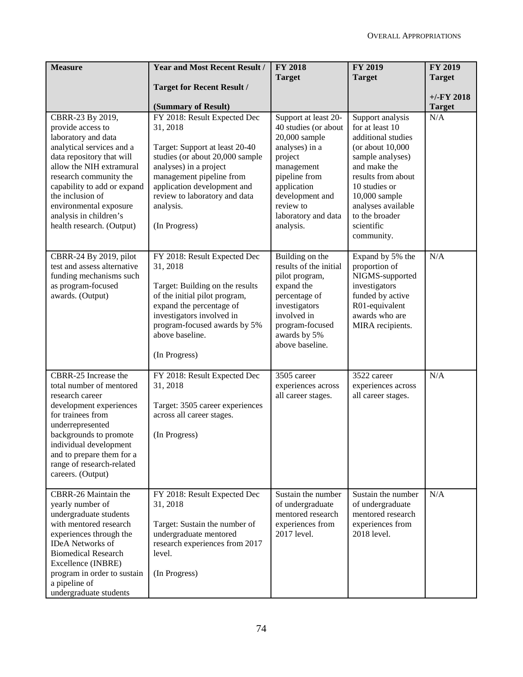| <b>Measure</b>                                         | <b>Year and Most Recent Result /</b>                  | <b>FY 2018</b>                               | <b>FY 2019</b>                           | FY 2019              |
|--------------------------------------------------------|-------------------------------------------------------|----------------------------------------------|------------------------------------------|----------------------|
|                                                        |                                                       | <b>Target</b>                                | <b>Target</b>                            | <b>Target</b>        |
|                                                        | <b>Target for Recent Result /</b>                     |                                              |                                          |                      |
|                                                        |                                                       |                                              |                                          | $+/-FY$ 2018         |
| CBRR-23 By 2019,                                       | (Summary of Result)<br>FY 2018: Result Expected Dec   |                                              |                                          | <b>Target</b><br>N/A |
| provide access to                                      | 31, 2018                                              | Support at least 20-<br>40 studies (or about | Support analysis<br>for at least 10      |                      |
| laboratory and data                                    |                                                       | $20,000$ sample                              | additional studies                       |                      |
| analytical services and a                              | Target: Support at least 20-40                        | analyses) in a                               | (or about $10,000$                       |                      |
| data repository that will                              | studies (or about 20,000 sample                       | project                                      | sample analyses)                         |                      |
| allow the NIH extramural                               | analyses) in a project                                | management                                   | and make the                             |                      |
| research community the                                 | management pipeline from                              | pipeline from                                | results from about                       |                      |
| capability to add or expand                            | application development and                           | application                                  | 10 studies or                            |                      |
| the inclusion of                                       | review to laboratory and data                         | development and                              | 10,000 sample                            |                      |
| environmental exposure<br>analysis in children's       | analysis.                                             | review to<br>laboratory and data             | analyses available<br>to the broader     |                      |
| health research. (Output)                              | (In Progress)                                         | analysis.                                    | scientific                               |                      |
|                                                        |                                                       |                                              | community.                               |                      |
|                                                        |                                                       |                                              |                                          |                      |
| CBRR-24 By 2019, pilot                                 | FY 2018: Result Expected Dec                          | Building on the                              | Expand by 5% the                         | N/A                  |
| test and assess alternative                            | 31, 2018                                              | results of the initial                       | proportion of                            |                      |
| funding mechanisms such                                |                                                       | pilot program,                               | NIGMS-supported                          |                      |
| as program-focused                                     | Target: Building on the results                       | expand the                                   | investigators                            |                      |
| awards. (Output)                                       | of the initial pilot program,                         | percentage of<br>investigators               | funded by active<br>R01-equivalent       |                      |
|                                                        | expand the percentage of<br>investigators involved in | involved in                                  | awards who are                           |                      |
|                                                        | program-focused awards by 5%                          | program-focused                              | MIRA recipients.                         |                      |
|                                                        | above baseline.                                       | awards by 5%                                 |                                          |                      |
|                                                        |                                                       | above baseline.                              |                                          |                      |
|                                                        | (In Progress)                                         |                                              |                                          |                      |
|                                                        |                                                       |                                              |                                          |                      |
| CBRR-25 Increase the<br>total number of mentored       | FY 2018: Result Expected Dec<br>31, 2018              | 3505 career                                  | 3522 career                              | N/A                  |
| research career                                        |                                                       | experiences across<br>all career stages.     | experiences across<br>all career stages. |                      |
| development experiences                                | Target: 3505 career experiences                       |                                              |                                          |                      |
| for trainees from                                      | across all career stages.                             |                                              |                                          |                      |
| underrepresented                                       |                                                       |                                              |                                          |                      |
| backgrounds to promote                                 | (In Progress)                                         |                                              |                                          |                      |
| individual development                                 |                                                       |                                              |                                          |                      |
| and to prepare them for a<br>range of research-related |                                                       |                                              |                                          |                      |
| careers. (Output)                                      |                                                       |                                              |                                          |                      |
|                                                        |                                                       |                                              |                                          |                      |
| CBRR-26 Maintain the                                   | FY 2018: Result Expected Dec                          | Sustain the number                           | Sustain the number                       | N/A                  |
| yearly number of                                       | 31, 2018                                              | of undergraduate                             | of undergraduate                         |                      |
| undergraduate students                                 |                                                       | mentored research                            | mentored research                        |                      |
| with mentored research                                 | Target: Sustain the number of                         | experiences from                             | experiences from                         |                      |
| experiences through the                                | undergraduate mentored                                | 2017 level.                                  | 2018 level.                              |                      |
| <b>IDeA</b> Networks of<br><b>Biomedical Research</b>  | research experiences from 2017<br>level.              |                                              |                                          |                      |
| Excellence (INBRE)                                     |                                                       |                                              |                                          |                      |
| program in order to sustain                            | (In Progress)                                         |                                              |                                          |                      |
| a pipeline of                                          |                                                       |                                              |                                          |                      |
| undergraduate students                                 |                                                       |                                              |                                          |                      |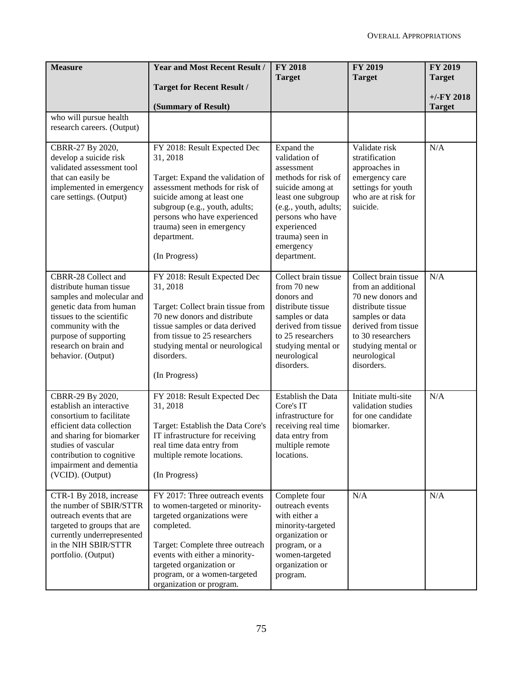| <b>Measure</b>                                                                                                                                                                                                                        | <b>Year and Most Recent Result /</b>                                                                                                                                                                                                                                        | <b>FY 2018</b><br><b>Target</b>                                                                                                                                                                                       | <b>FY 2019</b><br><b>Target</b>                                                                                                                                                                         | FY 2019<br><b>Target</b>       |
|---------------------------------------------------------------------------------------------------------------------------------------------------------------------------------------------------------------------------------------|-----------------------------------------------------------------------------------------------------------------------------------------------------------------------------------------------------------------------------------------------------------------------------|-----------------------------------------------------------------------------------------------------------------------------------------------------------------------------------------------------------------------|---------------------------------------------------------------------------------------------------------------------------------------------------------------------------------------------------------|--------------------------------|
|                                                                                                                                                                                                                                       | <b>Target for Recent Result /</b>                                                                                                                                                                                                                                           |                                                                                                                                                                                                                       |                                                                                                                                                                                                         |                                |
|                                                                                                                                                                                                                                       | (Summary of Result)                                                                                                                                                                                                                                                         |                                                                                                                                                                                                                       |                                                                                                                                                                                                         | $+/-$ FY 2018<br><b>Target</b> |
| who will pursue health<br>research careers. (Output)                                                                                                                                                                                  |                                                                                                                                                                                                                                                                             |                                                                                                                                                                                                                       |                                                                                                                                                                                                         |                                |
| CBRR-27 By 2020,<br>develop a suicide risk<br>validated assessment tool<br>that can easily be<br>implemented in emergency<br>care settings. (Output)                                                                                  | FY 2018: Result Expected Dec<br>31, 2018<br>Target: Expand the validation of<br>assessment methods for risk of<br>suicide among at least one<br>subgroup (e.g., youth, adults;<br>persons who have experienced<br>trauma) seen in emergency<br>department.<br>(In Progress) | Expand the<br>validation of<br>assessment<br>methods for risk of<br>suicide among at<br>least one subgroup<br>(e.g., youth, adults;<br>persons who have<br>experienced<br>trauma) seen in<br>emergency<br>department. | Validate risk<br>stratification<br>approaches in<br>emergency care<br>settings for youth<br>who are at risk for<br>suicide.                                                                             | N/A                            |
| CBRR-28 Collect and<br>distribute human tissue<br>samples and molecular and<br>genetic data from human<br>tissues to the scientific<br>community with the<br>purpose of supporting<br>research on brain and<br>behavior. (Output)     | FY 2018: Result Expected Dec<br>31, 2018<br>Target: Collect brain tissue from<br>70 new donors and distribute<br>tissue samples or data derived<br>from tissue to 25 researchers<br>studying mental or neurological<br>disorders.<br>(In Progress)                          | Collect brain tissue<br>from 70 new<br>donors and<br>distribute tissue<br>samples or data<br>derived from tissue<br>to 25 researchers<br>studying mental or<br>neurological<br>disorders.                             | Collect brain tissue<br>from an additional<br>70 new donors and<br>distribute tissue<br>samples or data<br>derived from tissue<br>to 30 researchers<br>studying mental or<br>neurological<br>disorders. | N/A                            |
| CBRR-29 By 2020,<br>establish an interactive<br>consortium to facilitate<br>efficient data collection<br>and sharing for biomarker<br>studies of vascular<br>contribution to cognitive<br>impairment and dementia<br>(VCID). (Output) | FY 2018: Result Expected Dec<br>31, 2018<br>Target: Establish the Data Core's<br>IT infrastructure for receiving<br>real time data entry from<br>multiple remote locations.<br>(In Progress)                                                                                | Establish the Data<br>Core's IT<br>infrastructure for<br>receiving real time<br>data entry from<br>multiple remote<br>locations.                                                                                      | Initiate multi-site<br>validation studies<br>for one candidate<br>biomarker.                                                                                                                            | N/A                            |
| CTR-1 By 2018, increase<br>the number of SBIR/STTR<br>outreach events that are<br>targeted to groups that are<br>currently underrepresented<br>in the NIH SBIR/STTR<br>portfolio. (Output)                                            | FY 2017: Three outreach events<br>to women-targeted or minority-<br>targeted organizations were<br>completed.<br>Target: Complete three outreach<br>events with either a minority-<br>targeted organization or<br>program, or a women-targeted<br>organization or program.  | Complete four<br>outreach events<br>with either a<br>minority-targeted<br>organization or<br>program, or a<br>women-targeted<br>organization or<br>program.                                                           | N/A                                                                                                                                                                                                     | N/A                            |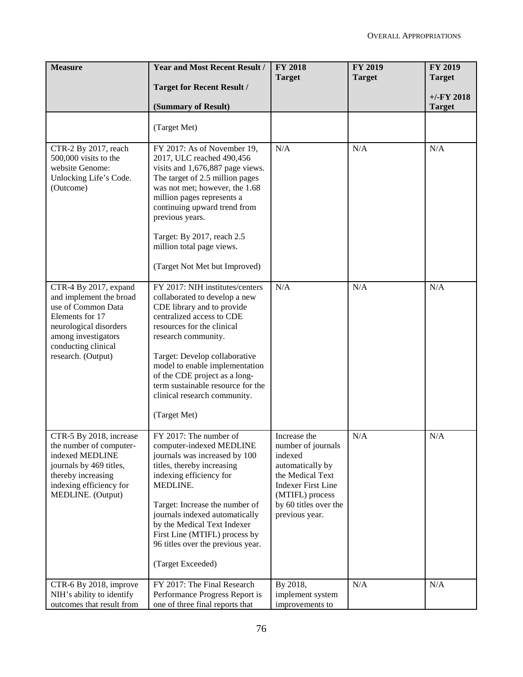| <b>Measure</b>                                                                                                                                                                          | <b>Year and Most Recent Result /</b>                                                                                                                                                                                                                                                                                                                                      | <b>FY 2018</b><br><b>Target</b>                                                                                                                                                  | <b>FY 2019</b><br><b>Target</b> | FY 2019<br><b>Target</b>      |
|-----------------------------------------------------------------------------------------------------------------------------------------------------------------------------------------|---------------------------------------------------------------------------------------------------------------------------------------------------------------------------------------------------------------------------------------------------------------------------------------------------------------------------------------------------------------------------|----------------------------------------------------------------------------------------------------------------------------------------------------------------------------------|---------------------------------|-------------------------------|
|                                                                                                                                                                                         | <b>Target for Recent Result /</b>                                                                                                                                                                                                                                                                                                                                         |                                                                                                                                                                                  |                                 |                               |
|                                                                                                                                                                                         | (Summary of Result)                                                                                                                                                                                                                                                                                                                                                       |                                                                                                                                                                                  |                                 | $+/-FY$ 2018<br><b>Target</b> |
|                                                                                                                                                                                         | (Target Met)                                                                                                                                                                                                                                                                                                                                                              |                                                                                                                                                                                  |                                 |                               |
| CTR-2 By 2017, reach<br>500,000 visits to the<br>website Genome:<br>Unlocking Life's Code.<br>(Outcome)                                                                                 | FY 2017: As of November 19,<br>2017, ULC reached 490,456<br>visits and 1,676,887 page views.<br>The target of 2.5 million pages<br>was not met; however, the 1.68<br>million pages represents a<br>continuing upward trend from<br>previous years.<br>Target: By 2017, reach 2.5<br>million total page views.                                                             | N/A                                                                                                                                                                              | N/A                             | N/A                           |
|                                                                                                                                                                                         | (Target Not Met but Improved)                                                                                                                                                                                                                                                                                                                                             |                                                                                                                                                                                  |                                 |                               |
| CTR-4 By 2017, expand<br>and implement the broad<br>use of Common Data<br>Elements for 17<br>neurological disorders<br>among investigators<br>conducting clinical<br>research. (Output) | FY 2017: NIH institutes/centers<br>collaborated to develop a new<br>CDE library and to provide<br>centralized access to CDE<br>resources for the clinical<br>research community.<br>Target: Develop collaborative<br>model to enable implementation<br>of the CDE project as a long-<br>term sustainable resource for the<br>clinical research community.<br>(Target Met) | N/A                                                                                                                                                                              | N/A                             | N/A                           |
| CTR-5 By 2018, increase<br>the number of computer-<br>indexed MEDLINE<br>journals by 469 titles,<br>thereby increasing<br>indexing efficiency for<br>MEDLINE. (Output)                  | FY 2017: The number of<br>computer-indexed MEDLINE<br>journals was increased by 100<br>titles, thereby increasing<br>indexing efficiency for<br>MEDLINE.<br>Target: Increase the number of<br>journals indexed automatically<br>by the Medical Text Indexer<br>First Line (MTIFL) process by<br>96 titles over the previous year.<br>(Target Exceeded)                    | Increase the<br>number of journals<br>indexed<br>automatically by<br>the Medical Text<br><b>Indexer First Line</b><br>(MTIFL) process<br>by 60 titles over the<br>previous year. | N/A                             | N/A                           |
| CTR-6 By 2018, improve<br>NIH's ability to identify<br>outcomes that result from                                                                                                        | FY 2017: The Final Research<br>Performance Progress Report is<br>one of three final reports that                                                                                                                                                                                                                                                                          | By 2018,<br>implement system<br>improvements to                                                                                                                                  | N/A                             | $\rm N/A$                     |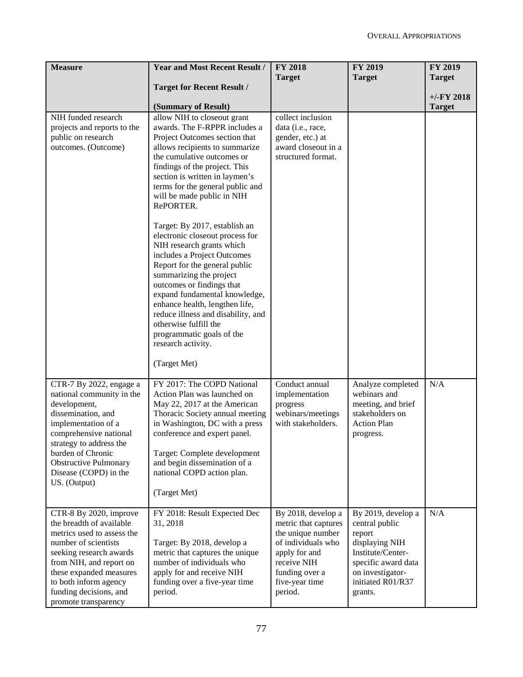| <b>Measure</b>                                                                                                                                                                                                                                                       | <b>Year and Most Recent Result /</b>                                                                                                                                                                                                                                                                                                                                                                                                                                                                                                                                                                                                                                                                                                                                 | <b>FY 2018</b>                                                                                                                                                       | <b>FY 2019</b>                                                                                                                                                   | FY 2019       |
|----------------------------------------------------------------------------------------------------------------------------------------------------------------------------------------------------------------------------------------------------------------------|----------------------------------------------------------------------------------------------------------------------------------------------------------------------------------------------------------------------------------------------------------------------------------------------------------------------------------------------------------------------------------------------------------------------------------------------------------------------------------------------------------------------------------------------------------------------------------------------------------------------------------------------------------------------------------------------------------------------------------------------------------------------|----------------------------------------------------------------------------------------------------------------------------------------------------------------------|------------------------------------------------------------------------------------------------------------------------------------------------------------------|---------------|
|                                                                                                                                                                                                                                                                      | <b>Target for Recent Result /</b>                                                                                                                                                                                                                                                                                                                                                                                                                                                                                                                                                                                                                                                                                                                                    | <b>Target</b>                                                                                                                                                        | <b>Target</b>                                                                                                                                                    | <b>Target</b> |
|                                                                                                                                                                                                                                                                      |                                                                                                                                                                                                                                                                                                                                                                                                                                                                                                                                                                                                                                                                                                                                                                      |                                                                                                                                                                      |                                                                                                                                                                  | $+/-$ FY 2018 |
| NIH funded research<br>projects and reports to the<br>public on research<br>outcomes. (Outcome)                                                                                                                                                                      | (Summary of Result)<br>allow NIH to closeout grant<br>awards. The F-RPPR includes a<br>Project Outcomes section that<br>allows recipients to summarize<br>the cumulative outcomes or<br>findings of the project. This<br>section is written in laymen's<br>terms for the general public and<br>will be made public in NIH<br>RePORTER.<br>Target: By 2017, establish an<br>electronic closeout process for<br>NIH research grants which<br>includes a Project Outcomes<br>Report for the general public<br>summarizing the project<br>outcomes or findings that<br>expand fundamental knowledge,<br>enhance health, lengthen life,<br>reduce illness and disability, and<br>otherwise fulfill the<br>programmatic goals of the<br>research activity.<br>(Target Met) | collect inclusion<br>data (i.e., race,<br>gender, etc.) at<br>award closeout in a<br>structured format.                                                              |                                                                                                                                                                  | <b>Target</b> |
| CTR-7 By 2022, engage a<br>national community in the<br>development,<br>dissemination, and<br>implementation of a<br>comprehensive national<br>strategy to address the<br>burden of Chronic<br><b>Obstructive Pulmonary</b><br>Disease (COPD) in the<br>US. (Output) | FY 2017: The COPD National<br>Action Plan was launched on<br>May 22, 2017 at the American<br>Thoracic Society annual meeting<br>in Washington, DC with a press<br>conference and expert panel.<br>Target: Complete development<br>and begin dissemination of a<br>national COPD action plan.<br>(Target Met)                                                                                                                                                                                                                                                                                                                                                                                                                                                         | Conduct annual<br>implementation<br>progress<br>webinars/meetings<br>with stakeholders.                                                                              | Analyze completed<br>webinars and<br>meeting, and brief<br>stakeholders on<br><b>Action Plan</b><br>progress.                                                    | N/A           |
| CTR-8 By 2020, improve<br>the breadth of available<br>metrics used to assess the<br>number of scientists<br>seeking research awards<br>from NIH, and report on<br>these expanded measures<br>to both inform agency<br>funding decisions, and<br>promote transparency | FY 2018: Result Expected Dec<br>31, 2018<br>Target: By 2018, develop a<br>metric that captures the unique<br>number of individuals who<br>apply for and receive NIH<br>funding over a five-year time<br>period.                                                                                                                                                                                                                                                                                                                                                                                                                                                                                                                                                      | By 2018, develop a<br>metric that captures<br>the unique number<br>of individuals who<br>apply for and<br>receive NIH<br>funding over a<br>five-year time<br>period. | By 2019, develop a<br>central public<br>report<br>displaying NIH<br>Institute/Center-<br>specific award data<br>on investigator-<br>initiated R01/R37<br>grants. | N/A           |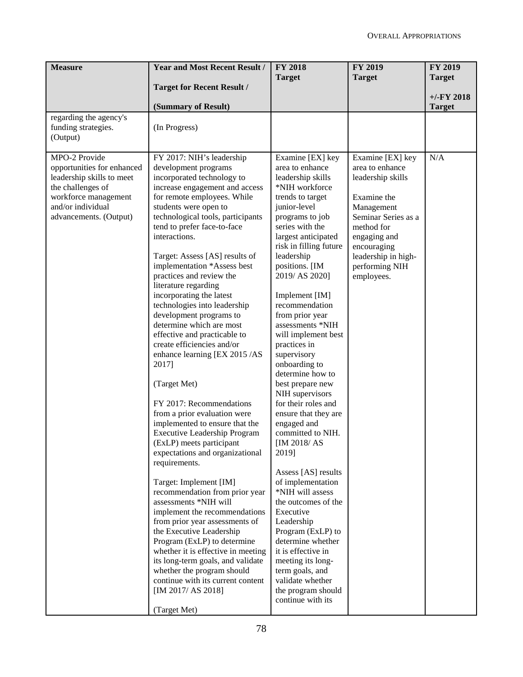| <b>Measure</b>                            | <b>Year and Most Recent Result /</b>                            | <b>FY 2018</b>                    | <b>FY 2019</b>                    | FY 2019       |
|-------------------------------------------|-----------------------------------------------------------------|-----------------------------------|-----------------------------------|---------------|
|                                           |                                                                 | <b>Target</b>                     | <b>Target</b>                     | <b>Target</b> |
|                                           | <b>Target for Recent Result /</b>                               |                                   |                                   | $+/-$ FY 2018 |
|                                           | (Summary of Result)                                             |                                   |                                   | <b>Target</b> |
| regarding the agency's                    |                                                                 |                                   |                                   |               |
| funding strategies.                       | (In Progress)                                                   |                                   |                                   |               |
| (Output)                                  |                                                                 |                                   |                                   |               |
|                                           |                                                                 |                                   |                                   |               |
| MPO-2 Provide                             | FY 2017: NIH's leadership                                       | Examine [EX] key                  | Examine [EX] key                  | N/A           |
| opportunities for enhanced                | development programs                                            | area to enhance                   | area to enhance                   |               |
| leadership skills to meet                 | incorporated technology to                                      | leadership skills                 | leadership skills                 |               |
| the challenges of                         | increase engagement and access                                  | *NIH workforce                    |                                   |               |
| workforce management<br>and/or individual | for remote employees. While<br>students were open to            | trends to target<br>junior-level  | Examine the                       |               |
| advancements. (Output)                    | technological tools, participants                               | programs to job                   | Management<br>Seminar Series as a |               |
|                                           | tend to prefer face-to-face                                     | series with the                   | method for                        |               |
|                                           | interactions.                                                   | largest anticipated               | engaging and                      |               |
|                                           |                                                                 | risk in filling future            | encouraging                       |               |
|                                           | Target: Assess [AS] results of                                  | leadership                        | leadership in high-               |               |
|                                           | implementation *Assess best                                     | positions. [IM                    | performing NIH                    |               |
|                                           | practices and review the                                        | 2019/ AS 2020]                    | employees.                        |               |
|                                           | literature regarding                                            |                                   |                                   |               |
|                                           | incorporating the latest                                        | Implement [IM]                    |                                   |               |
|                                           | technologies into leadership                                    | recommendation                    |                                   |               |
|                                           | development programs to                                         | from prior year                   |                                   |               |
|                                           | determine which are most                                        | assessments *NIH                  |                                   |               |
|                                           | effective and practicable to                                    | will implement best               |                                   |               |
|                                           | create efficiencies and/or                                      | practices in                      |                                   |               |
|                                           | enhance learning [EX 2015 /AS                                   | supervisory                       |                                   |               |
|                                           | 2017]                                                           | onboarding to                     |                                   |               |
|                                           |                                                                 | determine how to                  |                                   |               |
|                                           | (Target Met)                                                    | best prepare new                  |                                   |               |
|                                           |                                                                 | NIH supervisors                   |                                   |               |
|                                           | FY 2017: Recommendations                                        | for their roles and               |                                   |               |
|                                           | from a prior evaluation were                                    | ensure that they are              |                                   |               |
|                                           | implemented to ensure that the                                  | engaged and                       |                                   |               |
|                                           | <b>Executive Leadership Program</b><br>(ExLP) meets participant | committed to NIH.<br>[IM 2018/AS] |                                   |               |
|                                           | expectations and organizational                                 | 2019]                             |                                   |               |
|                                           | requirements.                                                   |                                   |                                   |               |
|                                           |                                                                 | Assess [AS] results               |                                   |               |
|                                           | Target: Implement [IM]                                          | of implementation                 |                                   |               |
|                                           | recommendation from prior year                                  | *NIH will assess                  |                                   |               |
|                                           | assessments *NIH will                                           | the outcomes of the               |                                   |               |
|                                           | implement the recommendations                                   | Executive                         |                                   |               |
|                                           | from prior year assessments of                                  | Leadership                        |                                   |               |
|                                           | the Executive Leadership                                        | Program (ExLP) to                 |                                   |               |
|                                           | Program (ExLP) to determine                                     | determine whether                 |                                   |               |
|                                           | whether it is effective in meeting                              | it is effective in                |                                   |               |
|                                           | its long-term goals, and validate                               | meeting its long-                 |                                   |               |
|                                           | whether the program should                                      | term goals, and                   |                                   |               |
|                                           | continue with its current content                               | validate whether                  |                                   |               |
|                                           | [IM 2017/ AS 2018]                                              | the program should                |                                   |               |
|                                           |                                                                 | continue with its                 |                                   |               |
|                                           | (Target Met)                                                    |                                   |                                   |               |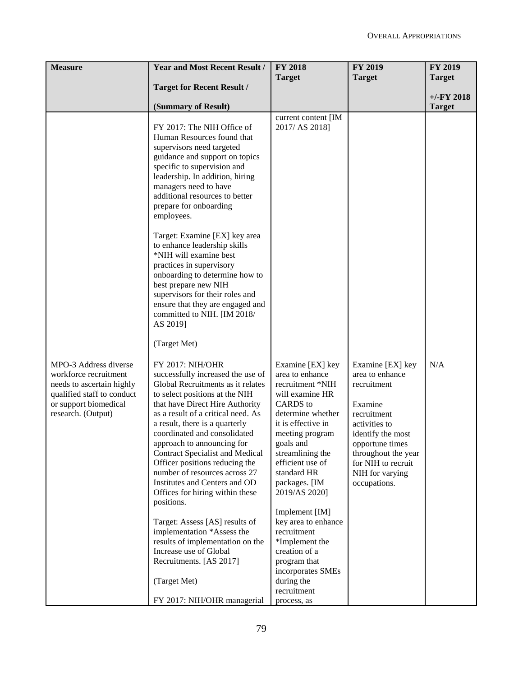| <b>Measure</b>                                          | <b>Year and Most Recent Result /</b>                                | <b>FY 2018</b>                      | <b>FY 2019</b>      | <b>FY 2019</b> |
|---------------------------------------------------------|---------------------------------------------------------------------|-------------------------------------|---------------------|----------------|
|                                                         |                                                                     | <b>Target</b>                       | <b>Target</b>       | <b>Target</b>  |
|                                                         | <b>Target for Recent Result /</b>                                   |                                     |                     |                |
|                                                         |                                                                     |                                     |                     | $+/-$ FY 2018  |
|                                                         | (Summary of Result)                                                 |                                     |                     | <b>Target</b>  |
|                                                         |                                                                     | current content [IM                 |                     |                |
|                                                         | FY 2017: The NIH Office of                                          | 2017/ AS 2018]                      |                     |                |
|                                                         | Human Resources found that<br>supervisors need targeted             |                                     |                     |                |
|                                                         | guidance and support on topics                                      |                                     |                     |                |
|                                                         | specific to supervision and                                         |                                     |                     |                |
|                                                         | leadership. In addition, hiring                                     |                                     |                     |                |
|                                                         | managers need to have                                               |                                     |                     |                |
|                                                         | additional resources to better                                      |                                     |                     |                |
|                                                         | prepare for onboarding                                              |                                     |                     |                |
|                                                         | employees.                                                          |                                     |                     |                |
|                                                         | Target: Examine [EX] key area                                       |                                     |                     |                |
|                                                         | to enhance leadership skills                                        |                                     |                     |                |
|                                                         | *NIH will examine best                                              |                                     |                     |                |
|                                                         | practices in supervisory                                            |                                     |                     |                |
|                                                         | onboarding to determine how to                                      |                                     |                     |                |
|                                                         | best prepare new NIH                                                |                                     |                     |                |
|                                                         | supervisors for their roles and                                     |                                     |                     |                |
|                                                         | ensure that they are engaged and                                    |                                     |                     |                |
|                                                         | committed to NIH. [IM 2018/<br>AS 2019]                             |                                     |                     |                |
|                                                         |                                                                     |                                     |                     |                |
|                                                         | (Target Met)                                                        |                                     |                     |                |
|                                                         |                                                                     |                                     |                     |                |
| MPO-3 Address diverse                                   | FY 2017: NIH/OHR                                                    | Examine [EX] key                    | Examine [EX] key    | N/A            |
| workforce recruitment                                   | successfully increased the use of                                   | area to enhance                     | area to enhance     |                |
| needs to ascertain highly<br>qualified staff to conduct | Global Recruitments as it relates<br>to select positions at the NIH | recruitment *NIH<br>will examine HR | recruitment         |                |
| or support biomedical                                   | that have Direct Hire Authority                                     | <b>CARDS</b> to                     | Examine             |                |
| research. (Output)                                      | as a result of a critical need. As                                  | determine whether                   | recruitment         |                |
|                                                         | a result, there is a quarterly                                      | it is effective in                  | activities to       |                |
|                                                         | coordinated and consolidated                                        | meeting program                     | identify the most   |                |
|                                                         | approach to announcing for                                          | goals and                           | opportune times     |                |
|                                                         | <b>Contract Specialist and Medical</b>                              | streamlining the                    | throughout the year |                |
|                                                         | Officer positions reducing the                                      | efficient use of                    | for NIH to recruit  |                |
|                                                         | number of resources across 27<br>Institutes and Centers and OD      | standard HR                         | NIH for varying     |                |
|                                                         | Offices for hiring within these                                     | packages. [IM<br>2019/AS 2020]      | occupations.        |                |
|                                                         | positions.                                                          |                                     |                     |                |
|                                                         |                                                                     | Implement [IM]                      |                     |                |
|                                                         | Target: Assess [AS] results of                                      | key area to enhance                 |                     |                |
|                                                         | implementation *Assess the                                          | recruitment                         |                     |                |
|                                                         | results of implementation on the                                    | *Implement the                      |                     |                |
|                                                         | Increase use of Global                                              | creation of a                       |                     |                |
|                                                         | Recruitments. [AS 2017]                                             | program that<br>incorporates SMEs   |                     |                |
|                                                         | (Target Met)                                                        | during the                          |                     |                |
|                                                         |                                                                     | recruitment                         |                     |                |
|                                                         | FY 2017: NIH/OHR managerial                                         | process, as                         |                     |                |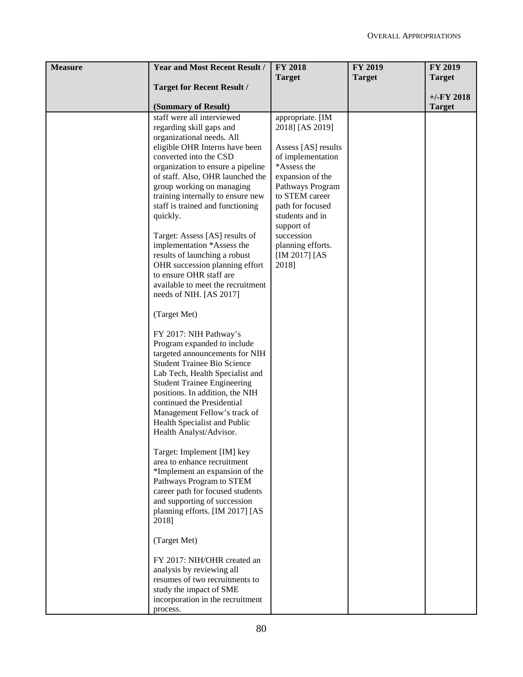| <b>Measure</b> | <b>Year and Most Recent Result /</b> | <b>FY 2018</b>           | <b>FY 2019</b> | FY 2019       |
|----------------|--------------------------------------|--------------------------|----------------|---------------|
|                |                                      | <b>Target</b>            | <b>Target</b>  | <b>Target</b> |
|                | <b>Target for Recent Result /</b>    |                          |                |               |
|                |                                      |                          |                | $+/-FY$ 2018  |
|                | (Summary of Result)                  |                          |                | <b>Target</b> |
|                | staff were all interviewed           | appropriate. [IM         |                |               |
|                | regarding skill gaps and             | 2018] [AS 2019]          |                |               |
|                | organizational needs. All            |                          |                |               |
|                | eligible OHR Interns have been       | Assess [AS] results      |                |               |
|                | converted into the CSD               | of implementation        |                |               |
|                | organization to ensure a pipeline    | *Assess the              |                |               |
|                | of staff. Also, OHR launched the     | expansion of the         |                |               |
|                | group working on managing            | Pathways Program         |                |               |
|                | training internally to ensure new    | to STEM career           |                |               |
|                | staff is trained and functioning     | path for focused         |                |               |
|                | quickly.                             | students and in          |                |               |
|                | Target: Assess [AS] results of       | support of<br>succession |                |               |
|                | implementation *Assess the           | planning efforts.        |                |               |
|                | results of launching a robust        | [IM 2017] [AS]           |                |               |
|                | OHR succession planning effort       | 2018]                    |                |               |
|                | to ensure OHR staff are              |                          |                |               |
|                | available to meet the recruitment    |                          |                |               |
|                | needs of NIH. [AS 2017]              |                          |                |               |
|                | (Target Met)                         |                          |                |               |
|                | FY 2017: NIH Pathway's               |                          |                |               |
|                | Program expanded to include          |                          |                |               |
|                | targeted announcements for NIH       |                          |                |               |
|                | <b>Student Trainee Bio Science</b>   |                          |                |               |
|                | Lab Tech, Health Specialist and      |                          |                |               |
|                | <b>Student Trainee Engineering</b>   |                          |                |               |
|                | positions. In addition, the NIH      |                          |                |               |
|                | continued the Presidential           |                          |                |               |
|                | Management Fellow's track of         |                          |                |               |
|                | Health Specialist and Public         |                          |                |               |
|                | Health Analyst/Advisor.              |                          |                |               |
|                | Target: Implement [IM] key           |                          |                |               |
|                | area to enhance recruitment          |                          |                |               |
|                | *Implement an expansion of the       |                          |                |               |
|                | Pathways Program to STEM             |                          |                |               |
|                | career path for focused students     |                          |                |               |
|                | and supporting of succession         |                          |                |               |
|                | planning efforts. [IM 2017] [AS      |                          |                |               |
|                | 2018]                                |                          |                |               |
|                | (Target Met)                         |                          |                |               |
|                | FY 2017: NIH/OHR created an          |                          |                |               |
|                | analysis by reviewing all            |                          |                |               |
|                | resumes of two recruitments to       |                          |                |               |
|                | study the impact of SME              |                          |                |               |
|                | incorporation in the recruitment     |                          |                |               |
|                | process.                             |                          |                |               |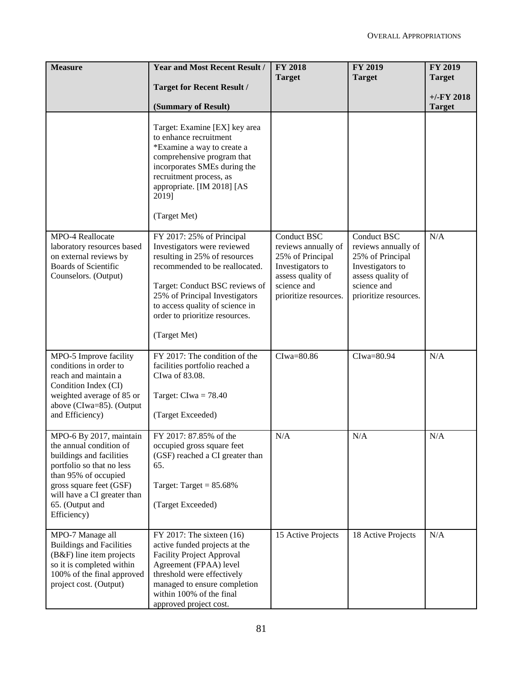| <b>Measure</b>                                                                                                                                                                                                                  | <b>Year and Most Recent Result /</b>                                                                                                                                                                                                                                                 | <b>FY 2018</b>                                                                                                                                 | <b>FY 2019</b>                                                                                                                          | FY 2019       |
|---------------------------------------------------------------------------------------------------------------------------------------------------------------------------------------------------------------------------------|--------------------------------------------------------------------------------------------------------------------------------------------------------------------------------------------------------------------------------------------------------------------------------------|------------------------------------------------------------------------------------------------------------------------------------------------|-----------------------------------------------------------------------------------------------------------------------------------------|---------------|
|                                                                                                                                                                                                                                 | <b>Target for Recent Result /</b>                                                                                                                                                                                                                                                    | <b>Target</b>                                                                                                                                  | <b>Target</b>                                                                                                                           | <b>Target</b> |
|                                                                                                                                                                                                                                 |                                                                                                                                                                                                                                                                                      |                                                                                                                                                |                                                                                                                                         | $+/-$ FY 2018 |
|                                                                                                                                                                                                                                 | (Summary of Result)                                                                                                                                                                                                                                                                  |                                                                                                                                                |                                                                                                                                         | <b>Target</b> |
|                                                                                                                                                                                                                                 | Target: Examine [EX] key area<br>to enhance recruitment<br>*Examine a way to create a<br>comprehensive program that<br>incorporates SMEs during the<br>recruitment process, as<br>appropriate. [IM 2018] [AS<br>2019]<br>(Target Met)                                                |                                                                                                                                                |                                                                                                                                         |               |
| MPO-4 Reallocate<br>laboratory resources based<br>on external reviews by<br><b>Boards of Scientific</b><br>Counselors. (Output)                                                                                                 | FY 2017: 25% of Principal<br>Investigators were reviewed<br>resulting in 25% of resources<br>recommended to be reallocated.<br>Target: Conduct BSC reviews of<br>25% of Principal Investigators<br>to access quality of science in<br>order to prioritize resources.<br>(Target Met) | <b>Conduct BSC</b><br>reviews annually of<br>25% of Principal<br>Investigators to<br>assess quality of<br>science and<br>prioritize resources. | Conduct BSC<br>reviews annually of<br>25% of Principal<br>Investigators to<br>assess quality of<br>science and<br>prioritize resources. | N/A           |
| MPO-5 Improve facility<br>conditions in order to<br>reach and maintain a<br>Condition Index (CI)<br>weighted average of 85 or<br>above (CIwa=85). (Output<br>and Efficiency)                                                    | FY 2017: The condition of the<br>facilities portfolio reached a<br>CIwa of 83.08.<br>Target: $Clwa = 78.40$<br>(Target Exceeded)                                                                                                                                                     | CIwa=80.86                                                                                                                                     | CIwa=80.94                                                                                                                              | N/A           |
| MPO-6 By 2017, maintain<br>the annual condition of<br>buildings and facilities<br>portfolio so that no less<br>than 95% of occupied<br>gross square feet (GSF)<br>will have a CI greater than<br>65. (Output and<br>Efficiency) | FY 2017: 87.85% of the<br>occupied gross square feet<br>(GSF) reached a CI greater than<br>65.<br>Target: Target = $85.68\%$<br>(Target Exceeded)                                                                                                                                    | N/A                                                                                                                                            | N/A                                                                                                                                     | N/A           |
| MPO-7 Manage all<br><b>Buildings and Facilities</b><br>(B&F) line item projects<br>so it is completed within<br>100% of the final approved<br>project cost. (Output)                                                            | $FY$ 2017: The sixteen $(16)$<br>active funded projects at the<br><b>Facility Project Approval</b><br>Agreement (FPAA) level<br>threshold were effectively<br>managed to ensure completion<br>within 100% of the final<br>approved project cost.                                     | 15 Active Projects                                                                                                                             | 18 Active Projects                                                                                                                      | N/A           |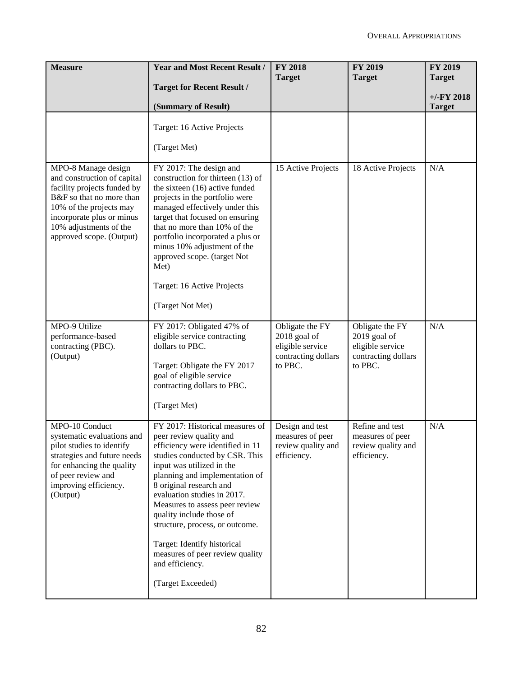| <b>Measure</b>                                                                                                                                                                                                              | <b>Year and Most Recent Result /</b>                                                                                                                                                                                                                                                                                                                                                                                                                                 | <b>FY 2018</b><br><b>Target</b>                                                       | <b>FY 2019</b><br><b>Target</b>                                                       | FY 2019<br><b>Target</b>      |
|-----------------------------------------------------------------------------------------------------------------------------------------------------------------------------------------------------------------------------|----------------------------------------------------------------------------------------------------------------------------------------------------------------------------------------------------------------------------------------------------------------------------------------------------------------------------------------------------------------------------------------------------------------------------------------------------------------------|---------------------------------------------------------------------------------------|---------------------------------------------------------------------------------------|-------------------------------|
|                                                                                                                                                                                                                             | <b>Target for Recent Result /</b>                                                                                                                                                                                                                                                                                                                                                                                                                                    |                                                                                       |                                                                                       |                               |
|                                                                                                                                                                                                                             | (Summary of Result)                                                                                                                                                                                                                                                                                                                                                                                                                                                  |                                                                                       |                                                                                       | $+/-FY$ 2018<br><b>Target</b> |
|                                                                                                                                                                                                                             | Target: 16 Active Projects<br>(Target Met)                                                                                                                                                                                                                                                                                                                                                                                                                           |                                                                                       |                                                                                       |                               |
| MPO-8 Manage design<br>and construction of capital<br>facility projects funded by<br>B&F so that no more than<br>10% of the projects may<br>incorporate plus or minus<br>10% adjustments of the<br>approved scope. (Output) | FY 2017: The design and<br>construction for thirteen (13) of<br>the sixteen (16) active funded<br>projects in the portfolio were<br>managed effectively under this<br>target that focused on ensuring<br>that no more than 10% of the<br>portfolio incorporated a plus or<br>minus 10% adjustment of the<br>approved scope. (target Not<br>Met)<br>Target: 16 Active Projects<br>(Target Not Met)                                                                    | 15 Active Projects                                                                    | 18 Active Projects                                                                    | N/A                           |
| MPO-9 Utilize<br>performance-based<br>contracting (PBC).<br>(Output)                                                                                                                                                        | FY 2017: Obligated 47% of<br>eligible service contracting<br>dollars to PBC.<br>Target: Obligate the FY 2017<br>goal of eligible service<br>contracting dollars to PBC.<br>(Target Met)                                                                                                                                                                                                                                                                              | Obligate the FY<br>2018 goal of<br>eligible service<br>contracting dollars<br>to PBC. | Obligate the FY<br>2019 goal of<br>eligible service<br>contracting dollars<br>to PBC. | N/A                           |
| MPO-10 Conduct<br>systematic evaluations and<br>pilot studies to identify<br>strategies and future needs<br>for enhancing the quality<br>of peer review and<br>improving efficiency.<br>(Output)                            | FY 2017: Historical measures of<br>peer review quality and<br>efficiency were identified in 11<br>studies conducted by CSR. This<br>input was utilized in the<br>planning and implementation of<br>8 original research and<br>evaluation studies in 2017.<br>Measures to assess peer review<br>quality include those of<br>structure, process, or outcome.<br>Target: Identify historical<br>measures of peer review quality<br>and efficiency.<br>(Target Exceeded) | Design and test<br>measures of peer<br>review quality and<br>efficiency.              | Refine and test<br>measures of peer<br>review quality and<br>efficiency.              | N/A                           |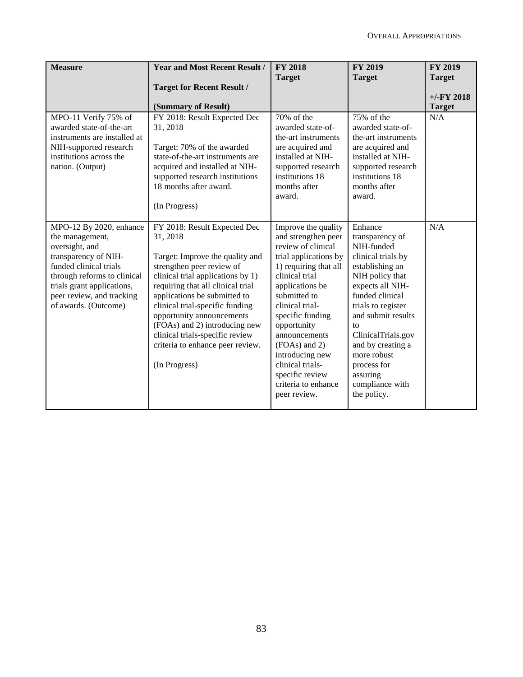| <b>Measure</b>                                                                                                                                                                                                                   | <b>Year and Most Recent Result /</b>                                                                                                                                                                                                                                                                                                                                                                        | <b>FY 2018</b><br><b>Target</b>                                                                                                                                                                                                                                                                                                                                  | <b>FY 2019</b><br><b>Target</b>                                                                                                                                                                                                                                                                                      | <b>FY 2019</b><br><b>Target</b> |
|----------------------------------------------------------------------------------------------------------------------------------------------------------------------------------------------------------------------------------|-------------------------------------------------------------------------------------------------------------------------------------------------------------------------------------------------------------------------------------------------------------------------------------------------------------------------------------------------------------------------------------------------------------|------------------------------------------------------------------------------------------------------------------------------------------------------------------------------------------------------------------------------------------------------------------------------------------------------------------------------------------------------------------|----------------------------------------------------------------------------------------------------------------------------------------------------------------------------------------------------------------------------------------------------------------------------------------------------------------------|---------------------------------|
|                                                                                                                                                                                                                                  | <b>Target for Recent Result /</b><br>(Summary of Result)                                                                                                                                                                                                                                                                                                                                                    |                                                                                                                                                                                                                                                                                                                                                                  |                                                                                                                                                                                                                                                                                                                      | $+/-FY$ 2018<br><b>Target</b>   |
| MPO-11 Verify 75% of<br>awarded state-of-the-art<br>instruments are installed at<br>NIH-supported research<br>institutions across the<br>nation. (Output)                                                                        | FY 2018: Result Expected Dec<br>31, 2018<br>Target: 70% of the awarded<br>state-of-the-art instruments are<br>acquired and installed at NIH-<br>supported research institutions<br>18 months after award.<br>(In Progress)                                                                                                                                                                                  | 70% of the<br>awarded state-of-<br>the-art instruments<br>are acquired and<br>installed at NIH-<br>supported research<br>institutions 18<br>months after<br>award.                                                                                                                                                                                               | 75% of the<br>awarded state-of-<br>the-art instruments<br>are acquired and<br>installed at NIH-<br>supported research<br>institutions 18<br>months after<br>award.                                                                                                                                                   | N/A                             |
| MPO-12 By 2020, enhance<br>the management,<br>oversight, and<br>transparency of NIH-<br>funded clinical trials<br>through reforms to clinical<br>trials grant applications,<br>peer review, and tracking<br>of awards. (Outcome) | FY 2018: Result Expected Dec<br>31, 2018<br>Target: Improve the quality and<br>strengthen peer review of<br>clinical trial applications by 1)<br>requiring that all clinical trial<br>applications be submitted to<br>clinical trial-specific funding<br>opportunity announcements<br>(FOAs) and 2) introducing new<br>clinical trials-specific review<br>criteria to enhance peer review.<br>(In Progress) | Improve the quality<br>and strengthen peer<br>review of clinical<br>trial applications by<br>1) requiring that all<br>clinical trial<br>applications be<br>submitted to<br>clinical trial-<br>specific funding<br>opportunity<br>announcements<br>(FOAs) and 2)<br>introducing new<br>clinical trials-<br>specific review<br>criteria to enhance<br>peer review. | Enhance<br>transparency of<br>NIH-funded<br>clinical trials by<br>establishing an<br>NIH policy that<br>expects all NIH-<br>funded clinical<br>trials to register<br>and submit results<br>to<br>ClinicalTrials.gov<br>and by creating a<br>more robust<br>process for<br>assuring<br>compliance with<br>the policy. | N/A                             |